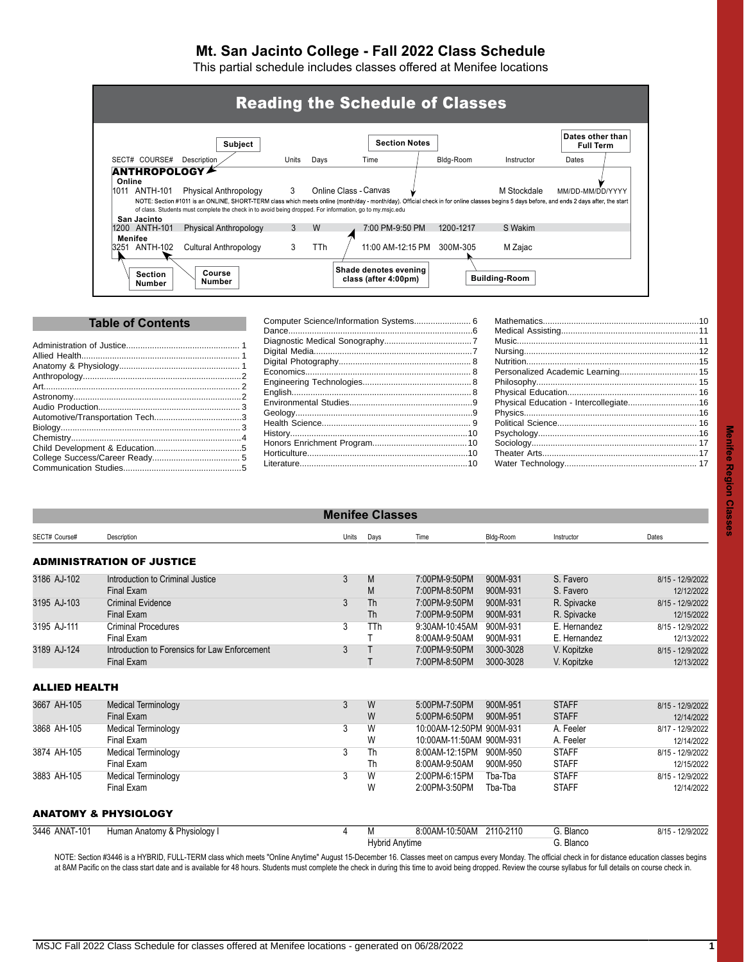# **Mt. San Jacinto College - Fall 2022 Class Schedule**

This partial schedule includes classes offered at Menifee locations

|        |                              | <b>Subject</b>                                                                                                                                                                                                                                                                                                                  |              |      | <b>Section Notes</b>         |           |             | Dates other than<br><b>Full Term</b> |  |
|--------|------------------------------|---------------------------------------------------------------------------------------------------------------------------------------------------------------------------------------------------------------------------------------------------------------------------------------------------------------------------------|--------------|------|------------------------------|-----------|-------------|--------------------------------------|--|
|        | SECT# COURSE#                | Description                                                                                                                                                                                                                                                                                                                     | Units        | Days | Time                         | Bldg-Room | Instructor  | Dates                                |  |
| Online | 1011 ANTH-101<br>San Jacinto | Physical Anthropology<br>NOTE: Section #1011 is an ONLINE, SHORT-TERM class which meets online (month/day - month/day). Official check in for online classes begins 5 days before, and ends 2 days after, the start<br>of class. Students must complete the check in to avoid being dropped. For information, go to my msic.edu | $\mathbf{3}$ |      | <b>Online Class - Canvas</b> |           | M Stockdale | MM/DD-MM/DD/YYYY                     |  |
|        |                              | Physical Anthropology                                                                                                                                                                                                                                                                                                           | 3            | W    | 7:00 PM-9:50 PM              | 1200-1217 | S Wakim     |                                      |  |
|        | 1200 ANTH-101                |                                                                                                                                                                                                                                                                                                                                 |              |      |                              |           |             |                                      |  |

| <b>Table of Contents</b> |  |  |  |  |  |  |
|--------------------------|--|--|--|--|--|--|
|                          |  |  |  |  |  |  |
|                          |  |  |  |  |  |  |
|                          |  |  |  |  |  |  |
|                          |  |  |  |  |  |  |
|                          |  |  |  |  |  |  |
|                          |  |  |  |  |  |  |
|                          |  |  |  |  |  |  |
|                          |  |  |  |  |  |  |

[Biology............................................................................](#page-2-2) 3 [Chemistry........................................................................4](#page-3-0) [Child Development & Education.....................................5](#page-4-0) [College Success/Career Ready.....................................](#page-4-1) 5 [Communication Studies..................................................5](#page-4-2)

| Personalized Academic Learning 15      |  |
|----------------------------------------|--|
|                                        |  |
|                                        |  |
| Physical Education - Intercollegiate16 |  |
|                                        |  |
|                                        |  |
|                                        |  |
|                                        |  |
|                                        |  |
|                                        |  |
|                                        |  |

<span id="page-0-1"></span><span id="page-0-0"></span>

| <b>Menifee Classes</b> |                                               |       |                       |                          |           |              |                  |  |  |  |
|------------------------|-----------------------------------------------|-------|-----------------------|--------------------------|-----------|--------------|------------------|--|--|--|
| SECT# Course#          | Description                                   | Units | Days                  | Time                     | Bldg-Room | Instructor   | Dates            |  |  |  |
|                        | ADMINISTRATION OF JUSTICE                     |       |                       |                          |           |              |                  |  |  |  |
| 3186 AJ-102            | Introduction to Criminal Justice              | 3     | M                     | 7:00PM-9:50PM            | 900M-931  | S. Favero    | 8/15 - 12/9/2022 |  |  |  |
|                        | <b>Final Exam</b>                             |       | M                     | 7:00PM-8:50PM            | 900M-931  | S. Favero    | 12/12/2022       |  |  |  |
| 3195 AJ-103            | <b>Criminal Evidence</b>                      | 3     | <b>Th</b>             | 7:00PM-9:50PM            | 900M-931  | R. Spivacke  | 8/15 - 12/9/2022 |  |  |  |
|                        | <b>Final Exam</b>                             |       | <b>Th</b>             | 7:00PM-9:50PM            | 900M-931  | R. Spivacke  | 12/15/2022       |  |  |  |
| 3195 AJ-111            | <b>Criminal Procedures</b>                    | 3     | TTh                   | 9:30AM-10:45AM           | 900M-931  | E. Hernandez | 8/15 - 12/9/2022 |  |  |  |
|                        | <b>Final Exam</b>                             |       |                       | 8:00AM-9:50AM            | 900M-931  | E. Hernandez | 12/13/2022       |  |  |  |
| 3189 AJ-124            | Introduction to Forensics for Law Enforcement | 3     |                       | 7:00PM-9:50PM            | 3000-3028 | V. Kopitzke  | 8/15 - 12/9/2022 |  |  |  |
|                        | <b>Final Exam</b>                             |       |                       | 7:00PM-8:50PM            | 3000-3028 | V. Kopitzke  | 12/13/2022       |  |  |  |
| ALLIED HEALTH          |                                               |       |                       |                          |           |              |                  |  |  |  |
| 3667 AH-105            | <b>Medical Terminology</b>                    | 3     | W                     | 5:00PM-7:50PM            | 900M-951  | <b>STAFF</b> | 8/15 - 12/9/2022 |  |  |  |
|                        | <b>Final Exam</b>                             |       | W                     | 5:00PM-6:50PM            | 900M-951  | <b>STAFF</b> | 12/14/2022       |  |  |  |
| 3868 AH-105            | Medical Terminology                           | 3     | W                     | 10:00AM-12:50PM 900M-931 |           | A. Feeler    | 8/17 - 12/9/2022 |  |  |  |
|                        | Final Exam                                    |       | W                     | 10:00AM-11:50AM 900M-931 |           | A. Feeler    | 12/14/2022       |  |  |  |
| 3874 AH-105            | <b>Medical Terminology</b>                    | 3     | Th                    | 8:00AM-12:15PM           | 900M-950  | <b>STAFF</b> | 8/15 - 12/9/2022 |  |  |  |
|                        | Final Exam                                    |       | Th                    | 8:00AM-9:50AM            | 900M-950  | <b>STAFF</b> | 12/15/2022       |  |  |  |
| 3883 AH-105            | <b>Medical Terminology</b>                    | 3     | W                     | 2:00PM-6:15PM            | Tba-Tba   | <b>STAFF</b> | 8/15 - 12/9/2022 |  |  |  |
|                        | Final Exam                                    |       | W                     | 2:00PM-3:50PM            | Tba-Tba   | <b>STAFF</b> | 12/14/2022       |  |  |  |
|                        | ANATOMY & PHYSIOLOGY                          |       |                       |                          |           |              |                  |  |  |  |
| 3446 ANAT-101          | Human Anatomy & Physiology I                  | 4     | М                     | 8:00AM-10:50AM 2110-2110 |           | G. Blanco    | 8/15 - 12/9/2022 |  |  |  |
|                        |                                               |       | <b>Hybrid Anytime</b> |                          |           | G. Blanco    |                  |  |  |  |

<span id="page-0-2"></span>NOTE: Section #3446 is a HYBRID, FULL-TERM class which meets "Online Anytime" August 15-December 16. Classes meet on campus every Monday. The official check in for distance education classes begins at 8AM Pacific on the class start date and is available for 48 hours. Students must complete the check in during this time to avoid being dropped. Review the course syllabus for full details on course check in.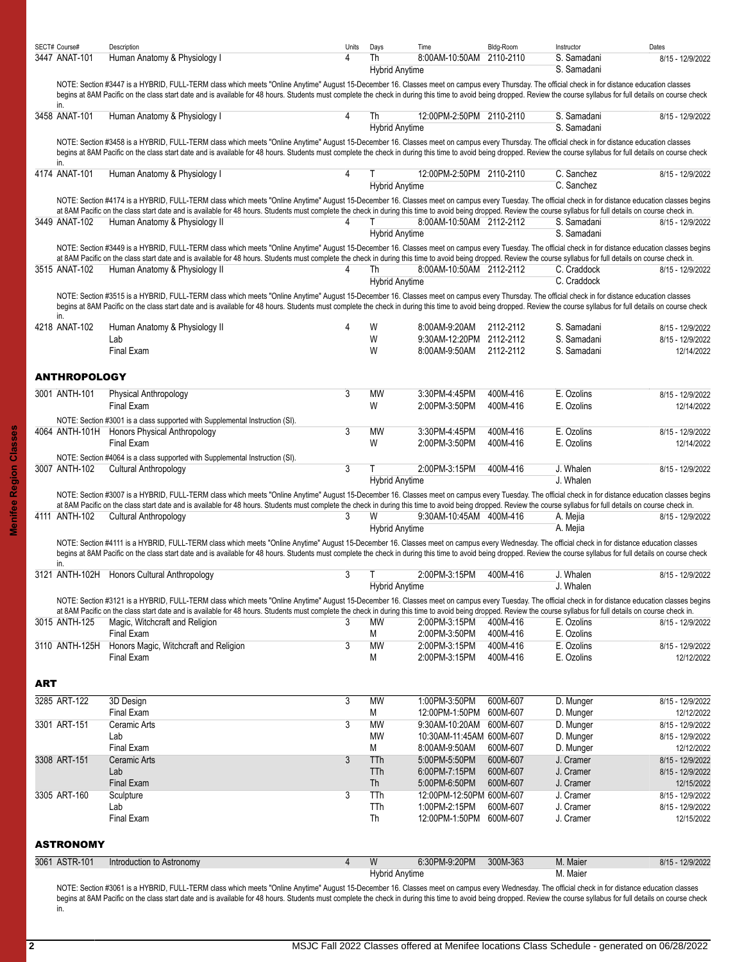<span id="page-1-0"></span>

|     | SECT# Course#        | Description                                                                                                                                                                                                                                                                                                                                                                                                                                                   | Units          | Days                        | Time                                                | Bldg-Room            | Instructor                 | Dates                          |
|-----|----------------------|---------------------------------------------------------------------------------------------------------------------------------------------------------------------------------------------------------------------------------------------------------------------------------------------------------------------------------------------------------------------------------------------------------------------------------------------------------------|----------------|-----------------------------|-----------------------------------------------------|----------------------|----------------------------|--------------------------------|
|     | 3447 ANAT-101        | Human Anatomy & Physiology I                                                                                                                                                                                                                                                                                                                                                                                                                                  | 4              | Th<br><b>Hybrid Anytime</b> | 8:00AM-10:50AM 2110-2110                            |                      | S. Samadani<br>S. Samadani | 8/15 - 12/9/2022               |
|     | in.                  | NOTE: Section #3447 is a HYBRID, FULL-TERM class which meets "Online Anytime" August 15-December 16. Classes meet on campus every Thursday. The official check in for distance education classes<br>begins at 8AM Pacific on the class start date and is available for 48 hours. Students must complete the check in during this time to avoid being dropped. Review the course syllabus for full details on course check                                     |                |                             |                                                     |                      |                            |                                |
|     | 3458 ANAT-101        | Human Anatomy & Physiology I                                                                                                                                                                                                                                                                                                                                                                                                                                  | Δ              | Th<br><b>Hybrid Anytime</b> | 12:00PM-2:50PM 2110-2110                            |                      | S. Samadani<br>S. Samadani | 8/15 - 12/9/2022               |
|     | in.                  | NOTE: Section #3458 is a HYBRID, FULL-TERM class which meets "Online Anytime" August 15-December 16. Classes meet on campus every Thursday. The official check in for distance education classes<br>begins at 8AM Pacific on the class start date and is available for 48 hours. Students must complete the check in during this time to avoid being dropped. Review the course syllabus for full details on course check                                     |                |                             |                                                     |                      |                            |                                |
|     | 4174 ANAT-101        | Human Anatomy & Physiology I                                                                                                                                                                                                                                                                                                                                                                                                                                  |                | <b>Hybrid Anytime</b>       | 12:00PM-2:50PM 2110-2110                            |                      | C. Sanchez<br>C. Sanchez   | 8/15 - 12/9/2022               |
|     |                      | NOTE: Section #4174 is a HYBRID, FULL-TERM class which meets "Online Anytime" August 15-December 16. Classes meet on campus every Tuesday. The official check in for distance education classes begins<br>at 8AM Pacific on the class start date and is available for 48 hours. Students must complete the check in during this time to avoid being dropped. Review the course syllabus for full details on course check in.                                  |                |                             |                                                     |                      |                            |                                |
|     | 3449 ANAT-102        | Human Anatomy & Physiology II                                                                                                                                                                                                                                                                                                                                                                                                                                 | 4              | т<br><b>Hybrid Anytime</b>  | 8.00AM-10:50AM 2112-2112                            |                      | S. Samadani<br>S. Samadani | 8/15 - 12/9/2022               |
|     | 3515 ANAT-102        | NOTE: Section #3449 is a HYBRID, FULL-TERM class which meets "Online Anytime" August 15-December 16. Classes meet on campus every Tuesday. The official check in for distance education classes begins<br>at 8AM Pacific on the class start date and is available for 48 hours. Students must complete the check in during this time to avoid being dropped. Review the course syllabus for full details on course check in.<br>Human Anatomy & Physiology II | 4              | Th<br><b>Hybrid Anytime</b> | 8:00AM-10:50AM 2112-2112                            |                      | C. Craddock<br>C. Craddock | 8/15 - 12/9/2022               |
|     |                      | NOTE: Section #3515 is a HYBRID, FULL-TERM class which meets "Online Anytime" August 15-December 16. Classes meet on campus every Thursday. The official check in for distance education classes<br>begins at 8AM Pacific on the class start date and is available for 48 hours. Students must complete the check in during this time to avoid being dropped. Review the course syllabus for full details on course check                                     |                |                             |                                                     |                      |                            |                                |
|     | in.<br>4218 ANAT-102 | Human Anatomy & Physiology II                                                                                                                                                                                                                                                                                                                                                                                                                                 | 4              | W                           | 8:00AM-9:20AM                                       | 2112-2112            | S. Samadani                | 8/15 - 12/9/2022               |
|     |                      | Lab<br>Final Exam                                                                                                                                                                                                                                                                                                                                                                                                                                             |                | W<br>W                      | 9:30AM-12:20PM 2112-2112<br>8:00AM-9:50AM           | 2112-2112            | S. Samadani<br>S. Samadani | 8/15 - 12/9/2022<br>12/14/2022 |
|     | <b>ANTHROPOLOGY</b>  |                                                                                                                                                                                                                                                                                                                                                                                                                                                               |                |                             |                                                     |                      |                            |                                |
|     | 3001 ANTH-101        | <b>Physical Anthropology</b><br>Final Exam                                                                                                                                                                                                                                                                                                                                                                                                                    | 3              | MW<br>W                     | 3:30PM-4:45PM<br>2:00PM-3:50PM                      | 400M-416<br>400M-416 | E. Ozolins<br>E. Ozolins   | 8/15 - 12/9/2022<br>12/14/2022 |
|     |                      | NOTE: Section #3001 is a class supported with Supplemental Instruction (SI).                                                                                                                                                                                                                                                                                                                                                                                  |                |                             |                                                     |                      |                            |                                |
|     |                      | 4064 ANTH-101H Honors Physical Anthropology                                                                                                                                                                                                                                                                                                                                                                                                                   | 3              | <b>MW</b>                   | 3:30PM-4:45PM                                       | 400M-416             | E. Ozolins                 | 8/15 - 12/9/2022               |
|     |                      | <b>Final Exam</b>                                                                                                                                                                                                                                                                                                                                                                                                                                             |                | W                           | 2:00PM-3:50PM                                       | 400M-416             | E. Ozolins                 | 12/14/2022                     |
|     |                      | NOTE: Section #4064 is a class supported with Supplemental Instruction (SI).                                                                                                                                                                                                                                                                                                                                                                                  |                |                             |                                                     |                      |                            |                                |
|     | 3007 ANTH-102        | Cultural Anthropology                                                                                                                                                                                                                                                                                                                                                                                                                                         | 3              | Τ<br><b>Hybrid Anytime</b>  | 2:00PM-3:15PM                                       | 400M-416             | J. Whalen<br>J. Whalen     | 8/15 - 12/9/2022               |
|     |                      | NOTE: Section #3007 is a HYBRID, FULL-TERM class which meets "Online Anytime" August 15-December 16. Classes meet on campus every Tuesday. The official check in for distance education classes begins                                                                                                                                                                                                                                                        |                |                             |                                                     |                      |                            |                                |
|     |                      | at 8AM Pacific on the class start date and is available for 48 hours. Students must complete the check in during this time to avoid being dropped. Review the course syllabus for full details on course check in.                                                                                                                                                                                                                                            |                |                             |                                                     |                      |                            |                                |
|     | 4111 ANTH-102        | Cultural Anthropology                                                                                                                                                                                                                                                                                                                                                                                                                                         | 3              | W                           | 9:30AM-10:45AM 400M-416                             |                      | A. Mejia                   | 8/15 - 12/9/2022               |
|     |                      |                                                                                                                                                                                                                                                                                                                                                                                                                                                               |                | <b>Hybrid Anytime</b>       |                                                     |                      | A. Mejia                   |                                |
|     |                      | NOTE: Section #4111 is a HYBRID, FULL-TERM class which meets "Online Anytime" August 15-December 16. Classes meet on campus every Wednesday. The official check in for distance education classes<br>begins at 8AM Pacific on the class start date and is available for 48 hours. Students must complete the check in during this time to avoid being dropped. Review the course syllabus for full details on course check                                    |                |                             |                                                     |                      |                            |                                |
|     | in.                  | 3121 ANTH-102H Honors Cultural Anthropology                                                                                                                                                                                                                                                                                                                                                                                                                   | 3              | Τ                           | 2:00PM-3:15PM                                       | 400M-416             | J. Whalen                  | 8/15 - 12/9/2022               |
|     |                      |                                                                                                                                                                                                                                                                                                                                                                                                                                                               |                |                             | <b>Hybrid Anytime</b>                               |                      | J. Whalen                  |                                |
|     |                      | NOTE: Section #3121 is a HYBRID, FULL-TERM class which meets "Online Anytime" August 15-December 16. Classes meet on campus every Tuesday. The official check in for distance education classes begins<br>at 8AM Pacific on the class start date and is available for 48 hours. Students must complete the check in during this time to avoid being dropped. Review the course syllabus for full details on course check in.                                  |                |                             |                                                     |                      |                            |                                |
|     | 3015 ANTH-125        | Magic, Witchcraft and Religion                                                                                                                                                                                                                                                                                                                                                                                                                                | 3              | МW                          | 2:00PM-3:15PM                                       | 400M-416             | E. Ozolins                 | 8/15 - 12/9/2022               |
|     |                      | <b>Final Exam</b>                                                                                                                                                                                                                                                                                                                                                                                                                                             |                | М                           | 2:00PM-3:50PM                                       | 400M-416             | E. Ozolins                 |                                |
|     | 3110 ANTH-125H       | Honors Magic, Witchcraft and Religion                                                                                                                                                                                                                                                                                                                                                                                                                         | 3              | MW                          | 2:00PM-3:15PM                                       | 400M-416             | E. Ozolins                 | 8/15 - 12/9/2022               |
|     |                      | Final Exam                                                                                                                                                                                                                                                                                                                                                                                                                                                    |                | М                           | 2:00PM-3:15PM                                       | 400M-416             | E. Ozolins                 | 12/12/2022                     |
| ART |                      |                                                                                                                                                                                                                                                                                                                                                                                                                                                               |                |                             |                                                     |                      |                            |                                |
|     | 3285 ART-122         | 3D Design                                                                                                                                                                                                                                                                                                                                                                                                                                                     | 3              | MW                          | 1:00PM-3:50PM                                       | 600M-607             | D. Munger                  | 8/15 - 12/9/2022               |
|     |                      | Final Exam                                                                                                                                                                                                                                                                                                                                                                                                                                                    |                | M                           | 12:00PM-1:50PM                                      | 600M-607             | D. Munger                  | 12/12/2022                     |
|     | 3301 ART-151         | Ceramic Arts                                                                                                                                                                                                                                                                                                                                                                                                                                                  | 3              | MW                          | 9:30AM-10:20AM 600M-607<br>10:30AM-11:45AM 600M-607 |                      | D. Munger                  | 8/15 - 12/9/2022               |
|     |                      | Lab<br>Final Exam                                                                                                                                                                                                                                                                                                                                                                                                                                             |                | MW<br>М                     | 8:00AM-9:50AM                                       | 600M-607             | D. Munger<br>D. Munger     | 8/15 - 12/9/2022<br>12/12/2022 |
|     | 3308 ART-151         | Ceramic Arts                                                                                                                                                                                                                                                                                                                                                                                                                                                  | 3              | TTh                         | 5:00PM-5:50PM                                       | 600M-607             | J. Cramer                  | 8/15 - 12/9/2022               |
|     |                      | Lab                                                                                                                                                                                                                                                                                                                                                                                                                                                           |                | TTh                         | 6:00PM-7:15PM                                       | 600M-607             | J. Cramer                  | 8/15 - 12/9/2022               |
|     |                      | <b>Final Exam</b>                                                                                                                                                                                                                                                                                                                                                                                                                                             |                | Th                          | 5:00PM-6:50PM                                       | 600M-607             | J. Cramer                  | 12/15/2022                     |
|     | 3305 ART-160         | Sculpture                                                                                                                                                                                                                                                                                                                                                                                                                                                     | 3              | TTh                         | 12:00PM-12:50PM 600M-607                            |                      | J. Cramer                  | 8/15 - 12/9/2022               |
|     |                      | Lab                                                                                                                                                                                                                                                                                                                                                                                                                                                           |                | <b>TTh</b>                  | 1:00PM-2:15PM                                       | 600M-607             | J. Cramer                  | 8/15 - 12/9/2022               |
|     |                      | Final Exam                                                                                                                                                                                                                                                                                                                                                                                                                                                    |                | Th                          | 12:00PM-1:50PM 600M-607                             |                      | J. Cramer                  | 12/15/2022                     |
|     | <b>ASTRONOMY</b>     |                                                                                                                                                                                                                                                                                                                                                                                                                                                               |                |                             |                                                     |                      |                            |                                |
|     | 3061 ASTR-101        | Introduction to Astronomy                                                                                                                                                                                                                                                                                                                                                                                                                                     | $\overline{4}$ | W                           | 6:30PM-9:20PM                                       | 300M-363             | M. Maier                   | 8/15 - 12/9/2022               |
|     |                      |                                                                                                                                                                                                                                                                                                                                                                                                                                                               |                | <b>Hybrid Anytime</b>       |                                                     |                      | M. Maier                   |                                |
|     |                      | NOTE: Section #3061 is a HYBRID, FULL-TERM class which meets "Online Anytime" August 15-December 16, Classes meet on campus every Wednesday. The official check in for distance education classes                                                                                                                                                                                                                                                             |                |                             |                                                     |                      |                            |                                |

<span id="page-1-2"></span><span id="page-1-1"></span>NOTE: Section #3061 is a HYBRID, FULL-TERM class which meets "Online Anytime" August 15-December 16. Classes meet on campus every Wednesday. The official check in for distance education classes begins at 8AM Pacific on the class start date and is available for 48 hours. Students must complete the check in during this time to avoid being dropped. Review the course syllabus for full details on course check in.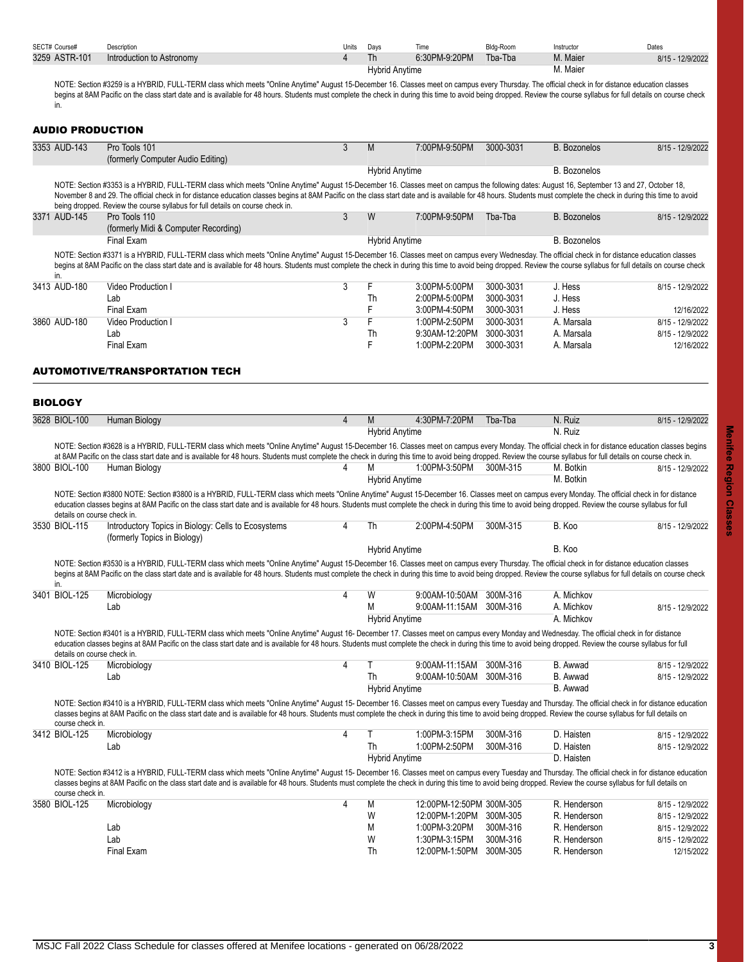<span id="page-2-2"></span><span id="page-2-1"></span><span id="page-2-0"></span>

|  | SECT# Course#               | Description                                                                                                                                                                                                                                                                                                                                                                                                               | Units          | Days      | Time                     | Bldg-Room | Instructor          | Dates            |
|--|-----------------------------|---------------------------------------------------------------------------------------------------------------------------------------------------------------------------------------------------------------------------------------------------------------------------------------------------------------------------------------------------------------------------------------------------------------------------|----------------|-----------|--------------------------|-----------|---------------------|------------------|
|  | 3259 ASTR-101               | Introduction to Astronomy                                                                                                                                                                                                                                                                                                                                                                                                 | 4              | <b>Th</b> | 6:30PM-9:20PM            | Tba-Tba   | M. Maier            | 8/15 - 12/9/2022 |
|  |                             |                                                                                                                                                                                                                                                                                                                                                                                                                           |                |           | <b>Hybrid Anytime</b>    |           | M. Maier            |                  |
|  |                             | NOTE: Section #3259 is a HYBRID, FULL-TERM class which meets "Online Anytime" August 15-December 16. Classes meet on campus every Thursday. The official check in for distance education classes                                                                                                                                                                                                                          |                |           |                          |           |                     |                  |
|  |                             | begins at 8AM Pacific on the class start date and is available for 48 hours. Students must complete the check in during this time to avoid being dropped. Review the course syllabus for full details on course check                                                                                                                                                                                                     |                |           |                          |           |                     |                  |
|  | in.                         |                                                                                                                                                                                                                                                                                                                                                                                                                           |                |           |                          |           |                     |                  |
|  |                             |                                                                                                                                                                                                                                                                                                                                                                                                                           |                |           |                          |           |                     |                  |
|  |                             |                                                                                                                                                                                                                                                                                                                                                                                                                           |                |           |                          |           |                     |                  |
|  | <b>AUDIO PRODUCTION</b>     |                                                                                                                                                                                                                                                                                                                                                                                                                           |                |           |                          |           |                     |                  |
|  | 3353 AUD-143                | Pro Tools 101                                                                                                                                                                                                                                                                                                                                                                                                             | 3              | M         | 7:00PM-9:50PM            | 3000-3031 | <b>B.</b> Bozonelos | 8/15 - 12/9/2022 |
|  |                             | (formerly Computer Audio Editing)                                                                                                                                                                                                                                                                                                                                                                                         |                |           |                          |           |                     |                  |
|  |                             |                                                                                                                                                                                                                                                                                                                                                                                                                           |                |           |                          |           | <b>B.</b> Bozonelos |                  |
|  |                             |                                                                                                                                                                                                                                                                                                                                                                                                                           |                |           | <b>Hybrid Anytime</b>    |           |                     |                  |
|  |                             | NOTE: Section #3353 is a HYBRID, FULL-TERM class which meets "Online Anytime" August 15-December 16. Classes meet on campus the following dates: August 16, September 13 and 27, October 18,                                                                                                                                                                                                                              |                |           |                          |           |                     |                  |
|  |                             | November 8 and 29. The official check in for distance education classes begins at 8AM Pacific on the class start date and is available for 48 hours. Students must complete the check in during this time to avoid                                                                                                                                                                                                        |                |           |                          |           |                     |                  |
|  |                             | being dropped. Review the course syllabus for full details on course check in.                                                                                                                                                                                                                                                                                                                                            |                |           |                          |           |                     |                  |
|  | 3371 AUD-145                | Pro Tools 110                                                                                                                                                                                                                                                                                                                                                                                                             | 3              | W         | 7:00PM-9:50PM            | Tba-Tba   | <b>B.</b> Bozonelos | 8/15 - 12/9/2022 |
|  |                             | (formerly Midi & Computer Recording)                                                                                                                                                                                                                                                                                                                                                                                      |                |           |                          |           |                     |                  |
|  |                             | <b>Final Exam</b>                                                                                                                                                                                                                                                                                                                                                                                                         |                |           | <b>Hybrid Anytime</b>    |           | <b>B.</b> Bozonelos |                  |
|  |                             | NOTE: Section #3371 is a HYBRID, FULL-TERM class which meets "Online Anytime" August 15-December 16. Classes meet on campus every Wednesday. The official check in for distance education classes                                                                                                                                                                                                                         |                |           |                          |           |                     |                  |
|  |                             | begins at 8AM Pacific on the class start date and is available for 48 hours. Students must complete the check in during this time to avoid being dropped. Review the course syllabus for full details on course check                                                                                                                                                                                                     |                |           |                          |           |                     |                  |
|  | in.                         |                                                                                                                                                                                                                                                                                                                                                                                                                           |                |           |                          |           |                     |                  |
|  | 3413 AUD-180                | Video Production I                                                                                                                                                                                                                                                                                                                                                                                                        | 3              | F         | 3:00PM-5:00PM            | 3000-3031 | J. Hess             | 8/15 - 12/9/2022 |
|  |                             | Lab                                                                                                                                                                                                                                                                                                                                                                                                                       |                | Th        | 2:00PM-5:00PM            | 3000-3031 | J. Hess             |                  |
|  |                             | <b>Final Exam</b>                                                                                                                                                                                                                                                                                                                                                                                                         |                | F         | 3:00PM-4:50PM            | 3000-3031 | J. Hess             | 12/16/2022       |
|  | 3860 AUD-180                | Video Production I                                                                                                                                                                                                                                                                                                                                                                                                        | 3              | F         | 1:00PM-2:50PM            | 3000-3031 | A. Marsala          | 8/15 - 12/9/2022 |
|  |                             |                                                                                                                                                                                                                                                                                                                                                                                                                           |                |           | 9:30AM-12:20PM           | 3000-3031 |                     |                  |
|  |                             | Lab                                                                                                                                                                                                                                                                                                                                                                                                                       |                | Th        |                          |           | A. Marsala          | 8/15 - 12/9/2022 |
|  |                             | Final Exam                                                                                                                                                                                                                                                                                                                                                                                                                |                | F         | 1:00PM-2:20PM            | 3000-3031 | A. Marsala          | 12/16/2022       |
|  |                             |                                                                                                                                                                                                                                                                                                                                                                                                                           |                |           |                          |           |                     |                  |
|  |                             | AUTOMOTIVE/TRANSPORTATION TECH                                                                                                                                                                                                                                                                                                                                                                                            |                |           |                          |           |                     |                  |
|  |                             |                                                                                                                                                                                                                                                                                                                                                                                                                           |                |           |                          |           |                     |                  |
|  |                             |                                                                                                                                                                                                                                                                                                                                                                                                                           |                |           |                          |           |                     |                  |
|  | <b>BIOLOGY</b>              |                                                                                                                                                                                                                                                                                                                                                                                                                           |                |           |                          |           |                     |                  |
|  | 3628 BIOL-100               | Human Biology                                                                                                                                                                                                                                                                                                                                                                                                             | $\overline{4}$ | M         | 4:30PM-7:20PM            | Tba-Tba   | N. Ruiz             | 8/15 - 12/9/2022 |
|  |                             |                                                                                                                                                                                                                                                                                                                                                                                                                           |                |           | <b>Hybrid Anytime</b>    |           | N. Ruiz             |                  |
|  |                             |                                                                                                                                                                                                                                                                                                                                                                                                                           |                |           |                          |           |                     |                  |
|  |                             | NOTE: Section #3628 is a HYBRID, FULL-TERM class which meets "Online Anytime" August 15-December 16. Classes meet on campus every Monday. The official check in for distance education classes begins                                                                                                                                                                                                                     |                |           |                          |           |                     |                  |
|  |                             | at 8AM Pacific on the class start date and is available for 48 hours. Students must complete the check in during this time to avoid being dropped. Review the course syllabus for full details on course check in.                                                                                                                                                                                                        |                |           |                          |           |                     |                  |
|  | 3800 BIOL-100               | Human Biology                                                                                                                                                                                                                                                                                                                                                                                                             | 4              | М         | 1:00PM-3:50PM            | 300M-315  | M. Botkin           | 8/15 - 12/9/2022 |
|  |                             |                                                                                                                                                                                                                                                                                                                                                                                                                           |                |           | <b>Hybrid Anytime</b>    |           | M. Botkin           |                  |
|  |                             | NOTE: Section #3800 NOTE: Section #3800 is a HYBRID, FULL-TERM class which meets "Online Anytime" August 15-December 16. Classes meet on campus every Monday. The official check in for distance                                                                                                                                                                                                                          |                |           |                          |           |                     |                  |
|  |                             | education classes begins at 8AM Pacific on the class start date and is available for 48 hours. Students must complete the check in during this time to avoid being dropped. Review the course syllabus for full                                                                                                                                                                                                           |                |           |                          |           |                     |                  |
|  | details on course check in. |                                                                                                                                                                                                                                                                                                                                                                                                                           |                |           |                          |           |                     |                  |
|  | 3530 BIOL-115               | Introductory Topics in Biology: Cells to Ecosystems                                                                                                                                                                                                                                                                                                                                                                       |                | Th        | 2:00PM-4:50PM            | 300M-315  | B. Koo              | 8/15 - 12/9/2022 |
|  |                             | (formerly Topics in Biology)                                                                                                                                                                                                                                                                                                                                                                                              |                |           |                          |           |                     |                  |
|  |                             |                                                                                                                                                                                                                                                                                                                                                                                                                           |                |           | <b>Hybrid Anytime</b>    |           | B. Koo              |                  |
|  |                             |                                                                                                                                                                                                                                                                                                                                                                                                                           |                |           |                          |           |                     |                  |
|  |                             | NOTE: Section #3530 is a HYBRID, FULL-TERM class which meets "Online Anytime" August 15-December 16. Classes meet on campus every Thursday. The official check in for distance education classes<br>begins at 8AM Pacific on the class start date and is available for 48 hours. Students must complete the check in during this time to avoid being dropped. Review the course syllabus for full details on course check |                |           |                          |           |                     |                  |
|  |                             |                                                                                                                                                                                                                                                                                                                                                                                                                           |                |           |                          |           |                     |                  |
|  | in.                         |                                                                                                                                                                                                                                                                                                                                                                                                                           |                |           |                          |           |                     |                  |
|  | 3401 BIOL-125               | Microbiology                                                                                                                                                                                                                                                                                                                                                                                                              | 4              | W         | 9:00AM-10:50AM 300M-316  |           | A. Michkov          |                  |
|  |                             | Lab                                                                                                                                                                                                                                                                                                                                                                                                                       |                | М         | 9:00AM-11:15AM           | 300M-316  | A. Michkov          | 8/15 - 12/9/2022 |
|  |                             |                                                                                                                                                                                                                                                                                                                                                                                                                           |                |           | <b>Hybrid Anytime</b>    |           | A. Michkov          |                  |
|  |                             | NOTE: Section #3401 is a HYBRID, FULL-TERM class which meets "Online Anytime" August 16- December 17. Classes meet on campus every Monday and Wednesday. The official check in for distance                                                                                                                                                                                                                               |                |           |                          |           |                     |                  |
|  |                             | education classes begins at 8AM Pacific on the class start date and is available for 48 hours. Students must complete the check in during this time to avoid being dropped. Review the course syllabus for full                                                                                                                                                                                                           |                |           |                          |           |                     |                  |
|  | details on course check in. |                                                                                                                                                                                                                                                                                                                                                                                                                           |                |           |                          |           |                     |                  |
|  | 3410 BIOL-125               | Microbiology                                                                                                                                                                                                                                                                                                                                                                                                              | 4              | Τ         | 9:00AM-11:15AM           | 300M-316  | B. Awwad            | 8/15 - 12/9/2022 |
|  |                             | Lab                                                                                                                                                                                                                                                                                                                                                                                                                       |                | Th        | 9:00AM-10:50AM 300M-316  |           | B. Awwad            | 8/15 - 12/9/2022 |
|  |                             |                                                                                                                                                                                                                                                                                                                                                                                                                           |                |           | <b>Hybrid Anytime</b>    |           | B. Awwad            |                  |
|  |                             | NOTE: Section #3410 is a HYBRID, FULL-TERM class which meets "Online Anytime" August 15- December 16. Classes meet on campus every Tuesday and Thursday. The official check in for distance education                                                                                                                                                                                                                     |                |           |                          |           |                     |                  |
|  |                             | classes begins at 8AM Pacific on the class start date and is available for 48 hours. Students must complete the check in during this time to avoid being dropped. Review the course syllabus for full details on                                                                                                                                                                                                          |                |           |                          |           |                     |                  |
|  | course check in.            |                                                                                                                                                                                                                                                                                                                                                                                                                           |                |           |                          |           |                     |                  |
|  | 3412 BIOL-125               | Microbiology                                                                                                                                                                                                                                                                                                                                                                                                              | 4              | Τ         | 1:00PM-3:15PM            | 300M-316  | D. Haisten          | 8/15 - 12/9/2022 |
|  |                             | Lab                                                                                                                                                                                                                                                                                                                                                                                                                       |                | Th        | 1:00PM-2:50PM            | 300M-316  | D. Haisten          | 8/15 - 12/9/2022 |
|  |                             |                                                                                                                                                                                                                                                                                                                                                                                                                           |                |           |                          |           |                     |                  |
|  |                             |                                                                                                                                                                                                                                                                                                                                                                                                                           |                |           | <b>Hybrid Anytime</b>    |           | D. Haisten          |                  |
|  |                             | NOTE: Section #3412 is a HYBRID, FULL-TERM class which meets "Online Anytime" August 15- December 16. Classes meet on campus every Tuesday and Thursday. The official check in for distance education                                                                                                                                                                                                                     |                |           |                          |           |                     |                  |
|  |                             | classes begins at 8AM Pacific on the class start date and is available for 48 hours. Students must complete the check in during this time to avoid being dropped. Review the course syllabus for full details on                                                                                                                                                                                                          |                |           |                          |           |                     |                  |
|  | course check in.            |                                                                                                                                                                                                                                                                                                                                                                                                                           |                |           |                          |           |                     |                  |
|  | 3580 BIOL-125               | Microbiology                                                                                                                                                                                                                                                                                                                                                                                                              | 4              | M         | 12:00PM-12:50PM 300M-305 |           | R. Henderson        | 8/15 - 12/9/2022 |
|  |                             |                                                                                                                                                                                                                                                                                                                                                                                                                           |                | W         | 12:00PM-1:20PM           | 300M-305  | R. Henderson        | 8/15 - 12/9/2022 |
|  |                             | Lab                                                                                                                                                                                                                                                                                                                                                                                                                       |                | М         | 1:00PM-3:20PM            | 300M-316  | R. Henderson        | 8/15 - 12/9/2022 |
|  |                             | Lab                                                                                                                                                                                                                                                                                                                                                                                                                       |                | W         | 1:30PM-3:15PM            | 300M-316  | R. Henderson        | 8/15 - 12/9/2022 |
|  |                             | Final Exam                                                                                                                                                                                                                                                                                                                                                                                                                |                | Th        | 12:00PM-1:50PM 300M-305  |           | R. Henderson        | 12/15/2022       |
|  |                             |                                                                                                                                                                                                                                                                                                                                                                                                                           |                |           |                          |           |                     |                  |

**Menifee Region Classes**

Menifee Region Classes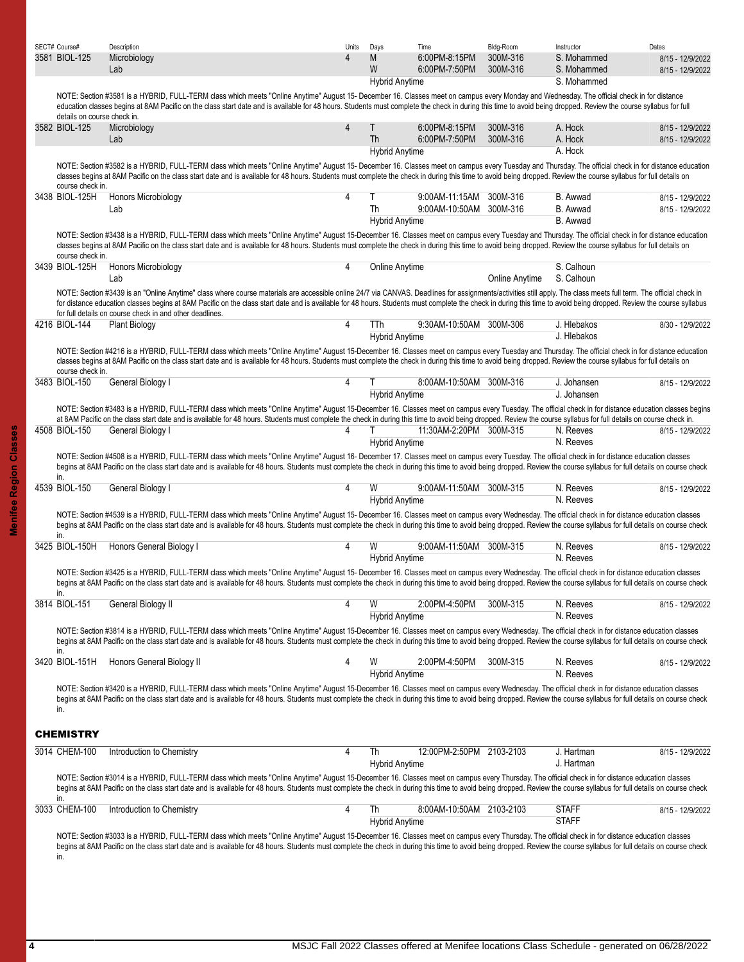<span id="page-3-0"></span>

| SECT# Course#               | Description                                                                                                                                                                                                                                                                                                                                                                                                                                                                                          | Units | Days                         | Time                                      | Bldg-Room             | Instructor                   | Dates                                |
|-----------------------------|------------------------------------------------------------------------------------------------------------------------------------------------------------------------------------------------------------------------------------------------------------------------------------------------------------------------------------------------------------------------------------------------------------------------------------------------------------------------------------------------------|-------|------------------------------|-------------------------------------------|-----------------------|------------------------------|--------------------------------------|
| 3581 BIOL-125               | Microbiology<br>Lab                                                                                                                                                                                                                                                                                                                                                                                                                                                                                  | 4     | M<br>W                       | 6:00PM-8:15PM<br>6:00PM-7:50PM            | 300M-316<br>300M-316  | S. Mohammed<br>S. Mohammed   | 8/15 - 12/9/2022<br>8/15 - 12/9/2022 |
|                             | NOTE: Section #3581 is a HYBRID, FULL-TERM class which meets "Online Anytime" August 15- December 16. Classes meet on campus every Monday and Wednesday. The official check in for distance<br>education classes begins at 8AM Pacific on the class start date and is available for 48 hours. Students must complete the check in during this time to avoid being dropped. Review the course syllabus for full                                                                                       |       | <b>Hybrid Anytime</b>        |                                           |                       | S. Mohammed                  |                                      |
| details on course check in. |                                                                                                                                                                                                                                                                                                                                                                                                                                                                                                      |       |                              |                                           |                       |                              |                                      |
| 3582 BIOL-125               | Microbiology<br>Lab                                                                                                                                                                                                                                                                                                                                                                                                                                                                                  | 4     | Τ<br>Th                      | 6:00PM-8:15PM<br>6:00PM-7:50PM            | 300M-316<br>300M-316  | A. Hock<br>A. Hock           | 8/15 - 12/9/2022<br>8/15 - 12/9/2022 |
|                             |                                                                                                                                                                                                                                                                                                                                                                                                                                                                                                      |       | <b>Hybrid Anytime</b>        |                                           |                       | A. Hock                      |                                      |
| course check in.            | NOTE: Section #3582 is a HYBRID, FULL-TERM class which meets "Online Anytime" August 15- December 16. Classes meet on campus every Tuesday and Thursday. The official check in for distance education<br>classes begins at 8AM Pacific on the class start date and is available for 48 hours. Students must complete the check in during this time to avoid being dropped. Review the course syllabus for full details on                                                                            |       |                              |                                           |                       |                              |                                      |
| 3438 BIOL-125H              | <b>Honors Microbiology</b><br>Lab                                                                                                                                                                                                                                                                                                                                                                                                                                                                    | 4     | Th                           | 9:00AM-11:15AM<br>9:00AM-10:50AM 300M-316 | 300M-316              | B. Awwad<br>B. Awwad         | 8/15 - 12/9/2022<br>8/15 - 12/9/2022 |
|                             |                                                                                                                                                                                                                                                                                                                                                                                                                                                                                                      |       | <b>Hybrid Anytime</b>        |                                           |                       | B. Awwad                     |                                      |
| course check in.            | NOTE: Section #3438 is a HYBRID, FULL-TERM class which meets "Online Anytime" August 15-December 16. Classes meet on campus every Tuesday and Thursday. The official check in for distance education<br>classes begins at 8AM Pacific on the class start date and is available for 48 hours. Students must complete the check in during this time to avoid being dropped. Review the course syllabus for full details on                                                                             |       |                              |                                           |                       |                              |                                      |
| 3439 BIOL-125H              | Honors Microbiology<br>Lab                                                                                                                                                                                                                                                                                                                                                                                                                                                                           | 4     | Online Anytime               |                                           | <b>Online Anytime</b> | S. Calhoun<br>S. Calhoun     |                                      |
|                             | NOTE: Section #3439 is an "Online Anytime" class where course materials are accessible online 24/7 via CANVAS. Deadlines for assignments/activities still apply. The class meets full term. The official check in<br>for distance education classes begins at 8AM Pacific on the class start date and is available for 48 hours. Students must complete the check in during this time to avoid being dropped. Review the course syllabus<br>for full details on course check in and other deadlines. |       |                              |                                           |                       |                              |                                      |
| 4216 BIOL-144               | <b>Plant Biology</b>                                                                                                                                                                                                                                                                                                                                                                                                                                                                                 | 4     | TTh<br><b>Hybrid Anytime</b> | 9:30AM-10:50AM 300M-306                   |                       | J. Hlebakos<br>J. Hlebakos   | 8/30 - 12/9/2022                     |
| course check in.            | NOTE: Section #4216 is a HYBRID, FULL-TERM class which meets "Online Anytime" August 15-December 16. Classes meet on campus every Tuesday and Thursday. The official check in for distance education<br>classes begins at 8AM Pacific on the class start date and is available for 48 hours. Students must complete the check in during this time to avoid being dropped. Review the course syllabus for full details on                                                                             |       |                              |                                           |                       |                              |                                      |
| 3483 BIOL-150               | General Biology I                                                                                                                                                                                                                                                                                                                                                                                                                                                                                    | 4     | <b>Hybrid Anytime</b>        | 8:00AM-10:50AM 300M-316                   |                       | J. Johansen<br>J. Johansen   | 8/15 - 12/9/2022                     |
|                             | NOTE: Section #3483 is a HYBRID, FULL-TERM class which meets "Online Anytime" August 15-December 16. Classes meet on campus every Tuesday. The official check in for distance education classes begins                                                                                                                                                                                                                                                                                               |       |                              |                                           |                       |                              |                                      |
| 4508 BIOL-150               | at 8AM Pacific on the class start date and is available for 48 hours. Students must complete the check in during this time to avoid being dropped. Review the course syllabus for full details on course check in.<br>General Biology I                                                                                                                                                                                                                                                              | 4     |                              | 11:30AM-2:20PM 300M-315                   |                       | N. Reeves                    | 8/15 - 12/9/2022                     |
|                             |                                                                                                                                                                                                                                                                                                                                                                                                                                                                                                      |       | <b>Hybrid Anytime</b>        |                                           |                       | N. Reeves                    |                                      |
|                             | NOTE: Section #4508 is a HYBRID, FULL-TERM class which meets "Online Anytime" August 16- December 17. Classes meet on campus every Tuesday. The official check in for distance education classes<br>begins at 8AM Pacific on the class start date and is available for 48 hours. Students must complete the check in during this time to avoid being dropped. Review the course syllabus for full details on course check                                                                            |       |                              |                                           |                       |                              |                                      |
| in.                         |                                                                                                                                                                                                                                                                                                                                                                                                                                                                                                      |       |                              |                                           |                       |                              |                                      |
| 4539 BIOL-150               | General Biology I                                                                                                                                                                                                                                                                                                                                                                                                                                                                                    | 4     | W<br><b>Hybrid Anytime</b>   | 9:00AM-11:50AM 300M-315                   |                       | N. Reeves<br>N. Reeves       | 8/15 - 12/9/2022                     |
| in.                         | NOTE: Section #4539 is a HYBRID, FULL-TERM class which meets "Online Anytime" August 15- December 16. Classes meet on campus every Wednesday. The official check in for distance education classes<br>begins at 8AM Pacific on the class start date and is available for 48 hours. Students must complete the check in during this time to avoid being dropped. Review the course syllabus for full details on course check                                                                          |       |                              |                                           |                       |                              |                                      |
| 3425 BIOL-150H              | Honors General Biology I                                                                                                                                                                                                                                                                                                                                                                                                                                                                             | 4     | W<br><b>Hybrid Anytime</b>   | 9:00AM-11:50AM 300M-315                   |                       | N. Reeves<br>N. Reeves       | 8/15 - 12/9/2022                     |
|                             | NOTE: Section #3425 is a HYBRID, FULL-TERM class which meets "Online Anytime" August 15- December 16. Classes meet on campus every Wednesday. The official check in for distance education classes<br>begins at 8AM Pacific on the class start date and is available for 48 hours. Students must complete the check in during this time to avoid being dropped. Review the course syllabus for full details on course check                                                                          |       |                              |                                           |                       |                              |                                      |
| in.<br>3814 BIOL-151        | General Biology II                                                                                                                                                                                                                                                                                                                                                                                                                                                                                   | 4     | W<br><b>Hybrid Anytime</b>   | 2:00PM-4:50PM                             | 300M-315              | N. Reeves<br>N. Reeves       | 8/15 - 12/9/2022                     |
|                             | NOTE: Section #3814 is a HYBRID, FULL-TERM class which meets "Online Anytime" August 15-December 16. Classes meet on campus every Wednesday. The official check in for distance education classes<br>begins at 8AM Pacific on the class start date and is available for 48 hours. Students must complete the check in during this time to avoid being dropped. Review the course syllabus for full details on course check                                                                           |       |                              |                                           |                       |                              |                                      |
| in.<br>3420 BIOL-151H       | Honors General Biology II                                                                                                                                                                                                                                                                                                                                                                                                                                                                            | 4     | W                            | 2:00PM-4:50PM                             | 300M-315              | N. Reeves<br>N. Reeves       | 8/15 - 12/9/2022                     |
| in.                         | NOTE: Section #3420 is a HYBRID, FULL-TERM class which meets "Online Anytime" August 15-December 16. Classes meet on campus every Wednesday. The official check in for distance education classes<br>begins at 8AM Pacific on the class start date and is available for 48 hours. Students must complete the check in during this time to avoid being dropped. Review the course syllabus for full details on course check                                                                           |       | <b>Hybrid Anytime</b>        |                                           |                       |                              |                                      |
| <b>CHEMISTRY</b>            |                                                                                                                                                                                                                                                                                                                                                                                                                                                                                                      |       |                              |                                           |                       |                              |                                      |
| 3014 CHEM-100               | Introduction to Chemistry                                                                                                                                                                                                                                                                                                                                                                                                                                                                            | 4     | Th<br><b>Hybrid Anytime</b>  | 12:00PM-2:50PM 2103-2103                  |                       | J. Hartman<br>J. Hartman     | 8/15 - 12/9/2022                     |
| in.                         | NOTE: Section #3014 is a HYBRID, FULL-TERM class which meets "Online Anytime" August 15-December 16. Classes meet on campus every Thursday. The official check in for distance education classes<br>begins at 8AM Pacific on the class start date and is available for 48 hours. Students must complete the check in during this time to avoid being dropped. Review the course syllabus for full details on course check                                                                            |       |                              |                                           |                       |                              |                                      |
| 3033 CHEM-100               | Introduction to Chemistry                                                                                                                                                                                                                                                                                                                                                                                                                                                                            | 4     | Th<br><b>Hybrid Anytime</b>  | 8:00AM-10:50AM 2103-2103                  |                       | <b>STAFF</b><br><b>STAFF</b> | 8/15 - 12/9/2022                     |
| in.                         | NOTE: Section #3033 is a HYBRID, FULL-TERM class which meets "Online Anytime" August 15-December 16. Classes meet on campus every Thursday. The official check in for distance education classes<br>begins at 8AM Pacific on the class start date and is available for 48 hours. Students must complete the check in during this time to avoid being dropped. Review the course syllabus for full details on course check                                                                            |       |                              |                                           |                       |                              |                                      |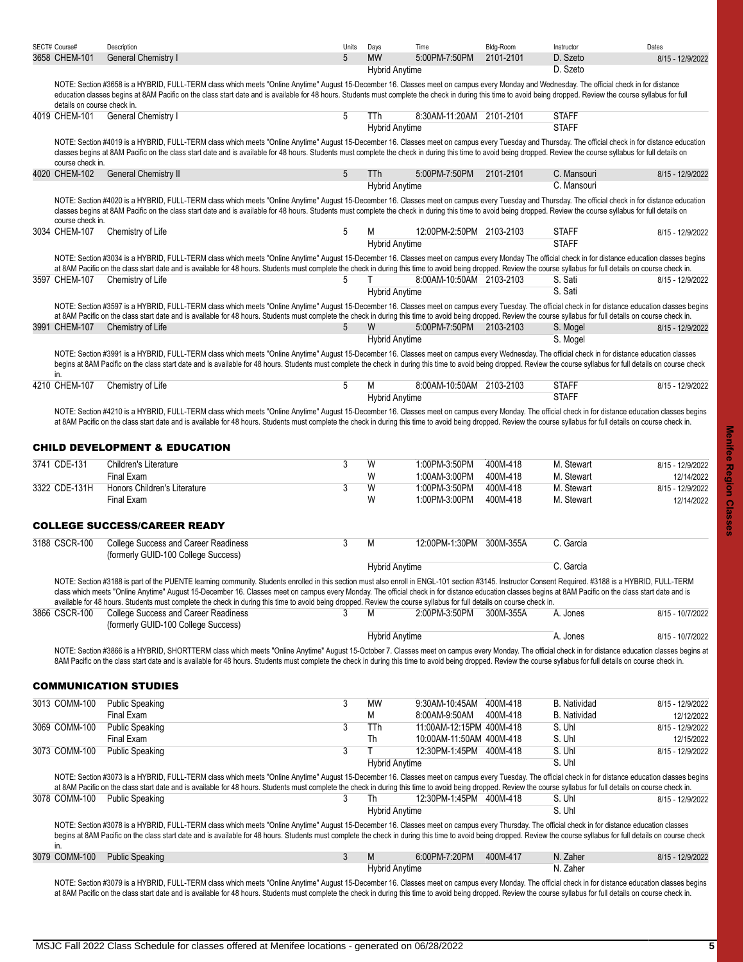<span id="page-4-2"></span><span id="page-4-1"></span><span id="page-4-0"></span>

| SECT# Course#<br>3658 CHEM-101                                                                                                                                                                                                                                                                                                                                                                                             | Description<br>General Chemistry I                                                                                                                                                                                                                                                                                                                                                                                           | Units<br>5     | Days<br><b>MW</b>            | Time<br>5:00PM-7:50PM                                | Bldg-Room<br>2101-2101 | Instructor<br>D. Szeto<br>D. Szeto | Dates<br>8/15 - 12/9/2022      |  |  |  |
|----------------------------------------------------------------------------------------------------------------------------------------------------------------------------------------------------------------------------------------------------------------------------------------------------------------------------------------------------------------------------------------------------------------------------|------------------------------------------------------------------------------------------------------------------------------------------------------------------------------------------------------------------------------------------------------------------------------------------------------------------------------------------------------------------------------------------------------------------------------|----------------|------------------------------|------------------------------------------------------|------------------------|------------------------------------|--------------------------------|--|--|--|
|                                                                                                                                                                                                                                                                                                                                                                                                                            | NOTE: Section #3658 is a HYBRID, FULL-TERM class which meets "Online Anytime" August 15-December 16. Classes meet on campus every Monday and Wednesday. The official check in for distance<br>education classes begins at 8AM Pacific on the class start date and is available for 48 hours. Students must complete the check in during this time to avoid being dropped. Review the course syllabus for full                |                | <b>Hybrid Anytime</b>        |                                                      |                        |                                    |                                |  |  |  |
| details on course check in.<br>4019 CHEM-101                                                                                                                                                                                                                                                                                                                                                                               | <b>General Chemistry I</b>                                                                                                                                                                                                                                                                                                                                                                                                   | 5              | TTh<br><b>Hybrid Anytime</b> | 8:30AM-11:20AM 2101-2101                             |                        | <b>STAFF</b><br><b>STAFF</b>       |                                |  |  |  |
|                                                                                                                                                                                                                                                                                                                                                                                                                            | NOTE: Section #4019 is a HYBRID, FULL-TERM class which meets "Online Anytime" August 15-December 16. Classes meet on campus every Tuesday and Thursday. The official check in for distance education<br>classes begins at 8AM Pacific on the class start date and is available for 48 hours. Students must complete the check in during this time to avoid being dropped. Review the course syllabus for full details on     |                |                              |                                                      |                        |                                    |                                |  |  |  |
| course check in.<br>4020 CHEM-102                                                                                                                                                                                                                                                                                                                                                                                          | <b>General Chemistry II</b>                                                                                                                                                                                                                                                                                                                                                                                                  | 5              | <b>TTh</b>                   | 5.00PM-7:50PM                                        | 2101-2101              | C. Mansouri                        | 8/15 - 12/9/2022               |  |  |  |
|                                                                                                                                                                                                                                                                                                                                                                                                                            |                                                                                                                                                                                                                                                                                                                                                                                                                              |                | <b>Hybrid Anytime</b>        |                                                      |                        | C. Mansouri                        |                                |  |  |  |
| course check in.                                                                                                                                                                                                                                                                                                                                                                                                           | NOTE: Section #4020 is a HYBRID, FULL-TERM class which meets "Online Anytime" August 15-December 16. Classes meet on campus every Tuesday and Thursday. The official check in for distance education<br>classes begins at 8AM Pacific on the class start date and is available for 48 hours. Students must complete the check in during this time to avoid being dropped. Review the course syllabus for full details on     |                |                              |                                                      |                        |                                    |                                |  |  |  |
| 3034 CHEM-107                                                                                                                                                                                                                                                                                                                                                                                                              | Chemistry of Life                                                                                                                                                                                                                                                                                                                                                                                                            | 5              | М<br><b>Hybrid Anytime</b>   | 12:00PM-2:50PM 2103-2103                             |                        | <b>STAFF</b><br><b>STAFF</b>       | 8/15 - 12/9/2022               |  |  |  |
| NOTE: Section #3034 is a HYBRID, FULL-TERM class which meets "Online Anytime" August 15-December 16. Classes meet on campus every Monday The official check in for distance education classes begins<br>at 8AM Pacific on the class start date and is available for 48 hours. Students must complete the check in during this time to avoid being dropped. Review the course syllabus for full details on course check in. |                                                                                                                                                                                                                                                                                                                                                                                                                              |                |                              |                                                      |                        |                                    |                                |  |  |  |
| 3597 CHEM-107                                                                                                                                                                                                                                                                                                                                                                                                              | Chemistry of Life                                                                                                                                                                                                                                                                                                                                                                                                            | 5              |                              | 8.00AM-10:50AM 2103-2103                             |                        | S. Sati                            | 8/15 - 12/9/2022               |  |  |  |
|                                                                                                                                                                                                                                                                                                                                                                                                                            |                                                                                                                                                                                                                                                                                                                                                                                                                              |                | <b>Hybrid Anytime</b>        |                                                      |                        | S. Sati                            |                                |  |  |  |
|                                                                                                                                                                                                                                                                                                                                                                                                                            | NOTE: Section #3597 is a HYBRID, FULL-TERM class which meets "Online Anytime" August 15-December 16. Classes meet on campus every Tuesday. The official check in for distance education classes begins<br>at 8AM Pacific on the class start date and is available for 48 hours. Students must complete the check in during this time to avoid being dropped. Review the course syllabus for full details on course check in. |                |                              |                                                      |                        |                                    |                                |  |  |  |
| 3991 CHEM-107                                                                                                                                                                                                                                                                                                                                                                                                              | Chemistry of Life                                                                                                                                                                                                                                                                                                                                                                                                            | 5              | W                            | 5.00PM-7:50PM 2103-2103                              |                        | S. Mogel                           | 8/15 - 12/9/2022               |  |  |  |
|                                                                                                                                                                                                                                                                                                                                                                                                                            |                                                                                                                                                                                                                                                                                                                                                                                                                              |                | <b>Hybrid Anytime</b>        |                                                      |                        | S. Mogel                           |                                |  |  |  |
| in.                                                                                                                                                                                                                                                                                                                                                                                                                        | NOTE: Section #3991 is a HYBRID, FULL-TERM class which meets "Online Anytime" August 15-December 16. Classes meet on campus every Wednesday. The official check in for distance education classes<br>begins at 8AM Pacific on the class start date and is available for 48 hours. Students must complete the check in during this time to avoid being dropped. Review the course syllabus for full details on course check   |                |                              |                                                      |                        |                                    |                                |  |  |  |
| 4210 CHEM-107                                                                                                                                                                                                                                                                                                                                                                                                              | Chemistry of Life                                                                                                                                                                                                                                                                                                                                                                                                            | 5              | M                            | 8.00AM-10:50AM 2103-2103                             |                        | <b>STAFF</b>                       | 8/15 - 12/9/2022               |  |  |  |
|                                                                                                                                                                                                                                                                                                                                                                                                                            |                                                                                                                                                                                                                                                                                                                                                                                                                              |                | <b>Hybrid Anytime</b>        |                                                      |                        | <b>STAFF</b>                       |                                |  |  |  |
|                                                                                                                                                                                                                                                                                                                                                                                                                            | NOTE: Section #4210 is a HYBRID, FULL-TERM class which meets "Online Anytime" August 15-December 16. Classes meet on campus every Monday. The official check in for distance education classes begins<br>at 8AM Pacific on the class start date and is available for 48 hours. Students must complete the check in during this time to avoid being dropped. Review the course syllabus for full details on course check in.  |                |                              |                                                      |                        |                                    |                                |  |  |  |
|                                                                                                                                                                                                                                                                                                                                                                                                                            | <b>CHILD DEVELOPMENT &amp; EDUCATION</b>                                                                                                                                                                                                                                                                                                                                                                                     |                |                              |                                                      |                        |                                    |                                |  |  |  |
| 3741 CDE-131                                                                                                                                                                                                                                                                                                                                                                                                               | <b>Children's Literature</b>                                                                                                                                                                                                                                                                                                                                                                                                 | 3              | W                            | 1:00PM-3:50PM                                        | 400M-418               | M. Stewart                         | 8/15 - 12/9/2022               |  |  |  |
|                                                                                                                                                                                                                                                                                                                                                                                                                            | Final Exam                                                                                                                                                                                                                                                                                                                                                                                                                   |                | W                            | 1:00AM-3:00PM                                        | 400M-418               | M. Stewart                         | 12/14/2022                     |  |  |  |
| 3322 CDE-131H                                                                                                                                                                                                                                                                                                                                                                                                              | Honors Children's Literature<br><b>Final Exam</b>                                                                                                                                                                                                                                                                                                                                                                            | 3              | W<br>W                       | 1:00PM-3:50PM<br>1:00PM-3:00PM                       | 400M-418<br>400M-418   | M. Stewart<br>M. Stewart           | 8/15 - 12/9/2022<br>12/14/2022 |  |  |  |
|                                                                                                                                                                                                                                                                                                                                                                                                                            |                                                                                                                                                                                                                                                                                                                                                                                                                              |                |                              |                                                      |                        |                                    |                                |  |  |  |
|                                                                                                                                                                                                                                                                                                                                                                                                                            | <b>COLLEGE SUCCESS/CAREER READY</b>                                                                                                                                                                                                                                                                                                                                                                                          |                |                              |                                                      |                        |                                    |                                |  |  |  |
| 3188 CSCR-100                                                                                                                                                                                                                                                                                                                                                                                                              | College Success and Career Readiness<br>(formerly GUID-100 College Success)                                                                                                                                                                                                                                                                                                                                                  | $\overline{3}$ | M                            | 12:00PM-1:30PM 300M-355A                             |                        | C. Garcia                          |                                |  |  |  |
|                                                                                                                                                                                                                                                                                                                                                                                                                            |                                                                                                                                                                                                                                                                                                                                                                                                                              |                | <b>Hybrid Anytime</b>        |                                                      |                        | C. Garcia                          |                                |  |  |  |
|                                                                                                                                                                                                                                                                                                                                                                                                                            | NOTE: Section #3188 is part of the PUENTE learning community. Students enrolled in this section must also enroll in ENGL-101 section #3145. Instructor Consent Required. #3188 is a HYBRID. FULL-TERM<br>class which meets "Online Anytime" August 15-December 16. Classes meet on campus every Monday. The official check in for distance education classes begins at 8AM Pacific on the class start date and is            |                |                              |                                                      |                        |                                    |                                |  |  |  |
| 3866 CSCR-100                                                                                                                                                                                                                                                                                                                                                                                                              | available for 48 hours. Students must complete the check in during this time to avoid being dropped. Review the course syllabus for full details on course check in.<br>College Success and Career Readiness                                                                                                                                                                                                                 | 3              | M                            | 2:00PM-3:50PM                                        | 300M-355A              | A. Jones                           | 8/15 - 10/7/2022               |  |  |  |
|                                                                                                                                                                                                                                                                                                                                                                                                                            | (formerly GUID-100 College Success)                                                                                                                                                                                                                                                                                                                                                                                          |                |                              |                                                      |                        |                                    |                                |  |  |  |
|                                                                                                                                                                                                                                                                                                                                                                                                                            |                                                                                                                                                                                                                                                                                                                                                                                                                              |                | <b>Hybrid Anytime</b>        |                                                      |                        | A. Jones                           | 8/15 - 10/7/2022               |  |  |  |
|                                                                                                                                                                                                                                                                                                                                                                                                                            | NOTE: Section #3866 is a HYBRID, SHORTTERM class which meets "Online Anytime" August 15-October 7. Classes meet on campus every Monday. The official check in for distance education classes begins at<br>8AM Pacific on the class start date and is available for 48 hours. Students must complete the check in during this time to avoid being dropped. Review the course syllabus for full details on course check in.    |                |                              |                                                      |                        |                                    |                                |  |  |  |
|                                                                                                                                                                                                                                                                                                                                                                                                                            |                                                                                                                                                                                                                                                                                                                                                                                                                              |                |                              |                                                      |                        |                                    |                                |  |  |  |
|                                                                                                                                                                                                                                                                                                                                                                                                                            | <b>COMMUNICATION STUDIES</b>                                                                                                                                                                                                                                                                                                                                                                                                 |                |                              |                                                      |                        |                                    |                                |  |  |  |
| 3013 COMM-100                                                                                                                                                                                                                                                                                                                                                                                                              | <b>Public Speaking</b>                                                                                                                                                                                                                                                                                                                                                                                                       | 3              | MW                           | 9:30AM-10:45AM                                       | 400M-418               | <b>B.</b> Natividad                | 8/15 - 12/9/2022               |  |  |  |
|                                                                                                                                                                                                                                                                                                                                                                                                                            | Final Exam                                                                                                                                                                                                                                                                                                                                                                                                                   |                | М                            | 8:00AM-9:50AM                                        | 400M-418               | <b>B.</b> Natividad                | 12/12/2022                     |  |  |  |
| 3069 COMM-100                                                                                                                                                                                                                                                                                                                                                                                                              | <b>Public Speaking</b><br>Final Exam                                                                                                                                                                                                                                                                                                                                                                                         | 3              | TTh<br>Th                    | 11:00AM-12:15PM 400M-418<br>10:00AM-11:50AM 400M-418 |                        | S. Uhl<br>S. Uhl                   | 8/15 - 12/9/2022<br>12/15/2022 |  |  |  |
| 3073 COMM-100                                                                                                                                                                                                                                                                                                                                                                                                              | <b>Public Speaking</b>                                                                                                                                                                                                                                                                                                                                                                                                       | 3              | T                            | 12:30PM-1:45PM 400M-418                              |                        | S. Uhl                             | 8/15 - 12/9/2022               |  |  |  |
|                                                                                                                                                                                                                                                                                                                                                                                                                            |                                                                                                                                                                                                                                                                                                                                                                                                                              |                | <b>Hybrid Anytime</b>        |                                                      |                        | S. Uhl                             |                                |  |  |  |
|                                                                                                                                                                                                                                                                                                                                                                                                                            | NOTE: Section #3073 is a HYBRID, FULL-TERM class which meets "Online Anytime" August 15-December 16. Classes meet on campus every Tuesday. The official check in for distance education classes begins<br>at 8AM Pacific on the class start date and is available for 48 hours. Students must complete the check in during this time to avoid being dropped. Review the course syllabus for full details on course check in. |                |                              |                                                      |                        |                                    |                                |  |  |  |
|                                                                                                                                                                                                                                                                                                                                                                                                                            | 3078 COMM-100 Public Speaking                                                                                                                                                                                                                                                                                                                                                                                                | 3              | Th<br><b>Hybrid Anytime</b>  | 12:30PM-1:45PM 400M-418                              |                        | S. Uhl<br>S. Uhl                   | 8/15 - 12/9/2022               |  |  |  |
|                                                                                                                                                                                                                                                                                                                                                                                                                            | NOTE: Section #3078 is a HYBRID, FULL-TERM class which meets "Online Anytime" August 15-December 16. Classes meet on campus every Thursday. The official check in for distance education classes<br>begins at 8AM Pacific on the class start date and is available for 48 hours. Students must complete the check in during this time to avoid being dropped. Review the course syllabus for full details on course check    |                |                              |                                                      |                        |                                    |                                |  |  |  |
| in.<br>3079 COMM-100                                                                                                                                                                                                                                                                                                                                                                                                       | <b>Public Speaking</b>                                                                                                                                                                                                                                                                                                                                                                                                       | 3              | M                            | 6:00PM-7:20PM                                        | 400M-417               | N. Zaher                           | 8/15 - 12/9/2022               |  |  |  |
|                                                                                                                                                                                                                                                                                                                                                                                                                            |                                                                                                                                                                                                                                                                                                                                                                                                                              |                | <b>Hybrid Anytime</b>        |                                                      |                        | N. Zaher                           |                                |  |  |  |
|                                                                                                                                                                                                                                                                                                                                                                                                                            | NOTE: Section #3079 is a HYBRID, FULL-TERM class which meets "Online Anytime" August 15-December 16. Classes meet on campus every Monday. The official check in for distance education classes begins<br>at 8AM Pacific on the class start date and is available for 48 hours. Students must complete the check in during this time to avoid being dropped. Review the course syllabus for full details on course check in.  |                |                              |                                                      |                        |                                    |                                |  |  |  |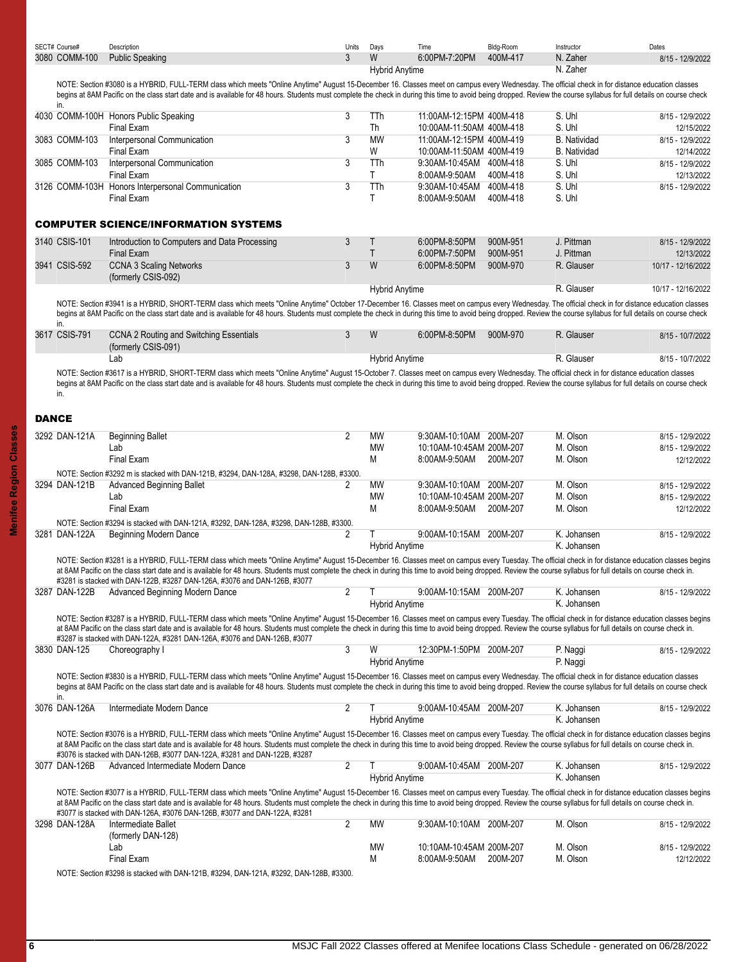<span id="page-5-0"></span>

| SECT# Course# | Description                                                                                                                                                                                                                                                                                                                                                                                                                  | Units          | Days                  | Time                                                 | Bldg-Room | Instructor                    | Dates                                                                  |
|---------------|------------------------------------------------------------------------------------------------------------------------------------------------------------------------------------------------------------------------------------------------------------------------------------------------------------------------------------------------------------------------------------------------------------------------------|----------------|-----------------------|------------------------------------------------------|-----------|-------------------------------|------------------------------------------------------------------------|
| 3080 COMM-100 | <b>Public Speaking</b>                                                                                                                                                                                                                                                                                                                                                                                                       | 3              | W                     | 6:00PM-7:20PM                                        | 400M-417  | N. Zaher                      | 8/15 - 12/9/2022                                                       |
|               |                                                                                                                                                                                                                                                                                                                                                                                                                              |                | <b>Hybrid Anytime</b> |                                                      |           | N. Zaher                      |                                                                        |
|               | NOTE: Section #3080 is a HYBRID, FULL-TERM class which meets "Online Anytime" August 15-December 16. Classes meet on campus every Wednesday. The official check in for distance education classes<br>begins at 8AM Pacific on the class start date and is available for 48 hours. Students must complete the check in during this time to avoid being dropped. Review the course syllabus for full details on course check   |                |                       |                                                      |           |                               |                                                                        |
| in.           | 4030 COMM-100H Honors Public Speaking                                                                                                                                                                                                                                                                                                                                                                                        | 3              | TTh                   | 11:00AM-12:15PM 400M-418                             |           | S. Uhl                        | 8/15 - 12/9/2022                                                       |
| 3083 COMM-103 | Final Exam<br>Interpersonal Communication                                                                                                                                                                                                                                                                                                                                                                                    | 3              | Th<br><b>MW</b>       | 10:00AM-11:50AM 400M-418<br>11:00AM-12:15PM 400M-419 |           | S. Uhl<br><b>B.</b> Natividad | 12/15/2022                                                             |
|               | Final Exam                                                                                                                                                                                                                                                                                                                                                                                                                   |                | W                     | 10:00AM-11:50AM 400M-419                             |           | <b>B.</b> Natividad           | 8/15 - 12/9/2022<br>12/14/2022                                         |
| 3085 COMM-103 | Interpersonal Communication                                                                                                                                                                                                                                                                                                                                                                                                  | 3              | TTh                   | 9:30AM-10:45AM 400M-418                              |           | S. Uhl                        | 8/15 - 12/9/2022                                                       |
|               | <b>Final Exam</b>                                                                                                                                                                                                                                                                                                                                                                                                            |                | T                     | 8:00AM-9:50AM                                        | 400M-418  | S. Uhl                        | 12/13/2022                                                             |
|               | 3126 COMM-103H Honors Interpersonal Communication                                                                                                                                                                                                                                                                                                                                                                            | 3              | TTh                   | 9:30AM-10:45AM 400M-418                              |           | S. Uhl                        | 8/15 - 12/9/2022                                                       |
|               | Final Exam                                                                                                                                                                                                                                                                                                                                                                                                                   |                | T                     | 8:00AM-9:50AM                                        | 400M-418  | S. Uhl                        |                                                                        |
|               | <b>COMPUTER SCIENCE/INFORMATION SYSTEMS</b>                                                                                                                                                                                                                                                                                                                                                                                  |                |                       |                                                      |           |                               |                                                                        |
| 3140 CSIS-101 | Introduction to Computers and Data Processing                                                                                                                                                                                                                                                                                                                                                                                | 3              | $\mathsf{T}$          | 6:00PM-8:50PM                                        | 900M-951  | J. Pittman                    | 8/15 - 12/9/2022                                                       |
|               | <b>Final Exam</b>                                                                                                                                                                                                                                                                                                                                                                                                            |                | Τ                     | 6:00PM-7:50PM                                        | 900M-951  | J. Pittman                    | 12/13/2022                                                             |
| 3941 CSIS-592 | <b>CCNA 3 Scaling Networks</b><br>(formerly CSIS-092)                                                                                                                                                                                                                                                                                                                                                                        | 3              | W                     | 6:00PM-8:50PM                                        | 900M-970  | R. Glauser                    | 10/17 - 12/16/2022                                                     |
|               |                                                                                                                                                                                                                                                                                                                                                                                                                              |                | <b>Hybrid Anytime</b> |                                                      |           | R. Glauser                    | 10/17 - 12/16/2022                                                     |
| in.           | NOTE: Section #3941 is a HYBRID, SHORT-TERM class which meets "Online Anytime" October 17-December 16. Classes meet on campus every Wednesday. The official check in for distance education classes<br>begins at 8AM Pacific on the class start date and is available for 48 hours. Students must complete the check in during this time to avoid being dropped. Review the course syllabus for full details on course check |                |                       |                                                      |           |                               |                                                                        |
| 3617 CSIS-791 | CCNA 2 Routing and Switching Essentials<br>(formerly CSIS-091)                                                                                                                                                                                                                                                                                                                                                               | 3              | W                     | 6:00PM-8:50PM                                        | 900M-970  | R. Glauser                    | 8/15 - 10/7/2022                                                       |
|               | Lab                                                                                                                                                                                                                                                                                                                                                                                                                          |                | <b>Hybrid Anytime</b> |                                                      |           | R. Glauser                    | 8/15 - 10/7/2022                                                       |
|               | NOTE: Section #3617 is a HYBRID, SHORT-TERM class which meets "Online Anytime" August 15-October 7. Classes meet on campus every Wednesday. The official check in for distance education classes                                                                                                                                                                                                                             |                |                       |                                                      |           |                               |                                                                        |
| in.           | begins at 8AM Pacific on the class start date and is available for 48 hours. Students must complete the check in during this time to avoid being dropped. Review the course syllabus for full details on course check                                                                                                                                                                                                        |                |                       |                                                      |           |                               |                                                                        |
| <b>DANCE</b>  |                                                                                                                                                                                                                                                                                                                                                                                                                              |                |                       |                                                      |           |                               |                                                                        |
| 3292 DAN-121A | <b>Beginning Ballet</b>                                                                                                                                                                                                                                                                                                                                                                                                      | $\overline{2}$ | <b>MW</b>             | 9:30AM-10:10AM 200M-207                              |           | M. Olson                      | 8/15 - 12/9/2022                                                       |
|               | Lab                                                                                                                                                                                                                                                                                                                                                                                                                          |                | <b>MW</b>             | 10:10AM-10:45AM 200M-207                             |           | M. Olson                      | 8/15 - 12/9/2022                                                       |
|               | <b>Final Exam</b>                                                                                                                                                                                                                                                                                                                                                                                                            |                | М                     | 8:00AM-9:50AM                                        | 200M-207  | M. Olson                      | 12/12/2022                                                             |
|               |                                                                                                                                                                                                                                                                                                                                                                                                                              |                |                       |                                                      |           |                               |                                                                        |
|               |                                                                                                                                                                                                                                                                                                                                                                                                                              |                |                       |                                                      |           |                               |                                                                        |
| 3294 DAN-121B | NOTE: Section #3292 m is stacked with DAN-121B, #3294, DAN-128A, #3298, DAN-128B, #3300.<br><b>Advanced Beginning Ballet</b>                                                                                                                                                                                                                                                                                                 | 2              | МW                    | 9:30AM-10:10AM 200M-207                              |           | M. Olson                      |                                                                        |
|               | Lab                                                                                                                                                                                                                                                                                                                                                                                                                          |                | <b>MW</b>             | 10:10AM-10:45AM 200M-207                             |           | M. Olson                      |                                                                        |
|               | <b>Final Exam</b>                                                                                                                                                                                                                                                                                                                                                                                                            |                | М                     | 8:00AM-9:50AM                                        | 200M-207  | M. Olson                      |                                                                        |
|               | NOTE: Section #3294 is stacked with DAN-121A, #3292, DAN-128A, #3298, DAN-128B, #3300.                                                                                                                                                                                                                                                                                                                                       |                |                       |                                                      |           |                               |                                                                        |
| 3281 DAN-122A | Beginning Modern Dance                                                                                                                                                                                                                                                                                                                                                                                                       | 2              | Τ                     | 9:00AM-10:15AM 200M-207                              |           | K. Johansen                   |                                                                        |
|               |                                                                                                                                                                                                                                                                                                                                                                                                                              |                | <b>Hybrid Anytime</b> |                                                      |           | K. Johansen                   | 8/15 - 12/9/2022<br>8/15 - 12/9/2022<br>12/12/2022<br>8/15 - 12/9/2022 |
|               | NOTE: Section #3281 is a HYBRID, FULL-TERM class which meets "Online Anytime" August 15-December 16. Classes meet on campus every Tuesday. The official check in for distance education classes begins<br>at 8AM Pacific on the class start date and is available for 48 hours. Students must complete the check in during this time to avoid being dropped. Review the course syllabus for full details on course check in. |                |                       |                                                      |           |                               |                                                                        |
|               | #3281 is stacked with DAN-122B, #3287 DAN-126A, #3076 and DAN-126B, #3077                                                                                                                                                                                                                                                                                                                                                    |                |                       |                                                      |           |                               |                                                                        |
| 3287 DAN-122B | Advanced Beginning Modern Dance                                                                                                                                                                                                                                                                                                                                                                                              | $\mathbf{2}$   | T                     | 9:00AM-10:15AM 200M-207                              |           | K. Johansen<br>K. Johansen    | 8/15 - 12/9/2022                                                       |
|               | NOTE: Section #3287 is a HYBRID, FULL-TERM class which meets "Online Anytime" August 15-December 16. Classes meet on campus every Tuesday. The official check in for distance education classes begins<br>at 8AM Pacific on the class start date and is available for 48 hours. Students must complete the check in during this time to avoid being dropped. Review the course syllabus for full details on course check in. |                | <b>Hybrid Anytime</b> |                                                      |           |                               |                                                                        |
|               | #3287 is stacked with DAN-122A, #3281 DAN-126A, #3076 and DAN-126B, #3077                                                                                                                                                                                                                                                                                                                                                    |                |                       |                                                      |           |                               |                                                                        |
| 3830 DAN-125  | Choreography I                                                                                                                                                                                                                                                                                                                                                                                                               | 3              | W                     | 12:30PM-1:50PM 200M-207                              |           | P. Naggi                      |                                                                        |
|               | NOTE: Section #3830 is a HYBRID, FULL-TERM class which meets "Online Anytime" August 15-December 16. Classes meet on campus every Wednesday. The official check in for distance education classes<br>begins at 8AM Pacific on the class start date and is available for 48 hours. Students must complete the check in during this time to avoid being dropped. Review the course syllabus for full details on course check   |                | <b>Hybrid Anytime</b> |                                                      |           | P. Naggi                      |                                                                        |
| in.           | Intermediate Modern Dance                                                                                                                                                                                                                                                                                                                                                                                                    | 2              |                       | 9:00AM-10:45AM 200M-207                              |           | K. Johansen                   | 8/15 - 12/9/2022<br>8/15 - 12/9/2022                                   |
| 3076 DAN-126A |                                                                                                                                                                                                                                                                                                                                                                                                                              |                | <b>Hybrid Anytime</b> |                                                      |           | K. Johansen                   |                                                                        |
|               | NOTE: Section #3076 is a HYBRID, FULL-TERM class which meets "Online Anytime" August 15-December 16. Classes meet on campus every Tuesday. The official check in for distance education classes begins<br>at 8AM Pacific on the class start date and is available for 48 hours. Students must complete the check in during this time to avoid being dropped. Review the course syllabus for full details on course check in. |                |                       |                                                      |           |                               |                                                                        |
| 3077 DAN-126B | #3076 is stacked with DAN-126B, #3077 DAN-122A, #3281 and DAN-122B, #3287<br>Advanced Intermediate Modern Dance                                                                                                                                                                                                                                                                                                              | 2              |                       | 9:00AM-10:45AM 200M-207                              |           | K. Johansen                   | 8/15 - 12/9/2022                                                       |
|               | NOTE: Section #3077 is a HYBRID, FULL-TERM class which meets "Online Anytime" August 15-December 16. Classes meet on campus every Tuesday. The official check in for distance education classes begins<br>at 8AM Pacific on the class start date and is available for 48 hours. Students must complete the check in during this time to avoid being dropped. Review the course syllabus for full details on course check in. |                | <b>Hybrid Anytime</b> |                                                      |           | K. Johansen                   |                                                                        |
| 3298 DAN-128A | #3077 is stacked with DAN-126A, #3076 DAN-126B, #3077 and DAN-122A, #3281<br>Intermediate Ballet                                                                                                                                                                                                                                                                                                                             | 2              | MW                    | 9:30AM-10:10AM 200M-207                              |           | M. Olson                      | 8/15 - 12/9/2022                                                       |
|               | (formerly DAN-128)                                                                                                                                                                                                                                                                                                                                                                                                           |                |                       |                                                      |           |                               |                                                                        |
|               | Lab<br>Final Exam                                                                                                                                                                                                                                                                                                                                                                                                            |                | MW<br>М               | 10:10AM-10:45AM 200M-207<br>8:00AM-9:50AM            | 200M-207  | M. Olson<br>M. Olson          | 8/15 - 12/9/2022<br>12/12/2022                                         |

**Menifee Region Classes**

<span id="page-5-1"></span>**Menifee Region Classes**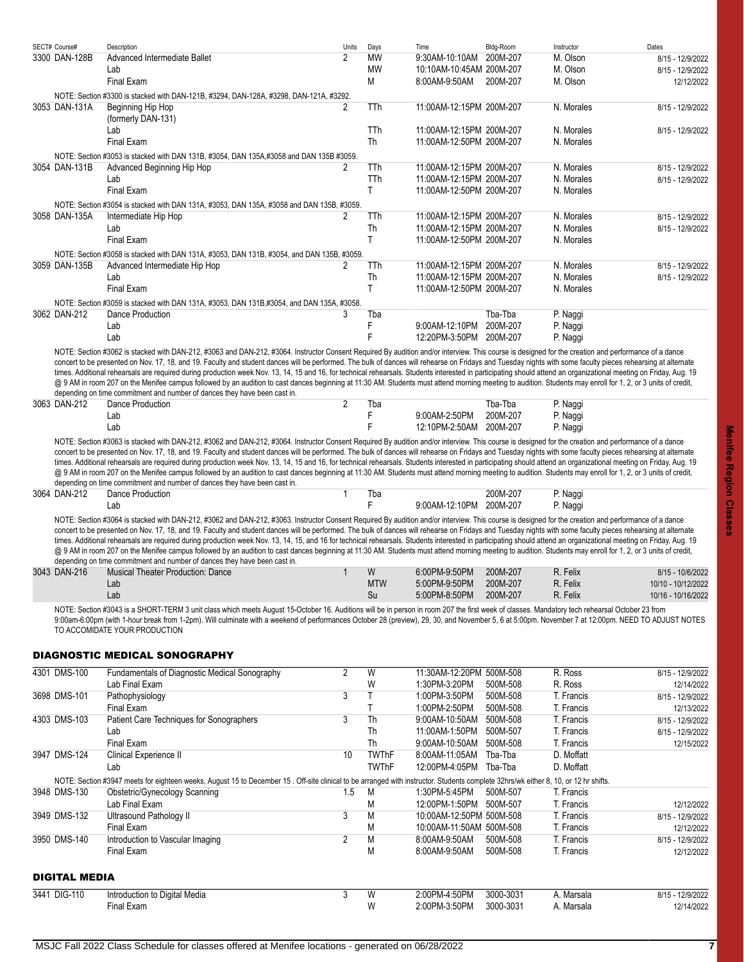| SECT# Course# | Description                                                                                                                                                                                                                                                                                                                                                                                                                                                                                                                                                                                                                                                                                                                                                                                                                                                                                                                              | Units          | Days      | Time                     | Bldg-Room | Instructor | Dates            |
|---------------|------------------------------------------------------------------------------------------------------------------------------------------------------------------------------------------------------------------------------------------------------------------------------------------------------------------------------------------------------------------------------------------------------------------------------------------------------------------------------------------------------------------------------------------------------------------------------------------------------------------------------------------------------------------------------------------------------------------------------------------------------------------------------------------------------------------------------------------------------------------------------------------------------------------------------------------|----------------|-----------|--------------------------|-----------|------------|------------------|
| 3300 DAN-128B | Advanced Intermediate Ballet                                                                                                                                                                                                                                                                                                                                                                                                                                                                                                                                                                                                                                                                                                                                                                                                                                                                                                             | $\overline{2}$ | <b>MW</b> | 9:30AM-10:10AM           | 200M-207  | M. Olson   | 8/15 - 12/9/2022 |
|               | Lab                                                                                                                                                                                                                                                                                                                                                                                                                                                                                                                                                                                                                                                                                                                                                                                                                                                                                                                                      |                | <b>MW</b> | 10:10AM-10:45AM 200M-207 |           | M. Olson   | 8/15 - 12/9/2022 |
|               | <b>Final Exam</b>                                                                                                                                                                                                                                                                                                                                                                                                                                                                                                                                                                                                                                                                                                                                                                                                                                                                                                                        |                | M         | 8:00AM-9:50AM            | 200M-207  | M. Olson   | 12/12/2022       |
|               | NOTE: Section #3300 is stacked with DAN-121B, #3294, DAN-128A, #3298, DAN-121A, #3292.                                                                                                                                                                                                                                                                                                                                                                                                                                                                                                                                                                                                                                                                                                                                                                                                                                                   |                |           |                          |           |            |                  |
| 3053 DAN-131A | <b>Beginning Hip Hop</b>                                                                                                                                                                                                                                                                                                                                                                                                                                                                                                                                                                                                                                                                                                                                                                                                                                                                                                                 | 2              | TTh       | 11:00AM-12:15PM 200M-207 |           | N. Morales | 8/15 - 12/9/2022 |
|               | (formerly DAN-131)                                                                                                                                                                                                                                                                                                                                                                                                                                                                                                                                                                                                                                                                                                                                                                                                                                                                                                                       |                |           |                          |           |            |                  |
|               | Lab                                                                                                                                                                                                                                                                                                                                                                                                                                                                                                                                                                                                                                                                                                                                                                                                                                                                                                                                      |                | TTh       | 11:00AM-12:15PM 200M-207 |           | N. Morales | 8/15 - 12/9/2022 |
|               | <b>Final Exam</b>                                                                                                                                                                                                                                                                                                                                                                                                                                                                                                                                                                                                                                                                                                                                                                                                                                                                                                                        |                | Th        | 11:00AM-12:50PM 200M-207 |           | N. Morales |                  |
|               | NOTE: Section #3053 is stacked with DAN 131B, #3054, DAN 135A,#3058 and DAN 135B #3059.                                                                                                                                                                                                                                                                                                                                                                                                                                                                                                                                                                                                                                                                                                                                                                                                                                                  |                |           |                          |           |            |                  |
| 3054 DAN-131B | Advanced Beginning Hip Hop                                                                                                                                                                                                                                                                                                                                                                                                                                                                                                                                                                                                                                                                                                                                                                                                                                                                                                               | 2              | TTh       | 11:00AM-12:15PM 200M-207 |           | N. Morales | 8/15 - 12/9/2022 |
|               | Lab                                                                                                                                                                                                                                                                                                                                                                                                                                                                                                                                                                                                                                                                                                                                                                                                                                                                                                                                      |                | TTh       | 11:00AM-12:15PM 200M-207 |           | N. Morales | 8/15 - 12/9/2022 |
|               | <b>Final Exam</b>                                                                                                                                                                                                                                                                                                                                                                                                                                                                                                                                                                                                                                                                                                                                                                                                                                                                                                                        |                | T.        | 11:00AM-12:50PM 200M-207 |           | N. Morales |                  |
|               | NOTE: Section #3054 is stacked with DAN 131A, #3053, DAN 135A, #3058 and DAN 135B, #3059.                                                                                                                                                                                                                                                                                                                                                                                                                                                                                                                                                                                                                                                                                                                                                                                                                                                |                |           |                          |           |            |                  |
| 3058 DAN-135A | Intermediate Hip Hop                                                                                                                                                                                                                                                                                                                                                                                                                                                                                                                                                                                                                                                                                                                                                                                                                                                                                                                     | 2              | TTh       | 11:00AM-12:15PM 200M-207 |           | N. Morales | 8/15 - 12/9/2022 |
|               | Lab                                                                                                                                                                                                                                                                                                                                                                                                                                                                                                                                                                                                                                                                                                                                                                                                                                                                                                                                      |                | Th        | 11:00AM-12:15PM 200M-207 |           | N. Morales | 8/15 - 12/9/2022 |
|               | <b>Final Exam</b>                                                                                                                                                                                                                                                                                                                                                                                                                                                                                                                                                                                                                                                                                                                                                                                                                                                                                                                        |                | T.        | 11:00AM-12:50PM 200M-207 |           | N. Morales |                  |
|               | NOTE: Section #3058 is stacked with DAN 131A, #3053, DAN 131B, #3054, and DAN 135B, #3059.                                                                                                                                                                                                                                                                                                                                                                                                                                                                                                                                                                                                                                                                                                                                                                                                                                               |                |           |                          |           |            |                  |
| 3059 DAN-135B | Advanced Intermediate Hip Hop                                                                                                                                                                                                                                                                                                                                                                                                                                                                                                                                                                                                                                                                                                                                                                                                                                                                                                            | 2              | TTh       | 11:00AM-12:15PM 200M-207 |           | N. Morales | 8/15 - 12/9/2022 |
|               | Lab                                                                                                                                                                                                                                                                                                                                                                                                                                                                                                                                                                                                                                                                                                                                                                                                                                                                                                                                      |                | Th        | 11:00AM-12:15PM 200M-207 |           | N. Morales | 8/15 - 12/9/2022 |
|               | <b>Final Exam</b>                                                                                                                                                                                                                                                                                                                                                                                                                                                                                                                                                                                                                                                                                                                                                                                                                                                                                                                        |                | T.        | 11:00AM-12:50PM 200M-207 |           | N. Morales |                  |
|               | NOTE: Section #3059 is stacked with DAN 131A, #3053, DAN 131B,#3054, and DAN 135A, #3058.                                                                                                                                                                                                                                                                                                                                                                                                                                                                                                                                                                                                                                                                                                                                                                                                                                                |                |           |                          |           |            |                  |
| 3062 DAN-212  | Dance Production                                                                                                                                                                                                                                                                                                                                                                                                                                                                                                                                                                                                                                                                                                                                                                                                                                                                                                                         | 3              | Tba       |                          | Tba-Tba   | P. Naggi   |                  |
|               | Lab                                                                                                                                                                                                                                                                                                                                                                                                                                                                                                                                                                                                                                                                                                                                                                                                                                                                                                                                      |                | F         | 9:00AM-12:10PM           | 200M-207  | P. Naggi   |                  |
|               | Lab                                                                                                                                                                                                                                                                                                                                                                                                                                                                                                                                                                                                                                                                                                                                                                                                                                                                                                                                      |                |           | 12:20PM-3:50PM 200M-207  |           | P. Naggi   |                  |
|               | NOTE: Section #3062 is stacked with DAN-212, #3063 and DAN-212, #3064. Instructor Consent Required By audition and/or interview. This course is designed for the creation and performance of a dance<br>concert to be presented on Nov. 17, 18, and 19. Faculty and student dances will be performed. The bulk of dances will rehearse on Fridays and Tuesday nights with some faculty pieces rehearsing at alternate<br>times. Additional rehearsals are required during production week Nov. 13, 14, 15 and 16, for technical rehearsals. Students interested in participating should attend an organizational meeting on Friday, Aug. 19<br>@ 9 AM in room 207 on the Menifee campus followed by an audition to cast dances beginning at 11:30 AM. Students must attend morning meeting to audition. Students may enroll for 1, 2, or 3 units of credit,<br>depending on time commitment and number of dances they have been cast in. |                |           |                          |           |            |                  |
| 3063 DAN-212  | Dance Production                                                                                                                                                                                                                                                                                                                                                                                                                                                                                                                                                                                                                                                                                                                                                                                                                                                                                                                         | 2              | Tba       |                          | Tba-Tba   | P. Naggi   |                  |
|               | Lab                                                                                                                                                                                                                                                                                                                                                                                                                                                                                                                                                                                                                                                                                                                                                                                                                                                                                                                                      |                | F         | 9:00AM-2:50PM            | 200M-207  | P. Naggi   |                  |
|               | Lab                                                                                                                                                                                                                                                                                                                                                                                                                                                                                                                                                                                                                                                                                                                                                                                                                                                                                                                                      |                |           | 12:10PM-2:50AM           | 200M-207  | P. Naggi   |                  |
|               | NOTE: Section #3063 is stacked with DAN-212, #3062 and DAN-212, #3064. Instructor Consent Required By audition and/or interview. This course is designed for the creation and performance of a dance<br>concert to be presented on Nov. 17, 18, and 19. Faculty and student dances will be performed. The bulk of dances will rehearse on Fridays and Tuesday nights with some faculty pieces rehearsing at alternate<br>times. Additional rehearsals are required during production week Nov. 13, 14, 15 and 16, for technical rehearsals. Students interested in participating should attend an organizational meeting on Friday, Aug. 19<br>@ 9 AM in room 207 on the Menifee campus followed by an audition to cast dances beginning at 11:30 AM. Students must attend morning meeting to audition. Students may enroll for 1, 2, or 3 units of credit,<br>depending on time commitment and number of dances they have been cast in. |                |           |                          |           |            |                  |
| 3064 DAN-212  | Dance Production                                                                                                                                                                                                                                                                                                                                                                                                                                                                                                                                                                                                                                                                                                                                                                                                                                                                                                                         | 1              | Tba       |                          | 200M-207  | P. Naggi   |                  |
|               | Lab                                                                                                                                                                                                                                                                                                                                                                                                                                                                                                                                                                                                                                                                                                                                                                                                                                                                                                                                      |                | F         | 9:00AM-12:10PM 200M-207  |           | P. Naggi   |                  |
|               | NOTE: Section #3064 is stacked with DAN-212, #3062 and DAN-212, #3063. Instructor Consent Required By audition and/or interview. This course is designed for the creation and performance of a dance<br>concert to be presented on Nov. 17, 18, and 19. Faculty and student dances will be performed. The bulk of dances will rehearse on Fridays and Tuesday nights with some faculty pieces rehearsing at alternate<br>times. Additional rehearcals are required during production week Nev 13, 14, 15, and 16 for tophologi rehearcals. Students interacted in participating should attend an erganizational meeting on Friday, Aug. 19                                                                                                                                                                                                                                                                                               |                |           |                          |           |            |                  |

times. Additional rehearsals are required during production week Nov. 13, 14, 15, and 16 for technical rehearsals. Students interested in participating should attend an organizational meeting on Friday, Aug. 19 @ 9 AM in room 207 on the Menifee campus followed by an audition to cast dances beginning at 11:30 AM. Students must attend morning meeting to audition. Students may enroll for 1, 2, or 3 units of credit, depending on time commitment and number of dances they have been cast in.

| 3043 DAN-216 | <b>Musical Theater Production: Dance</b> | W   | 6:00PM-9:50PM | 200M-207 | R. Felix | 8/15 - 10/6/2022   |
|--------------|------------------------------------------|-----|---------------|----------|----------|--------------------|
|              | ∟ar                                      | MTW | 5:00PM-9:50PM | 200M-207 | R. Felix | 10/10 - 10/12/2022 |
|              | ∟aŀ                                      | 5u  | 5:00PM-8:50PM | 200M-207 | R. Felix | 10/16 - 10/16/2022 |
|              |                                          |     |               |          |          |                    |

NOTE: Section #3043 is a SHORT-TERM 3 unit class which meets August 15-October 16. Auditions will be in person in room 207 the first week of classes. Mandatory tech rehearsal October 23 from 9:00am-6:00pm (with 1-hour break from 1-2pm). Will culminate with a weekend of performances October 28 (preview), 29, 30, and November 5, 6 at 5:00pm. November 7 at 12:00pm. NEED TO ADJUST NOTES TO ACCOMIDATE YOUR PRODUCTION

## <span id="page-6-0"></span>DIAGNOSTIC MEDICAL SONOGRAPHY

<span id="page-6-1"></span>

| 4301 DMS-100         | Fundamentals of Diagnostic Medical Sonography                                                                                                                                        | $\overline{2}$ | W            | 11:30AM-12:20PM 500M-508 |           | R. Ross    | 8/15 - 12/9/2022 |
|----------------------|--------------------------------------------------------------------------------------------------------------------------------------------------------------------------------------|----------------|--------------|--------------------------|-----------|------------|------------------|
|                      | Lab Final Exam                                                                                                                                                                       |                | W            | 1:30PM-3:20PM            | 500M-508  | R. Ross    | 12/14/2022       |
| 3698 DMS-101         | Pathophysiology                                                                                                                                                                      | 3              |              | 1:00PM-3:50PM            | 500M-508  | T. Francis | 8/15 - 12/9/2022 |
|                      | Final Exam                                                                                                                                                                           |                |              | 1:00PM-2:50PM            | 500M-508  | T. Francis | 12/13/2022       |
| 4303 DMS-103         | Patient Care Techniques for Sonographers                                                                                                                                             | 3              | Th           | 9:00AM-10:50AM           | 500M-508  | T. Francis | 8/15 - 12/9/2022 |
|                      | Lab                                                                                                                                                                                  |                | Th           | 11:00AM-1:50PM           | 500M-507  | T. Francis | 8/15 - 12/9/2022 |
|                      | Final Exam                                                                                                                                                                           |                | <b>Th</b>    | 9:00AM-10:50AM           | 500M-508  | T. Francis | 12/15/2022       |
| 3947 DMS-124         | Clinical Experience II                                                                                                                                                               | 10             | <b>TWThF</b> | 8:00AM-11:05AM           | Tba-Tba   | D. Moffatt |                  |
|                      | Lab                                                                                                                                                                                  |                | <b>TWThF</b> | 12:00PM-4:05PM           | Tba-Tba   | D. Moffatt |                  |
|                      | NOTE: Section #3947 meets for eighteen weeks, August 15 to December 15 . Off-site clinical to be arranged with instructor. Students complete 32hrs/wk either 8, 10, or 12 hr shifts. |                |              |                          |           |            |                  |
| 3948 DMS-130         | Obstetric/Gynecology Scanning                                                                                                                                                        | 1.5            | M            | 1:30PM-5:45PM            | 500M-507  | T. Francis |                  |
|                      | Lab Final Exam                                                                                                                                                                       |                | M            | 12:00PM-1:50PM           | 500M-507  | T. Francis | 12/12/2022       |
| 3949 DMS-132         | Ultrasound Pathology II                                                                                                                                                              | 3              | M            | 10:00AM-12:50PM 500M-508 |           | T. Francis | 8/15 - 12/9/2022 |
|                      | Final Exam                                                                                                                                                                           |                | M            | 10:00AM-11:50AM 500M-508 |           | T. Francis | 12/12/2022       |
| 3950 DMS-140         | Introduction to Vascular Imaging                                                                                                                                                     | 2              | M            | 8:00AM-9:50AM            | 500M-508  | T. Francis | 8/15 - 12/9/2022 |
|                      | Final Exam                                                                                                                                                                           |                | M            | 8:00AM-9:50AM            | 500M-508  | T. Francis | 12/12/2022       |
| <b>DIGITAL MEDIA</b> |                                                                                                                                                                                      |                |              |                          |           |            |                  |
| 3441 DIG-110         | Introduction to Digital Media                                                                                                                                                        | 3              | W            | 2:00PM-4:50PM            | 3000-3031 | A. Marsala | 8/15 - 12/9/2022 |
|                      | Final Exam                                                                                                                                                                           |                | W            | 2:00PM-3:50PM            | 3000-3031 | A. Marsala | 12/14/2022       |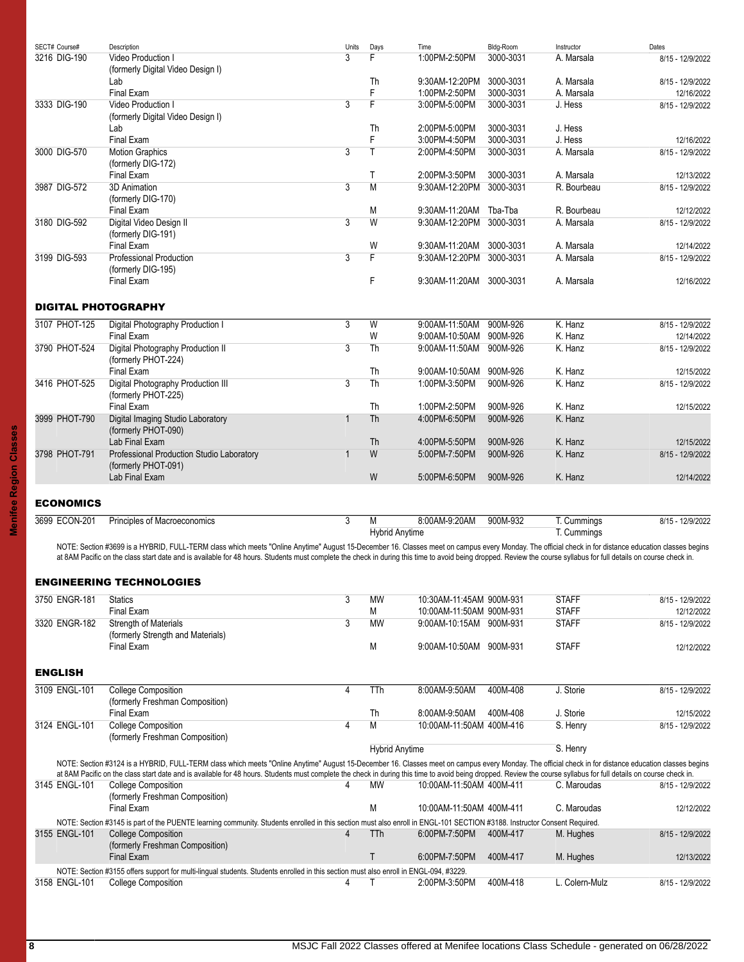<span id="page-7-3"></span><span id="page-7-2"></span><span id="page-7-1"></span><span id="page-7-0"></span>

| SECT# Course#              | Description                                                                                                                                                                                                        | Units          | Days                  | Time                     | Bldg-Room | Instructor   | Dates            |
|----------------------------|--------------------------------------------------------------------------------------------------------------------------------------------------------------------------------------------------------------------|----------------|-----------------------|--------------------------|-----------|--------------|------------------|
| 3216 DIG-190               | Video Production I                                                                                                                                                                                                 | 3              | F                     | 1:00PM-2:50PM            | 3000-3031 | A. Marsala   | 8/15 - 12/9/2022 |
|                            | (formerly Digital Video Design I)                                                                                                                                                                                  |                |                       |                          |           |              |                  |
|                            | Lab                                                                                                                                                                                                                |                | Th                    | 9:30AM-12:20PM           | 3000-3031 | A. Marsala   | 8/15 - 12/9/2022 |
|                            | Final Exam                                                                                                                                                                                                         |                | F                     | 1:00PM-2:50PM            | 3000-3031 | A. Marsala   | 12/16/2022       |
| 3333 DIG-190               | Video Production I                                                                                                                                                                                                 | 3              | F                     | 3:00PM-5:00PM            | 3000-3031 | J. Hess      | 8/15 - 12/9/2022 |
|                            | (formerly Digital Video Design I)                                                                                                                                                                                  |                |                       |                          |           |              |                  |
|                            | Lab                                                                                                                                                                                                                |                | Th                    | 2:00PM-5:00PM            | 3000-3031 | J. Hess      |                  |
|                            | Final Exam                                                                                                                                                                                                         |                | F                     | 3:00PM-4:50PM            | 3000-3031 | J. Hess      | 12/16/2022       |
| 3000 DIG-570               | <b>Motion Graphics</b>                                                                                                                                                                                             | 3              | T                     | 2:00PM-4:50PM            | 3000-3031 | A. Marsala   | 8/15 - 12/9/2022 |
|                            | (formerly DIG-172)                                                                                                                                                                                                 |                |                       |                          |           |              |                  |
|                            | Final Exam                                                                                                                                                                                                         |                | Τ                     | 2:00PM-3:50PM            | 3000-3031 | A. Marsala   | 12/13/2022       |
| 3987 DIG-572               | 3D Animation                                                                                                                                                                                                       | $\overline{3}$ | M                     | 9:30AM-12:20PM           | 3000-3031 | R. Bourbeau  | 8/15 - 12/9/2022 |
|                            | (formerly DIG-170)                                                                                                                                                                                                 |                |                       |                          |           |              |                  |
|                            | Final Exam                                                                                                                                                                                                         |                | M                     | 9:30AM-11:20AM Tba-Tba   |           | R. Bourbeau  | 12/12/2022       |
| 3180 DIG-592               | Digital Video Design II                                                                                                                                                                                            | 3              | W                     | 9:30AM-12:20PM           | 3000-3031 | A. Marsala   | 8/15 - 12/9/2022 |
|                            | (formerly DIG-191)                                                                                                                                                                                                 |                |                       |                          |           |              |                  |
|                            | Final Exam                                                                                                                                                                                                         |                | W                     | 9:30AM-11:20AM           | 3000-3031 | A. Marsala   |                  |
| 3199 DIG-593               | <b>Professional Production</b>                                                                                                                                                                                     | $\overline{3}$ | F                     | 9:30AM-12:20PM 3000-3031 |           | A. Marsala   | 12/14/2022       |
|                            |                                                                                                                                                                                                                    |                |                       |                          |           |              | 8/15 - 12/9/2022 |
|                            | (formerly DIG-195)                                                                                                                                                                                                 |                |                       |                          |           |              |                  |
|                            | Final Exam                                                                                                                                                                                                         |                | F                     | 9:30AM-11:20AM 3000-3031 |           | A. Marsala   | 12/16/2022       |
|                            |                                                                                                                                                                                                                    |                |                       |                          |           |              |                  |
| <b>DIGITAL PHOTOGRAPHY</b> |                                                                                                                                                                                                                    |                |                       |                          |           |              |                  |
| 3107 PHOT-125              | Digital Photography Production I                                                                                                                                                                                   | $\overline{3}$ | W                     | 9:00AM-11:50AM           | 900M-926  | K. Hanz      | 8/15 - 12/9/2022 |
|                            | Final Exam                                                                                                                                                                                                         |                | W                     | 9:00AM-10:50AM 900M-926  |           | K. Hanz      | 12/14/2022       |
| 3790 PHOT-524              | Digital Photography Production II                                                                                                                                                                                  | 3              | Th                    | 9:00AM-11:50AM           | 900M-926  | K. Hanz      | 8/15 - 12/9/2022 |
|                            | (formerly PHOT-224)                                                                                                                                                                                                |                |                       |                          |           |              |                  |
|                            | Final Exam                                                                                                                                                                                                         |                | Th                    | 9:00AM-10:50AM           | 900M-926  | K. Hanz      |                  |
|                            |                                                                                                                                                                                                                    | $\overline{3}$ | Th                    |                          |           |              | 12/15/2022       |
| 3416 PHOT-525              | Digital Photography Production III                                                                                                                                                                                 |                |                       | 1:00PM-3:50PM            | 900M-926  | K. Hanz      | 8/15 - 12/9/2022 |
|                            | (formerly PHOT-225)                                                                                                                                                                                                |                |                       |                          |           |              |                  |
|                            | Final Exam                                                                                                                                                                                                         |                | Th                    | 1:00PM-2:50PM            | 900M-926  | K. Hanz      | 12/15/2022       |
| 3999 PHOT-790              | Digital Imaging Studio Laboratory                                                                                                                                                                                  | $\mathbf{1}$   | <b>Th</b>             | 4:00PM-6:50PM            | 900M-926  | K. Hanz      |                  |
|                            | (formerly PHOT-090)                                                                                                                                                                                                |                |                       |                          |           |              |                  |
|                            | Lab Final Exam                                                                                                                                                                                                     |                | <b>Th</b>             | 4:00PM-5:50PM            | 900M-926  | K. Hanz      | 12/15/2022       |
| 3798 PHOT-791              | Professional Production Studio Laboratory                                                                                                                                                                          | $\mathbf 1$    | W                     | 5:00PM-7:50PM            | 900M-926  | K. Hanz      | 8/15 - 12/9/2022 |
|                            | (formerly PHOT-091)                                                                                                                                                                                                |                |                       |                          |           |              |                  |
|                            | Lab Final Exam                                                                                                                                                                                                     |                | W                     | 5:00PM-6:50PM            | 900M-926  | K. Hanz      | 12/14/2022       |
|                            |                                                                                                                                                                                                                    |                |                       |                          |           |              |                  |
| <b>ECONOMICS</b>           |                                                                                                                                                                                                                    |                |                       |                          |           |              |                  |
| 3699 ECON-201              | Principles of Macroeconomics                                                                                                                                                                                       | 3              | M                     | 8:00AM-9:20AM            | 900M-932  | T. Cummings  |                  |
|                            |                                                                                                                                                                                                                    |                |                       |                          |           | T. Cummings  | 8/15 - 12/9/2022 |
|                            |                                                                                                                                                                                                                    |                | <b>Hybrid Anytime</b> |                          |           |              |                  |
|                            | NOTE: Section #3699 is a HYBRID, FULL-TERM class which meets "Online Anytime" August 15-December 16. Classes meet on campus every Monday. The official check in for distance education classes begins              |                |                       |                          |           |              |                  |
|                            | at 8AM Pacific on the class start date and is available for 48 hours. Students must complete the check in during this time to avoid being dropped. Review the course syllabus for full details on course check in. |                |                       |                          |           |              |                  |
|                            |                                                                                                                                                                                                                    |                |                       |                          |           |              |                  |
|                            | <b>ENGINEERING TECHNOLOGIES</b>                                                                                                                                                                                    |                |                       |                          |           |              |                  |
| 3750 ENGR-181              | <b>Statics</b>                                                                                                                                                                                                     | 3              | <b>MW</b>             | 10:30AM-11:45AM 900M-931 |           | <b>STAFF</b> | 8/15 - 12/9/2022 |
|                            | Final Exam                                                                                                                                                                                                         |                | М                     | 10:00AM-11:50AM 900M-931 |           | <b>STAFF</b> | 12/12/2022       |
| 3320 ENGR-182              | <b>Strength of Materials</b>                                                                                                                                                                                       | 3              | <b>MW</b>             | 9:00AM-10:15AM 900M-931  |           | <b>STAFF</b> | 8/15 - 12/9/2022 |
|                            | (formerly Strength and Materials)                                                                                                                                                                                  |                |                       |                          |           |              |                  |
|                            | Final Exam                                                                                                                                                                                                         |                | М                     | 9:00AM-10:50AM 900M-931  |           | <b>STAFF</b> |                  |
|                            |                                                                                                                                                                                                                    |                |                       |                          |           |              | 12/12/2022       |
|                            |                                                                                                                                                                                                                    |                |                       |                          |           |              |                  |
| <b>ENGLISH</b>             |                                                                                                                                                                                                                    |                |                       |                          |           |              |                  |
| 3109 ENGL-101              | <b>College Composition</b>                                                                                                                                                                                         | 4              | TTh                   | 8:00AM-9:50AM            | 400M-408  | J. Storie    | 8/15 - 12/9/2022 |
|                            | (formerly Freshman Composition)                                                                                                                                                                                    |                |                       |                          |           |              |                  |
|                            | Final Exam                                                                                                                                                                                                         |                | Th                    | 8:00AM-9:50AM            | 400M-408  | J. Storie    | 12/15/2022       |
| 3124 ENGL-101              | <b>College Composition</b>                                                                                                                                                                                         | 4              | M                     | 10:00AM-11:50AM 400M-416 |           | S. Henry     | 8/15 - 12/9/2022 |
|                            | (formerly Freshman Composition)                                                                                                                                                                                    |                |                       |                          |           |              |                  |
|                            |                                                                                                                                                                                                                    |                |                       |                          |           |              |                  |
|                            |                                                                                                                                                                                                                    |                | <b>Hybrid Anytime</b> |                          |           | S. Henry     |                  |
|                            | NOTE: Section #3124 is a HYBRID, FULL-TERM class which meets "Online Anytime" August 15-December 16. Classes meet on campus every Monday. The official check in for distance education classes begins              |                |                       |                          |           |              |                  |
|                            | at 8AM Pacific on the class start date and is available for 48 hours. Students must complete the check in during this time to avoid being dropped. Review the course syllabus for full details on course check in. |                |                       |                          |           |              |                  |
| 3145 ENGL-101              | <b>College Composition</b>                                                                                                                                                                                         |                | MW                    | 10:00AM-11:50AM 400M-411 |           | C. Maroudas  | 8/15 - 12/9/2022 |
|                            | (formerly Freshman Composition)                                                                                                                                                                                    |                |                       |                          |           |              |                  |
|                            | Final Exam                                                                                                                                                                                                         |                | M                     | 10:00AM-11:50AM 400M-411 |           | C. Maroudas  | 12/12/2022       |
|                            | NOTE: Section #3145 is part of the PUENTE learning community. Students enrolled in this section must also enroll in ENGL-101 SECTION #3188. Instructor Consent Required.                                           |                |                       |                          |           |              |                  |
| 3155 ENGL-101              | <b>College Composition</b>                                                                                                                                                                                         | $\overline{4}$ | TTh                   | 6:00PM-7:50PM            | 400M-417  | M. Hughes    | 8/15 - 12/9/2022 |
|                            | (formerly Freshman Composition)                                                                                                                                                                                    |                |                       |                          |           |              |                  |
|                            | Final Exam                                                                                                                                                                                                         |                | $\mathsf{T}$          | 6:00PM-7:50PM            | 400M-417  | M. Hughes    | 12/13/2022       |
|                            | MOTE: Section #3155 offers support for multi-lingual students. Students enrolled in this section must also enroll in ENGL 004, #3229                                                                               |                |                       |                          |           |              |                  |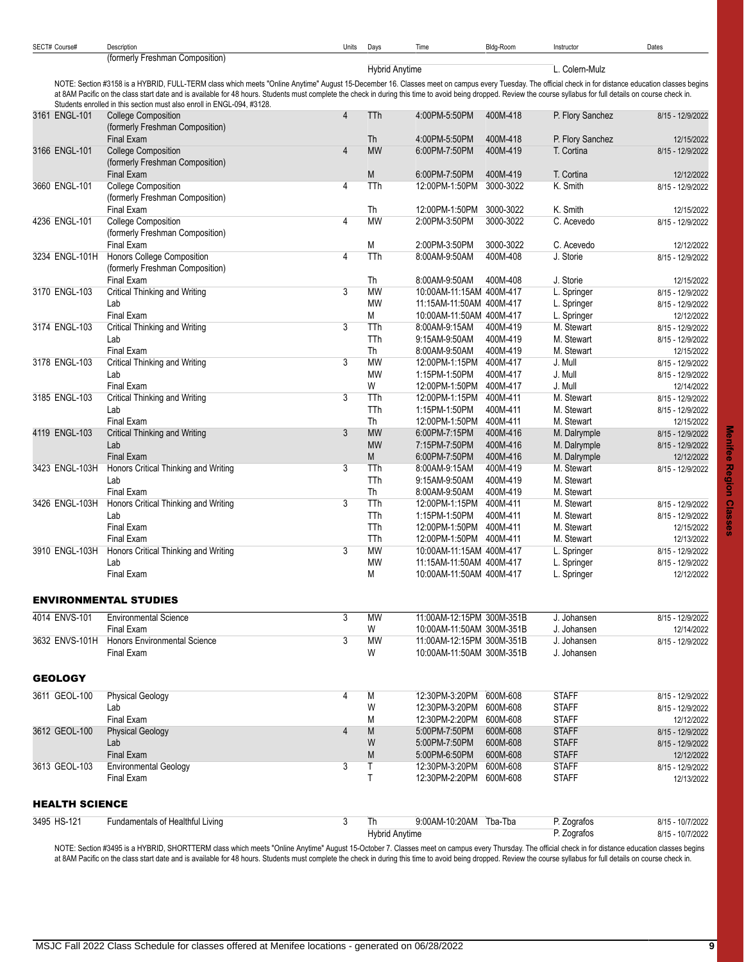| SECT# Course#         | Description<br>(formerly Freshman Composition)                                                                                                                                                                                                                                               | Units          | Days                  | Time                                      | Bldg-Room             | Instructor                   | Dates                          |
|-----------------------|----------------------------------------------------------------------------------------------------------------------------------------------------------------------------------------------------------------------------------------------------------------------------------------------|----------------|-----------------------|-------------------------------------------|-----------------------|------------------------------|--------------------------------|
|                       |                                                                                                                                                                                                                                                                                              |                | <b>Hybrid Anytime</b> |                                           |                       | L. Colern-Mulz               |                                |
|                       | NOTE: Section #3158 is a HYBRID, FULL-TERM class which meets "Online Anytime" August 15-December 16. Classes meet on campus every Tuesday. The official check in for distance education classes begins                                                                                       |                |                       |                                           |                       |                              |                                |
|                       | at 8AM Pacific on the class start date and is available for 48 hours. Students must complete the check in during this time to avoid being dropped. Review the course syllabus for full details on course check in.<br>Students enrolled in this section must also enroll in ENGL-094, #3128. |                |                       |                                           |                       |                              |                                |
| 3161 ENGL-101         | <b>College Composition</b>                                                                                                                                                                                                                                                                   | $\overline{4}$ | TTh                   | 4:00PM-5:50PM                             | 400M-418              | P. Flory Sanchez             | 8/15 - 12/9/2022               |
|                       | (formerly Freshman Composition)<br>Final Exam                                                                                                                                                                                                                                                |                | <b>Th</b>             | 4:00PM-5:50PM                             | 400M-418              | P. Flory Sanchez             | 12/15/2022                     |
| 3166 ENGL-101         | <b>College Composition</b>                                                                                                                                                                                                                                                                   | 4              | <b>MW</b>             | 6:00PM-7:50PM                             | 400M-419              | T. Cortina                   | 8/15 - 12/9/2022               |
|                       | (formerly Freshman Composition)                                                                                                                                                                                                                                                              |                |                       |                                           |                       |                              |                                |
| 3660 ENGL-101         | Final Exam<br><b>College Composition</b>                                                                                                                                                                                                                                                     | 4              | M<br>TTh              | 6:00PM-7:50PM<br>12:00PM-1:50PM           | 400M-419<br>3000-3022 | T. Cortina<br>K. Smith       | 12/12/2022<br>8/15 - 12/9/2022 |
|                       | (formerly Freshman Composition)                                                                                                                                                                                                                                                              |                |                       |                                           |                       |                              |                                |
|                       | Final Exam                                                                                                                                                                                                                                                                                   |                | Th                    | 12:00PM-1:50PM                            | 3000-3022             | K. Smith                     | 12/15/2022                     |
| 4236 ENGL-101         | <b>College Composition</b><br>(formerly Freshman Composition)                                                                                                                                                                                                                                | 4              | <b>MW</b>             | 2:00PM-3:50PM                             | 3000-3022             | C. Acevedo                   | 8/15 - 12/9/2022               |
|                       | Final Exam                                                                                                                                                                                                                                                                                   |                | M                     | 2:00PM-3:50PM                             | 3000-3022             | C. Acevedo                   | 12/12/2022                     |
| 3234 ENGL-101H        | Honors College Composition                                                                                                                                                                                                                                                                   | 4              | TTh                   | 8:00AM-9:50AM                             | 400M-408              | J. Storie                    | 8/15 - 12/9/2022               |
|                       | (formerly Freshman Composition)                                                                                                                                                                                                                                                              |                |                       |                                           |                       |                              |                                |
| 3170 ENGL-103         | <b>Final Exam</b><br>Critical Thinking and Writing                                                                                                                                                                                                                                           | 3              | Th<br><b>MW</b>       | 8:00AM-9:50AM<br>10:00AM-11:15AM 400M-417 | 400M-408              | J. Storie<br>L. Springer     | 12/15/2022<br>8/15 - 12/9/2022 |
|                       | Lab                                                                                                                                                                                                                                                                                          |                | <b>MW</b>             | 11:15AM-11:50AM 400M-417                  |                       | L. Springer                  | 8/15 - 12/9/2022               |
|                       | Final Exam                                                                                                                                                                                                                                                                                   |                | M                     | 10:00AM-11:50AM 400M-417                  |                       | L. Springer                  | 12/12/2022                     |
| 3174 ENGL-103         | <b>Critical Thinking and Writing</b>                                                                                                                                                                                                                                                         | 3              | TTh                   | 8:00AM-9:15AM                             | 400M-419              | M. Stewart                   | 8/15 - 12/9/2022               |
|                       | Lab                                                                                                                                                                                                                                                                                          |                | TTh                   | 9:15AM-9:50AM                             | 400M-419              | M. Stewart                   | 8/15 - 12/9/2022               |
|                       | Final Exam                                                                                                                                                                                                                                                                                   |                | Th                    | 8:00AM-9:50AM                             | 400M-419              | M. Stewart                   | 12/15/2022                     |
| 3178 ENGL-103         | <b>Critical Thinking and Writing</b>                                                                                                                                                                                                                                                         | 3              | <b>MW</b>             | 12:00PM-1:15PM                            | 400M-417              | J. Mull                      | 8/15 - 12/9/2022               |
|                       | Lab                                                                                                                                                                                                                                                                                          |                | <b>MW</b>             | 1:15PM-1:50PM                             | 400M-417              | J. Mull                      | 8/15 - 12/9/2022               |
|                       | Final Exam                                                                                                                                                                                                                                                                                   |                | W                     | 12:00PM-1:50PM                            | 400M-417              | J. Mull                      | 12/14/2022                     |
| 3185 ENGL-103         | Critical Thinking and Writing                                                                                                                                                                                                                                                                | 3              | TTh                   | 12:00PM-1:15PM                            | 400M-411              | M. Stewart                   | 8/15 - 12/9/2022               |
|                       | Lab                                                                                                                                                                                                                                                                                          |                | <b>TTh</b>            | 1:15PM-1:50PM                             | 400M-411              | M. Stewart                   | 8/15 - 12/9/2022               |
|                       | Final Exam                                                                                                                                                                                                                                                                                   |                | Th                    | 12:00PM-1:50PM                            | 400M-411              | M. Stewart                   | 12/15/2022                     |
| 4119 ENGL-103         | <b>Critical Thinking and Writing</b>                                                                                                                                                                                                                                                         | 3              | <b>MW</b>             | 6:00PM-7:15PM                             | 400M-416              | M. Dalrymple                 | 8/15 - 12/9/2022               |
|                       | Lab<br><b>Final Exam</b>                                                                                                                                                                                                                                                                     |                | <b>MW</b><br>M        | 7:15PM-7:50PM<br>6:00PM-7:50PM            | 400M-416<br>400M-416  | M. Dalrymple<br>M. Dalrymple | 8/15 - 12/9/2022<br>12/12/2022 |
| 3423 ENGL-103H        | Honors Critical Thinking and Writing                                                                                                                                                                                                                                                         | 3              | TTh                   | 8:00AM-9:15AM                             | 400M-419              | M. Stewart                   | 8/15 - 12/9/2022               |
|                       | Lab                                                                                                                                                                                                                                                                                          |                | TTh                   | 9:15AM-9:50AM                             | 400M-419              | M. Stewart                   |                                |
|                       | Final Exam                                                                                                                                                                                                                                                                                   |                | Th                    | 8:00AM-9:50AM                             | 400M-419              | M. Stewart                   |                                |
| 3426 ENGL-103H        | Honors Critical Thinking and Writing                                                                                                                                                                                                                                                         | 3              | TTh                   | 12:00PM-1:15PM                            | 400M-411              | M. Stewart                   | 8/15 - 12/9/2022               |
|                       | Lab                                                                                                                                                                                                                                                                                          |                | TTh                   | 1:15PM-1:50PM                             | 400M-411              | M. Stewart                   | 8/15 - 12/9/2022               |
|                       | Final Exam                                                                                                                                                                                                                                                                                   |                | TTh                   | 12:00PM-1:50PM                            | 400M-411              | M. Stewart                   | 12/15/2022                     |
|                       | <b>Final Exam</b>                                                                                                                                                                                                                                                                            |                | TTh                   | 12:00PM-1:50PM                            | 400M-411              | M. Stewart                   | 12/13/2022                     |
| 3910 ENGL-103H        | Honors Critical Thinking and Writing                                                                                                                                                                                                                                                         | 3              | <b>MW</b>             | 10:00AM-11:15AM 400M-417                  |                       | L. Springer                  | 8/15 - 12/9/2022               |
|                       | Lab<br><b>Final Exam</b>                                                                                                                                                                                                                                                                     |                | MW                    | 11:15AM-11:50AM 400M-417                  |                       | L. Springer                  | 8/15 - 12/9/2022               |
|                       |                                                                                                                                                                                                                                                                                              |                | M                     | 10:00AM-11:50AM 400M-417                  |                       | L. Springer                  | 12/12/2022                     |
|                       | <b>ENVIRONMENTAL STUDIES</b>                                                                                                                                                                                                                                                                 |                |                       |                                           |                       |                              |                                |
| 4014 ENVS-101         | <b>Environmental Science</b>                                                                                                                                                                                                                                                                 | 3              | <b>MW</b>             | 11:00AM-12:15PM 300M-351B                 |                       | J. Johansen                  | 8/15 - 12/9/2022               |
|                       | <b>Final Exam</b>                                                                                                                                                                                                                                                                            |                | W                     | 10:00AM-11:50AM 300M-351B                 |                       | J. Johansen                  | 12/14/2022                     |
|                       | 3632 ENVS-101H Honors Environmental Science                                                                                                                                                                                                                                                  | 3              | МW                    | 11:00AM-12:15PM 300M-351B                 |                       | J. Johansen                  | 8/15 - 12/9/2022               |
|                       | <b>Final Exam</b>                                                                                                                                                                                                                                                                            |                | W                     | 10:00AM-11:50AM 300M-351B                 |                       | J. Johansen                  |                                |
| <b>GEOLOGY</b>        |                                                                                                                                                                                                                                                                                              |                |                       |                                           |                       |                              |                                |
| 3611 GEOL-100         | <b>Physical Geology</b>                                                                                                                                                                                                                                                                      | 4              | M                     | 12:30PM-3:20PM                            | 600M-608              | <b>STAFF</b>                 | 8/15 - 12/9/2022               |
|                       | Lab                                                                                                                                                                                                                                                                                          |                | W                     | 12:30PM-3:20PM                            | 600M-608              | <b>STAFF</b>                 | 8/15 - 12/9/2022               |
|                       | Final Exam                                                                                                                                                                                                                                                                                   |                | M                     | 12:30PM-2:20PM                            | 600M-608              | <b>STAFF</b>                 | 12/12/2022                     |
| 3612 GEOL-100         | <b>Physical Geology</b>                                                                                                                                                                                                                                                                      | 4              | M                     | 5:00PM-7:50PM                             | 600M-608              | <b>STAFF</b>                 | 8/15 - 12/9/2022               |
|                       | Lab                                                                                                                                                                                                                                                                                          |                | W                     | 5:00PM-7:50PM                             | 600M-608              | <b>STAFF</b>                 | 8/15 - 12/9/2022               |
|                       | <b>Final Exam</b>                                                                                                                                                                                                                                                                            |                | M                     | 5:00PM-6:50PM                             | 600M-608              | <b>STAFF</b>                 | 12/12/2022                     |
| 3613 GEOL-103         | <b>Environmental Geology</b><br>Final Exam                                                                                                                                                                                                                                                   | 3              | T<br>T                | 12:30PM-3:20PM<br>12:30PM-2:20PM 600M-608 | 600M-608              | <b>STAFF</b><br><b>STAFF</b> | 8/15 - 12/9/2022               |
|                       |                                                                                                                                                                                                                                                                                              |                |                       |                                           |                       |                              | 12/13/2022                     |
| <b>HEALTH SCIENCE</b> |                                                                                                                                                                                                                                                                                              |                |                       |                                           |                       |                              |                                |
| 3495 HS-121           | Fundamentals of Healthful Living                                                                                                                                                                                                                                                             | 3              | Th                    | 9:00AM-10:20AM Tba-Tba                    |                       | P. Zografos                  | 8/15 - 10/7/2022               |
|                       |                                                                                                                                                                                                                                                                                              |                | Hybrid Anytime        |                                           |                       | P. Zografos                  | 8/15 - 10/7/2022               |
|                       | NOTE: Section #3495 is a HYBRID, SHORTTERM class which meets "Online Anytime" August 15-October 7, Classes meet on campus every Thursday. The official check in for distance education classes begins                                                                                        |                |                       |                                           |                       |                              |                                |

<span id="page-8-2"></span><span id="page-8-1"></span><span id="page-8-0"></span>NOTE: Section #3495 is a HYBRID, SHORTTERM class which meets "Online Anytime" August 15-October 7. Classes meet on campus every Thursday. The official check in for distance education classes begins at 8AM Pacific on the class start date and is available for 48 hours. Students must complete the check in during this time to avoid being dropped. Review the course syllabus for full details on course check in.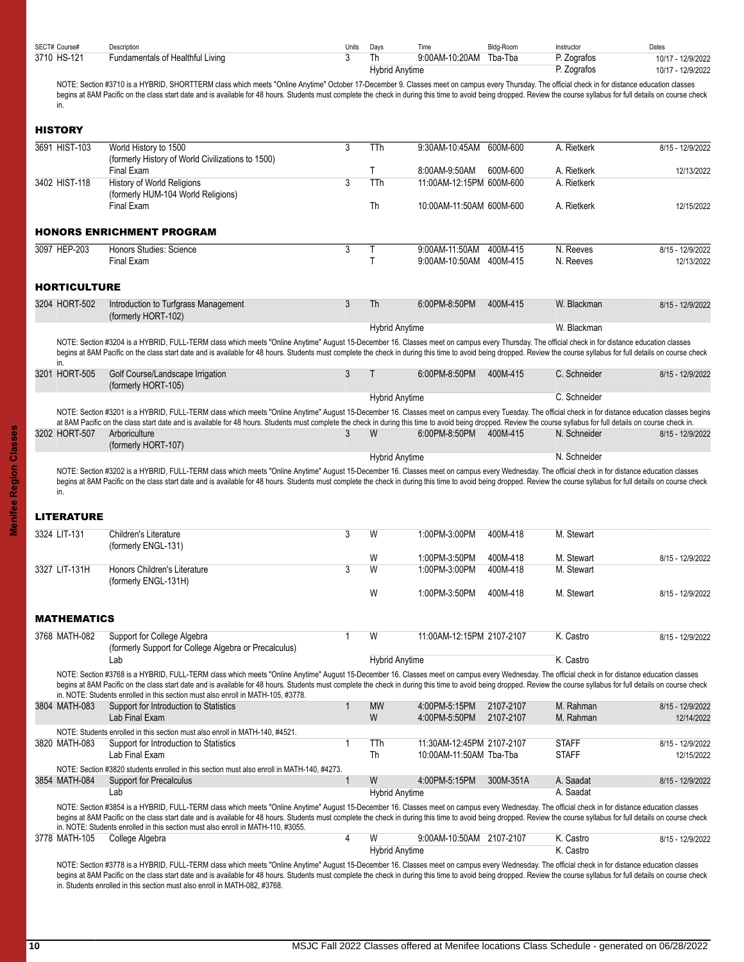<span id="page-9-2"></span><span id="page-9-1"></span><span id="page-9-0"></span>

| SECT# Course#       | Description                                                                                                                                                                                                                                                                                                                                                                                                                  | Units | Days                        | Time                                      | Bldg-Room | Instructor                 | Dates                                  |
|---------------------|------------------------------------------------------------------------------------------------------------------------------------------------------------------------------------------------------------------------------------------------------------------------------------------------------------------------------------------------------------------------------------------------------------------------------|-------|-----------------------------|-------------------------------------------|-----------|----------------------------|----------------------------------------|
| 3710 HS-121         | Fundamentals of Healthful Living                                                                                                                                                                                                                                                                                                                                                                                             | 3     | Th<br><b>Hybrid Anytime</b> | 9:00AM-10:20AM                            | Tba-Tba   | P. Zografos<br>P. Zografos | 10/17 - 12/9/2022<br>10/17 - 12/9/2022 |
|                     | NOTE: Section #3710 is a HYBRID, SHORTTERM class which meets "Online Anytime" October 17-December 9. Classes meet on campus every Thursday. The official check in for distance education classes                                                                                                                                                                                                                             |       |                             |                                           |           |                            |                                        |
| in.                 | begins at 8AM Pacific on the class start date and is available for 48 hours. Students must complete the check in during this time to avoid being dropped. Review the course syllabus for full details on course check                                                                                                                                                                                                        |       |                             |                                           |           |                            |                                        |
| <b>HISTORY</b>      |                                                                                                                                                                                                                                                                                                                                                                                                                              |       |                             |                                           |           |                            |                                        |
| 3691 HIST-103       | World History to 1500<br>(formerly History of World Civilizations to 1500)                                                                                                                                                                                                                                                                                                                                                   | 3     | TTh                         | 9:30AM-10:45AM                            | 600M-600  | A. Rietkerk                | 8/15 - 12/9/2022                       |
|                     | Final Exam                                                                                                                                                                                                                                                                                                                                                                                                                   |       | T                           | 8:00AM-9:50AM                             | 600M-600  | A. Rietkerk                | 12/13/2022                             |
| 3402 HIST-118       | <b>History of World Religions</b><br>(formerly HUM-104 World Religions)                                                                                                                                                                                                                                                                                                                                                      | 3     | <b>TTh</b>                  | 11:00AM-12:15PM 600M-600                  |           | A. Rietkerk                |                                        |
|                     | <b>Final Exam</b>                                                                                                                                                                                                                                                                                                                                                                                                            |       | Th                          | 10:00AM-11:50AM 600M-600                  |           | A. Rietkerk                | 12/15/2022                             |
|                     | <b>HONORS ENRICHMENT PROGRAM</b>                                                                                                                                                                                                                                                                                                                                                                                             |       |                             |                                           |           |                            |                                        |
| 3097 HEP-203        | Honors Studies: Science<br>Final Exam                                                                                                                                                                                                                                                                                                                                                                                        | 3     | Τ<br>$\mathsf{T}$           | 9:00AM-11:50AM<br>9:00AM-10:50AM 400M-415 | 400M-415  | N. Reeves<br>N. Reeves     | 8/15 - 12/9/2022<br>12/13/2022         |
| <b>HORTICULTURE</b> |                                                                                                                                                                                                                                                                                                                                                                                                                              |       |                             |                                           |           |                            |                                        |
| 3204 HORT-502       | Introduction to Turfgrass Management<br>(formerly HORT-102)                                                                                                                                                                                                                                                                                                                                                                  | 3     | Th                          | 6:00PM-8:50PM                             | 400M-415  | W. Blackman                | 8/15 - 12/9/2022                       |
|                     |                                                                                                                                                                                                                                                                                                                                                                                                                              |       | <b>Hybrid Anytime</b>       |                                           |           | W. Blackman                |                                        |
| in.                 | NOTE: Section #3204 is a HYBRID, FULL-TERM class which meets "Online Anytime" August 15-December 16. Classes meet on campus every Thursday. The official check in for distance education classes<br>begins at 8AM Pacific on the class start date and is available for 48 hours. Students must complete the check in during this time to avoid being dropped. Review the course syllabus for full details on course check    |       |                             |                                           |           |                            |                                        |
| 3201 HORT-505       | Golf Course/Landscape Irrigation<br>(formerly HORT-105)                                                                                                                                                                                                                                                                                                                                                                      | 3     | Т                           | 6:00PM-8:50PM                             | 400M-415  | C. Schneider               | 8/15 - 12/9/2022                       |
|                     |                                                                                                                                                                                                                                                                                                                                                                                                                              |       | <b>Hybrid Anytime</b>       |                                           |           | C. Schneider               |                                        |
|                     | NOTE: Section #3201 is a HYBRID, FULL-TERM class which meets "Online Anytime" August 15-December 16. Classes meet on campus every Tuesday. The official check in for distance education classes begins<br>at 8AM Pacific on the class start date and is available for 48 hours. Students must complete the check in during this time to avoid being dropped. Review the course syllabus for full details on course check in. |       |                             |                                           |           |                            |                                        |
| 3202 HORT-507       | Arboriculture                                                                                                                                                                                                                                                                                                                                                                                                                | 3     | W                           | 6:00PM-8:50PM                             | 400M-415  | N. Schneider               | 8/15 - 12/9/2022                       |
|                     | (formerly HORT-107)                                                                                                                                                                                                                                                                                                                                                                                                          |       |                             |                                           |           | N. Schneider               |                                        |
|                     |                                                                                                                                                                                                                                                                                                                                                                                                                              |       | <b>Hybrid Anytime</b>       |                                           |           |                            |                                        |
|                     | NOTE: Section #3202 is a HYBRID, FULL-TERM class which meets "Online Anytime" August 15-December 16. Classes meet on campus every Wednesday. The official check in for distance education classes<br>begins at 8AM Pacific on the class start date and is available for 48 hours. Students must complete the check in during this time to avoid being dropped. Review the course syllabus for full details on course check   |       |                             |                                           |           |                            |                                        |
| in.                 |                                                                                                                                                                                                                                                                                                                                                                                                                              |       |                             |                                           |           |                            |                                        |
| <b>LITERATURE</b>   |                                                                                                                                                                                                                                                                                                                                                                                                                              |       |                             |                                           |           |                            |                                        |
| 3324 LIT-131        | Children's Literature<br>(formerly ENGL-131)                                                                                                                                                                                                                                                                                                                                                                                 | 3     | W                           | 1:00PM-3:00PM                             | 400M-418  | M. Stewart                 |                                        |
|                     |                                                                                                                                                                                                                                                                                                                                                                                                                              |       | W                           | 1:00PM-3:50PM                             | 400M-418  | M. Stewart                 | 8/15 - 12/9/2022                       |
| 3327 LIT-131H       | Honors Children's Literature<br>(formerly ENGL-131H)                                                                                                                                                                                                                                                                                                                                                                         | 3     | W                           | 1:00PM-3:00PM                             | 400M-418  | M. Stewart                 |                                        |
|                     |                                                                                                                                                                                                                                                                                                                                                                                                                              |       | W                           | 1:00PM-3:50PM                             | 400M-418  | M. Stewart                 | 8/15 - 12/9/2022                       |
| <b>MATHEMATICS</b>  |                                                                                                                                                                                                                                                                                                                                                                                                                              |       |                             |                                           |           |                            |                                        |
| 3768 MATH-082       | Support for College Algebra<br>(formerly Support for College Algebra or Precalculus)                                                                                                                                                                                                                                                                                                                                         | 1     | W                           | 11:00AM-12:15PM 2107-2107                 |           | K. Castro                  | 8/15 - 12/9/2022                       |
|                     | Lab                                                                                                                                                                                                                                                                                                                                                                                                                          |       | <b>Hybrid Anytime</b>       |                                           |           | K. Castro                  |                                        |
|                     | NOTE: Section #3768 is a HYBRID, FULL-TERM class which meets "Online Anytime" August 15-December 16. Classes meet on campus every Wednesday. The official check in for distance education classes                                                                                                                                                                                                                            |       |                             |                                           |           |                            |                                        |
|                     | begins at 8AM Pacific on the class start date and is available for 48 hours. Students must complete the check in during this time to avoid being dropped. Review the course syllabus for full details on course check<br>in. NOTE: Students enrolled in this section must also enroll in MATH-105, #3778.                                                                                                                    |       |                             |                                           |           |                            |                                        |
| 3804 MATH-083       | Support for Introduction to Statistics                                                                                                                                                                                                                                                                                                                                                                                       | 1     | <b>MW</b>                   | 4:00PM-5:15PM                             | 2107-2107 | M. Rahman                  | 8/15 - 12/9/2022                       |
|                     | Lab Final Exam<br>NOTE: Students enrolled in this section must also enroll in MATH-140, #4521.                                                                                                                                                                                                                                                                                                                               |       | W                           | 4:00PM-5:50PM                             | 2107-2107 | M. Rahman                  | 12/14/2022                             |
| 3820 MATH-083       | Support for Introduction to Statistics                                                                                                                                                                                                                                                                                                                                                                                       | 1     | TTh                         | 11:30AM-12:45PM 2107-2107                 |           | <b>STAFF</b>               | 8/15 - 12/9/2022                       |
|                     | Lab Final Exam                                                                                                                                                                                                                                                                                                                                                                                                               |       | Th                          | 10:00AM-11:50AM Tba-Tba                   |           | <b>STAFF</b>               | 12/15/2022                             |
| 3854 MATH-084       | NOTE: Section #3820 students enrolled in this section must also enroll in MATH-140, #4273.<br>Support for Precalculus                                                                                                                                                                                                                                                                                                        | 1     | W                           | 4:00PM-5:15PM                             | 300M-351A | A. Saadat                  | 8/15 - 12/9/2022                       |
|                     | Lab                                                                                                                                                                                                                                                                                                                                                                                                                          |       | <b>Hybrid Anytime</b>       |                                           |           | A. Saadat                  |                                        |
|                     | NOTE: Section #3854 is a HYBRID, FULL-TERM class which meets "Online Anytime" August 15-December 16. Classes meet on campus every Wednesday. The official check in for distance education classes<br>begins at 8AM Pacific on the class start date and is available for 48 hours. Students must complete the check in during this time to avoid being dropped. Review the course syllabus for full details on course check   |       |                             |                                           |           |                            |                                        |
|                     | in. NOTE: Students enrolled in this section must also enroll in MATH-110, #3055.                                                                                                                                                                                                                                                                                                                                             |       |                             |                                           |           |                            |                                        |
|                     |                                                                                                                                                                                                                                                                                                                                                                                                                              |       |                             |                                           |           |                            |                                        |
| 3778 MATH-105       | College Algebra                                                                                                                                                                                                                                                                                                                                                                                                              | 4     | W<br><b>Hybrid Anytime</b>  | 9:00AM-10:50AM 2107-2107                  |           | K. Castro<br>K. Castro     | 8/15 - 12/9/2022                       |

<span id="page-9-4"></span><span id="page-9-3"></span>in. Students enrolled in this section must also enroll in MATH-082, #3768.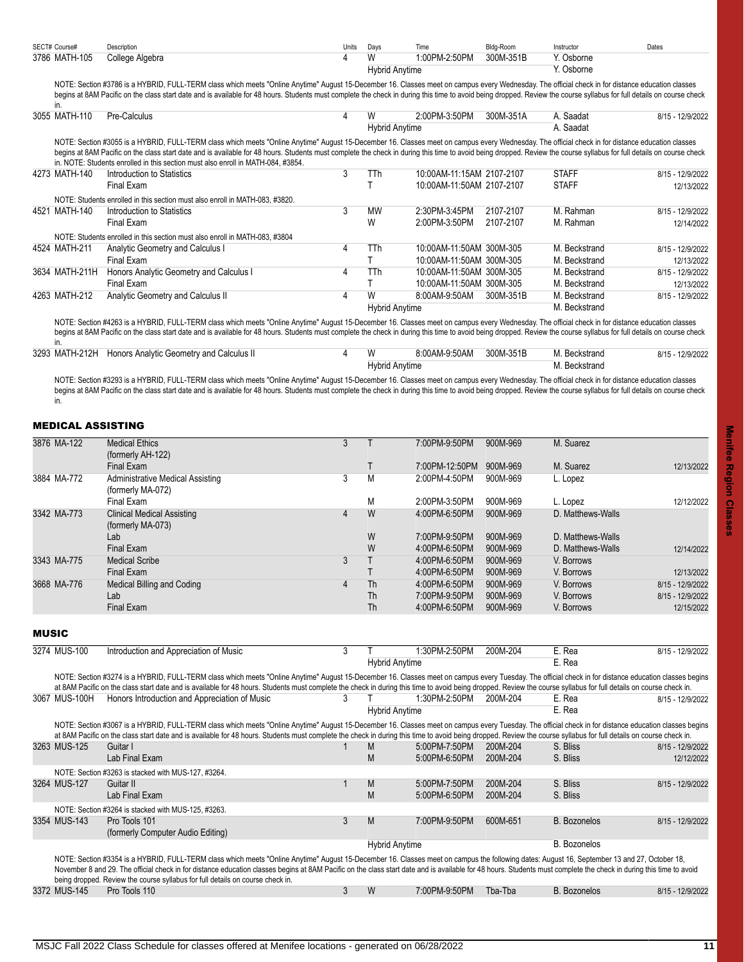| SECT# Course# | Description     | Units | Davs           | Time          | Bldg-Room | Instructor | Dates |
|---------------|-----------------|-------|----------------|---------------|-----------|------------|-------|
| 3786 MATH-105 | College Algebra |       |                | 1:00PM-2:50PM | 300M-351B | Y. Osborne |       |
|               |                 |       | Hvbrid Anvtime |               |           | Y. Osborne |       |

NOTE: Section #3786 is a HYBRID, FULL-TERM class which meets "Online Anytime" August 15-December 16. Classes meet on campus every Wednesday. The official check in for distance education classes begins at 8AM Pacific on the class start date and is available for 48 hours. Students must complete the check in during this time to avoid being dropped. Review the course syllabus for full details on course check

| in.            |                                                                                                                                                                                                                                                                                                                                                                                                                                                                                                                |   |                       |                           |           |               |                  |
|----------------|----------------------------------------------------------------------------------------------------------------------------------------------------------------------------------------------------------------------------------------------------------------------------------------------------------------------------------------------------------------------------------------------------------------------------------------------------------------------------------------------------------------|---|-----------------------|---------------------------|-----------|---------------|------------------|
| 3055 MATH-110  | Pre-Calculus                                                                                                                                                                                                                                                                                                                                                                                                                                                                                                   | 4 | W                     | 2:00PM-3:50PM             | 300M-351A | A. Saadat     | 8/15 - 12/9/2022 |
|                |                                                                                                                                                                                                                                                                                                                                                                                                                                                                                                                |   | <b>Hybrid Anytime</b> |                           |           | A. Saadat     |                  |
|                | NOTE: Section #3055 is a HYBRID, FULL-TERM class which meets "Online Anytime" August 15-December 16. Classes meet on campus every Wednesday. The official check in for distance education classes<br>begins at 8AM Pacific on the class start date and is available for 48 hours. Students must complete the check in during this time to avoid being dropped. Review the course syllabus for full details on course check<br>in. NOTE: Students enrolled in this section must also enroll in MATH-084, #3854. |   |                       |                           |           |               |                  |
| 4273 MATH-140  | Introduction to Statistics                                                                                                                                                                                                                                                                                                                                                                                                                                                                                     | 3 | TTh                   | 10:00AM-11:15AM 2107-2107 |           | <b>STAFF</b>  | 8/15 - 12/9/2022 |
|                | Final Exam                                                                                                                                                                                                                                                                                                                                                                                                                                                                                                     |   |                       | 10:00AM-11:50AM 2107-2107 |           | <b>STAFF</b>  | 12/13/2022       |
|                | NOTE: Students enrolled in this section must also enroll in MATH-083, #3820.                                                                                                                                                                                                                                                                                                                                                                                                                                   |   |                       |                           |           |               |                  |
| 4521 MATH-140  | Introduction to Statistics                                                                                                                                                                                                                                                                                                                                                                                                                                                                                     | 3 | <b>MW</b>             | 2:30PM-3:45PM             | 2107-2107 | M. Rahman     | 8/15 - 12/9/2022 |
|                | Final Exam                                                                                                                                                                                                                                                                                                                                                                                                                                                                                                     |   | W                     | 2:00PM-3:50PM             | 2107-2107 | M. Rahman     | 12/14/2022       |
|                | NOTE: Students enrolled in this section must also enroll in MATH-083, #3804                                                                                                                                                                                                                                                                                                                                                                                                                                    |   |                       |                           |           |               |                  |
| 4524 MATH-211  | Analytic Geometry and Calculus I                                                                                                                                                                                                                                                                                                                                                                                                                                                                               | 4 | TTh                   | 10:00AM-11:50AM 300M-305  |           | M. Beckstrand | 8/15 - 12/9/2022 |
|                | Final Exam                                                                                                                                                                                                                                                                                                                                                                                                                                                                                                     |   |                       | 10:00AM-11:50AM 300M-305  |           | M. Beckstrand | 12/13/2022       |
| 3634 MATH-211H | Honors Analytic Geometry and Calculus I                                                                                                                                                                                                                                                                                                                                                                                                                                                                        | 4 | TTh                   | 10:00AM-11:50AM 300M-305  |           | M. Beckstrand | 8/15 - 12/9/2022 |
|                | Final Exam                                                                                                                                                                                                                                                                                                                                                                                                                                                                                                     |   |                       | 10:00AM-11:50AM 300M-305  |           | M. Beckstrand | 12/13/2022       |
| 4263 MATH-212  | Analytic Geometry and Calculus II                                                                                                                                                                                                                                                                                                                                                                                                                                                                              | 4 | W                     | 8:00AM-9:50AM             | 300M-351B | M. Beckstrand | 8/15 - 12/9/2022 |
|                |                                                                                                                                                                                                                                                                                                                                                                                                                                                                                                                |   | <b>Hybrid Anytime</b> |                           |           | M. Beckstrand |                  |

NOTE: Section #4263 is a HYBRID, FULL-TERM class which meets "Online Anytime" August 15-December 16. Classes meet on campus every Wednesday. The official check in for distance education classes begins at 8AM Pacific on the class start date and is available for 48 hours. Students must complete the check in during this time to avoid being dropped. Review the course syllabus for full details on course check in.

3293 MATH-212H Honors Analytic Geometry and Calculus II 4 W 8:00AM-9:50AM 300M-351B M. Beckstrand 8/15 - 12/9/2022 Hybrid Anytime M. Beckstrand

NOTE: Section #3293 is a HYBRID, FULL-TERM class which meets "Online Anytime" August 15-December 16. Classes meet on campus every Wednesday. The official check in for distance education classes begins at 8AM Pacific on the class start date and is available for 48 hours. Students must complete the check in during this time to avoid being dropped. Review the course syllabus for full details on course check in.

### <span id="page-10-0"></span>MEDICAL ASSISTING

| 3876 MA-122 | <b>Medical Ethics</b>                   | 3 |           | 7:00PM-9:50PM  | 900M-969 | M. Suarez         |                  |
|-------------|-----------------------------------------|---|-----------|----------------|----------|-------------------|------------------|
|             |                                         |   |           |                |          |                   |                  |
|             | (formerly AH-122)                       |   |           |                |          |                   |                  |
|             | Final Exam                              |   |           | 7:00PM-12:50PM | 900M-969 | M. Suarez         | 12/13/2022       |
| 3884 MA-772 | <b>Administrative Medical Assisting</b> | 3 | M         | 2:00PM-4:50PM  | 900M-969 | L. Lopez          |                  |
|             | (formerly MA-072)                       |   |           |                |          |                   |                  |
|             | Final Exam                              |   | M         | 2:00PM-3:50PM  | 900M-969 | L. Lopez          | 12/12/2022       |
| 3342 MA-773 | <b>Clinical Medical Assisting</b>       | 4 | W         | 4:00PM-6:50PM  | 900M-969 | D. Matthews-Walls |                  |
|             | (formerly MA-073)                       |   |           |                |          |                   |                  |
|             | Lab                                     |   | W         | 7:00PM-9:50PM  | 900M-969 | D. Matthews-Walls |                  |
|             | Final Exam                              |   | W         | 4:00PM-6:50PM  | 900M-969 | D. Matthews-Walls | 12/14/2022       |
| 3343 MA-775 | <b>Medical Scribe</b>                   | 3 |           | 4:00PM-6:50PM  | 900M-969 | V. Borrows        |                  |
|             | Final Exam                              |   |           | 4:00PM-6:50PM  | 900M-969 | V. Borrows        | 12/13/2022       |
| 3668 MA-776 | Medical Billing and Coding              | 4 | Th        | 4:00PM-6:50PM  | 900M-969 | V. Borrows        | 8/15 - 12/9/2022 |
|             | Lab                                     |   | <b>Th</b> | 7:00PM-9:50PM  | 900M-969 | V. Borrows        | 8/15 - 12/9/2022 |
|             | Final Exam                              |   | Th        | 4.00PM-6.50PM  | 900M-969 | V. Borrows        | 12/15/2022       |

<span id="page-10-1"></span>MUSIC

| 3274 MUS-100  | Introduction and Appreciation of Music                                                                                                                                                                             | 3 |                       | 1:30PM-2:50PM | 200M-204 | E. Rea              | 8/15 - 12/9/2022 |
|---------------|--------------------------------------------------------------------------------------------------------------------------------------------------------------------------------------------------------------------|---|-----------------------|---------------|----------|---------------------|------------------|
|               |                                                                                                                                                                                                                    |   | <b>Hybrid Anytime</b> |               |          | E. Rea              |                  |
|               | NOTE: Section #3274 is a HYBRID, FULL-TERM class which meets "Online Anytime" August 15-December 16. Classes meet on campus every Tuesday. The official check in for distance education classes begins             |   |                       |               |          |                     |                  |
|               | at 8AM Pacific on the class start date and is available for 48 hours. Students must complete the check in during this time to avoid being dropped. Review the course syllabus for full details on course check in. |   |                       |               |          |                     |                  |
| 3067 MUS-100H | Honors Introduction and Appreciation of Music                                                                                                                                                                      | 3 |                       | 1:30PM-2:50PM | 200M-204 | E. Rea              | 8/15 - 12/9/2022 |
|               |                                                                                                                                                                                                                    |   | <b>Hybrid Anytime</b> |               |          | E. Rea              |                  |
|               |                                                                                                                                                                                                                    |   |                       |               |          |                     |                  |
|               | NOTE: Section #3067 is a HYBRID, FULL-TERM class which meets "Online Anytime" August 15-December 16. Classes meet on campus every Tuesday. The official check in for distance education classes begins             |   |                       |               |          |                     |                  |
|               | at 8AM Pacific on the class start date and is available for 48 hours. Students must complete the check in during this time to avoid being dropped. Review the course syllabus for full details on course check in. |   |                       |               |          |                     |                  |
| 3263 MUS-125  | Guitar I                                                                                                                                                                                                           |   | M                     | 5:00PM-7:50PM | 200M-204 | S. Bliss            | 8/15 - 12/9/2022 |
|               | Lab Final Exam                                                                                                                                                                                                     |   | M                     | 5:00PM-6:50PM | 200M-204 | S. Bliss            | 12/12/2022       |
|               | NOTE: Section #3263 is stacked with MUS-127, #3264.                                                                                                                                                                |   |                       |               |          |                     |                  |
| 3264 MUS-127  | Guitar II                                                                                                                                                                                                          |   | M                     | 5.00PM-7.50PM | 200M-204 | S. Bliss            | 8/15 - 12/9/2022 |
|               | Lab Final Exam                                                                                                                                                                                                     |   | M                     | 5:00PM-6:50PM | 200M-204 | S. Bliss            |                  |
|               | NOTE: Section #3264 is stacked with MUS-125, #3263.                                                                                                                                                                |   |                       |               |          |                     |                  |
| 3354 MUS-143  | Pro Tools 101                                                                                                                                                                                                      | 3 | M                     | 7:00PM-9:50PM | 600M-651 | <b>B.</b> Bozonelos | 8/15 - 12/9/2022 |
|               | (formerly Computer Audio Editing)                                                                                                                                                                                  |   |                       |               |          |                     |                  |
|               |                                                                                                                                                                                                                    |   | Hybrid Anytime        |               |          | <b>B.</b> Bozonelos |                  |
|               | NOTE: Section #3354 is a HYBRID, FULL-TERM class which meets "Online Anytime" August 15-December 16. Classes meet on campus the following dates: August 16, September 13 and 27, October 18,                       |   |                       |               |          |                     |                  |
|               | November 8 and 29. The official check in for distance education classes begins at 8AM Pacific on the class start date and is available for 48 hours. Students must complete the check in during this time to avoid |   |                       |               |          |                     |                  |
|               | being dropped. Review the course syllabus for full details on course check in.                                                                                                                                     |   |                       |               |          |                     |                  |
| 3372 MUS-145  | Pro Tools 110                                                                                                                                                                                                      | 3 | W                     | 7:00PM-9:50PM | Tba-Tba  | <b>B.</b> Bozonelos | 8/15 - 12/9/2022 |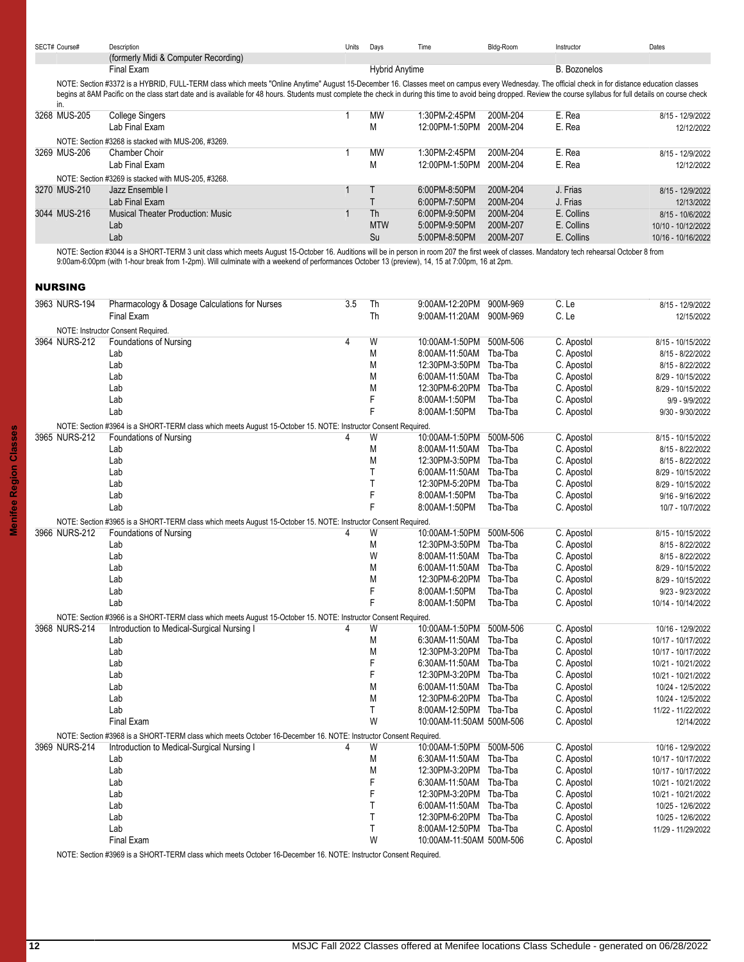| SECT# Course# | Description                          | Units | Davs | l ıme | Blda-Room | Instructor | Dates |
|---------------|--------------------------------------|-------|------|-------|-----------|------------|-------|
|               | (formerly Midi & Computer Recording) |       |      |       |           |            |       |

Final Exam B. Bozonelos Communication Communication Communication Hybrid Anytime Communication B. Bozonelos NOTE: Section #3372 is a HYBRID, FULL-TERM class which meets "Online Anytime" August 15-December 16. Classes meet on campus every Wednesday. The official check in for distance education classes begins at 8AM Pacific on the class start date and is available for 48 hours. Students must complete the check in during this time to avoid being dropped. Review the course syllabus for full details on course check in.

| .            |                                                     |            |                |          |            |                    |
|--------------|-----------------------------------------------------|------------|----------------|----------|------------|--------------------|
| 3268 MUS-205 | College Singers                                     | <b>MW</b>  | 1:30PM-2:45PM  | 200M-204 | E. Rea     | 8/15 - 12/9/2022   |
|              | Lab Final Exam                                      | M          | 12:00PM-1:50PM | 200M-204 | E. Rea     | 12/12/2022         |
|              | NOTE: Section #3268 is stacked with MUS-206, #3269. |            |                |          |            |                    |
| 3269 MUS-206 | Chamber Choir                                       | <b>MW</b>  | 1:30PM-2:45PM  | 200M-204 | E. Rea     | 8/15 - 12/9/2022   |
|              | Lab Final Exam                                      | M          | 12:00PM-1:50PM | 200M-204 | E. Rea     | 12/12/2022         |
|              | NOTE: Section #3269 is stacked with MUS-205, #3268. |            |                |          |            |                    |
| 3270 MUS-210 | Jazz Ensemble I                                     |            | 6:00PM-8:50PM  | 200M-204 | J. Frias   | 8/15 - 12/9/2022   |
|              | Lab Final Exam                                      |            | 6:00PM-7:50PM  | 200M-204 | J. Frias   | 12/13/2022         |
| 3044 MUS-216 | <b>Musical Theater Production: Music</b>            | Th         | 6:00PM-9:50PM  | 200M-204 | E. Collins | 8/15 - 10/6/2022   |
|              | Lab                                                 | <b>MTW</b> | 5:00PM-9:50PM  | 200M-207 | E. Collins | 10/10 - 10/12/2022 |
|              | Lab                                                 | Su         | 5:00PM-8:50PM  | 200M-207 | E. Collins | 10/16 - 10/16/2022 |

NOTE: Section #3044 is a SHORT-TERM 3 unit class which meets August 15-October 16. Auditions will be in person in room 207 the first week of classes. Mandatory tech rehearsal October 8 from 9:00am-6:00pm (with 1-hour break from 1-2pm). Will culminate with a weekend of performances October 13 (preview), 14, 15 at 7:00pm, 16 at 2pm.

### <span id="page-11-0"></span>NURSING

| 3963 NURS-194 | Pharmacology & Dosage Calculations for Nurses                                                                    | 3.5 | Th | 9:00AM-12:20PM           | 900M-969 | C. Le      | 8/15 - 12/9/2022   |
|---------------|------------------------------------------------------------------------------------------------------------------|-----|----|--------------------------|----------|------------|--------------------|
|               | <b>Final Exam</b>                                                                                                |     | Th | 9:00AM-11:20AM           | 900M-969 | C. Le      | 12/15/2022         |
|               | NOTE: Instructor Consent Required                                                                                |     |    |                          |          |            |                    |
| 3964 NURS-212 | <b>Foundations of Nursing</b>                                                                                    | 4   | W  | 10:00AM-1:50PM           | 500M-506 | C. Apostol | 8/15 - 10/15/2022  |
|               | Lab                                                                                                              |     | M  | 8:00AM-11:50AM           | Tba-Tba  | C. Apostol | 8/15 - 8/22/2022   |
|               | Lab                                                                                                              |     | M  | 12:30PM-3:50PM           | Tba-Tba  | C. Apostol | 8/15 - 8/22/2022   |
|               | Lab                                                                                                              |     | M  | 6:00AM-11:50AM           | Tba-Tba  | C. Apostol | 8/29 - 10/15/2022  |
|               | Lab                                                                                                              |     | M  | 12:30PM-6:20PM           | Tba-Tba  | C. Apostol | 8/29 - 10/15/2022  |
|               | Lab                                                                                                              |     | F  | 8:00AM-1:50PM            | Tba-Tba  | C. Apostol | 9/9 - 9/9/2022     |
|               | Lab                                                                                                              |     | F  | 8:00AM-1:50PM            | Tba-Tba  | C. Apostol | 9/30 - 9/30/2022   |
|               | NOTE: Section #3964 is a SHORT-TERM class which meets August 15-October 15. NOTE: Instructor Consent Required.   |     |    |                          |          |            |                    |
| 3965 NURS-212 | <b>Foundations of Nursing</b>                                                                                    |     | W  | 10:00AM-1:50PM           | 500M-506 | C. Apostol | 8/15 - 10/15/2022  |
|               | Lab                                                                                                              |     | M  | 8:00AM-11:50AM           | Tba-Tba  | C. Apostol | 8/15 - 8/22/2022   |
|               | Lab                                                                                                              |     | M  | 12:30PM-3:50PM           | Tba-Tba  | C. Apostol | 8/15 - 8/22/2022   |
|               | Lab                                                                                                              |     | T  | 6:00AM-11:50AM           | Tba-Tba  | C. Apostol | 8/29 - 10/15/2022  |
|               | Lab                                                                                                              |     | T  | 12:30PM-5:20PM           | Tba-Tba  | C. Apostol | 8/29 - 10/15/2022  |
|               | Lab                                                                                                              |     | F  | 8:00AM-1:50PM            | Tba-Tba  | C. Apostol | 9/16 - 9/16/2022   |
|               | Lab                                                                                                              |     | F  | 8:00AM-1:50PM            | Tba-Tba  | C. Apostol | 10/7 - 10/7/2022   |
|               | NOTE: Section #3965 is a SHORT-TERM class which meets August 15-October 15. NOTE: Instructor Consent Required.   |     |    |                          |          |            |                    |
| 3966 NURS-212 | <b>Foundations of Nursing</b>                                                                                    | 4   | W  | 10:00AM-1:50PM           | 500M-506 | C. Apostol | 8/15 - 10/15/2022  |
|               | Lab                                                                                                              |     | M  | 12:30PM-3:50PM           | Tba-Tba  | C. Apostol | 8/15 - 8/22/2022   |
|               | Lab                                                                                                              |     | W  | 8:00AM-11:50AM           | Tba-Tba  | C. Apostol | 8/15 - 8/22/2022   |
|               | Lab                                                                                                              |     | M  | 6:00AM-11:50AM           | Tba-Tba  | C. Apostol | 8/29 - 10/15/2022  |
|               | Lab                                                                                                              |     | M  | 12:30PM-6:20PM           | Tba-Tba  | C. Apostol | 8/29 - 10/15/2022  |
|               | Lab                                                                                                              |     | F  | 8:00AM-1:50PM            | Tba-Tba  | C. Apostol | 9/23 - 9/23/2022   |
|               | Lab                                                                                                              |     | F  | 8:00AM-1:50PM            | Tba-Tba  | C. Apostol | 10/14 - 10/14/2022 |
|               | NOTE: Section #3966 is a SHORT-TERM class which meets August 15-October 15. NOTE: Instructor Consent Required.   |     |    |                          |          |            |                    |
| 3968 NURS-214 | Introduction to Medical-Surgical Nursing I                                                                       | 4   | W  | 10:00AM-1:50PM           | 500M-506 | C. Apostol | 10/16 - 12/9/2022  |
|               | Lab                                                                                                              |     | M  | 6:30AM-11:50AM           | Tba-Tba  | C. Apostol | 10/17 - 10/17/2022 |
|               | Lab                                                                                                              |     | M  | 12:30PM-3:20PM           | Tba-Tba  | C. Apostol | 10/17 - 10/17/2022 |
|               | Lab                                                                                                              |     | F  | 6:30AM-11:50AM           | Tba-Tba  | C. Apostol | 10/21 - 10/21/2022 |
|               | Lab                                                                                                              |     | F  | 12:30PM-3:20PM           | Tba-Tba  | C. Apostol | 10/21 - 10/21/2022 |
|               | Lab                                                                                                              |     | M  | 6:00AM-11:50AM           | Tba-Tba  | C. Apostol | 10/24 - 12/5/2022  |
|               | Lab                                                                                                              |     | M  | 12:30PM-6:20PM           | Tba-Tba  | C. Apostol | 10/24 - 12/5/2022  |
|               | Lab                                                                                                              |     | T  | 8:00AM-12:50PM           | Tba-Tba  | C. Apostol | 11/22 - 11/22/2022 |
|               | <b>Final Exam</b>                                                                                                |     | W  | 10:00AM-11:50AM 500M-506 |          | C. Apostol | 12/14/2022         |
|               | NOTE: Section #3968 is a SHORT-TERM class which meets October 16-December 16. NOTE: Instructor Consent Required. |     |    |                          |          |            |                    |
| 3969 NURS-214 | Introduction to Medical-Surgical Nursing I                                                                       | 4   | W  | 10:00AM-1:50PM           | 500M-506 | C. Apostol | 10/16 - 12/9/2022  |
|               | Lab                                                                                                              |     | M  | 6:30AM-11:50AM           | Tba-Tba  | C. Apostol | 10/17 - 10/17/2022 |
|               | Lab                                                                                                              |     | M  | 12:30PM-3:20PM           | Tba-Tba  | C. Apostol | 10/17 - 10/17/2022 |
|               | Lab                                                                                                              |     | F  | 6:30AM-11:50AM           | Tba-Tba  | C. Apostol | 10/21 - 10/21/2022 |
|               | Lab                                                                                                              |     | F  | 12:30PM-3:20PM           | Tba-Tba  | C. Apostol | 10/21 - 10/21/2022 |
|               | Lab                                                                                                              |     | T  | 6:00AM-11:50AM           | Tba-Tba  | C. Apostol | 10/25 - 12/6/2022  |
|               | Lab                                                                                                              |     | T  | 12:30PM-6:20PM Tba-Tba   |          | C. Apostol | 10/25 - 12/6/2022  |
|               | Lab                                                                                                              |     | T  | 8:00AM-12:50PM           | Tba-Tba  | C. Apostol |                    |
|               | <b>Final Exam</b>                                                                                                |     | W  | 10:00AM-11:50AM 500M-506 |          | C. Apostol | 11/29 - 11/29/2022 |
|               |                                                                                                                  |     |    |                          |          |            |                    |

NOTE: Section #3969 is a SHORT-TERM class which meets October 16-December 16. NOTE: Instructor Consent Required.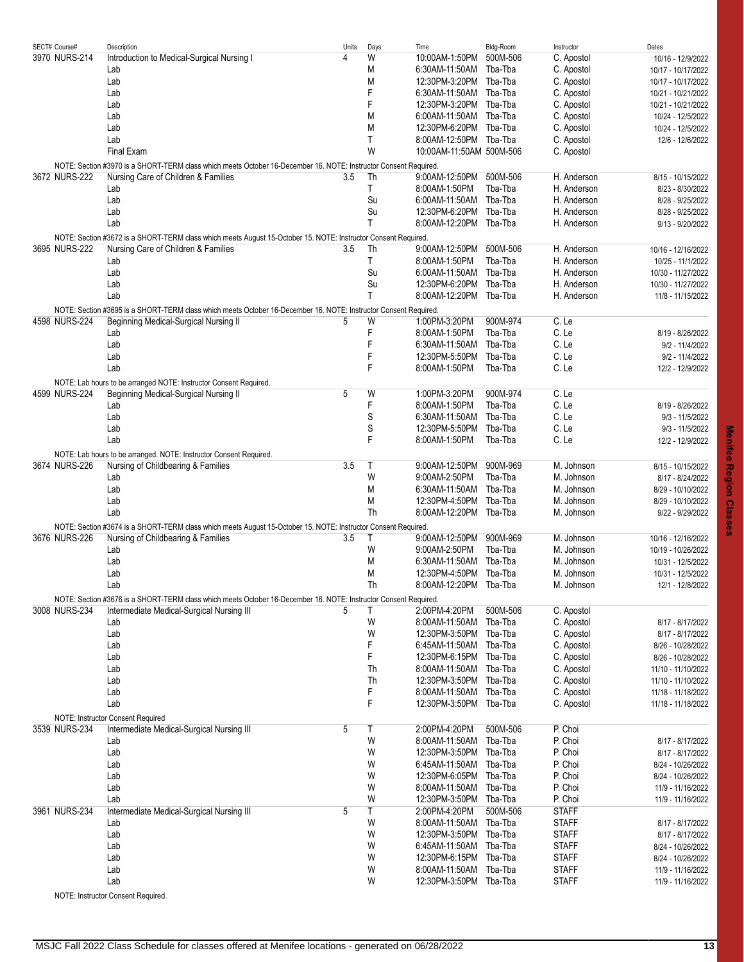| SECT# Course# | Description                                                                                                      | Units | Days         | Time                     | Bldg-Room | Instructor   | Dates              |
|---------------|------------------------------------------------------------------------------------------------------------------|-------|--------------|--------------------------|-----------|--------------|--------------------|
| 3970 NURS-214 | Introduction to Medical-Surgical Nursing I                                                                       | 4     | W            | 10:00AM-1:50PM           | 500M-506  | C. Apostol   | 10/16 - 12/9/2022  |
|               | Lab                                                                                                              |       | M            | 6:30AM-11:50AM           | Tba-Tba   | C. Apostol   | 10/17 - 10/17/2022 |
|               |                                                                                                                  |       |              |                          |           |              |                    |
|               | Lab                                                                                                              |       | M            | 12:30PM-3:20PM Tba-Tba   |           | C. Apostol   | 10/17 - 10/17/2022 |
|               | Lab                                                                                                              |       | F            | 6:30AM-11:50AM Tba-Tba   |           | C. Apostol   | 10/21 - 10/21/2022 |
|               | Lab                                                                                                              |       | F            | 12:30PM-3:20PM Tba-Tba   |           | C. Apostol   | 10/21 - 10/21/2022 |
|               | Lab                                                                                                              |       | M            | 6:00AM-11:50AM Tba-Tba   |           | C. Apostol   | 10/24 - 12/5/2022  |
|               | Lab                                                                                                              |       | M            | 12:30PM-6:20PM Tba-Tba   |           | C. Apostol   | 10/24 - 12/5/2022  |
|               | Lab                                                                                                              |       | T            | 8:00AM-12:50PM Tba-Tba   |           | C. Apostol   | 12/6 - 12/6/2022   |
|               |                                                                                                                  |       |              |                          |           |              |                    |
|               | Final Exam                                                                                                       |       | W            | 10:00AM-11:50AM 500M-506 |           | C. Apostol   |                    |
|               | NOTE: Section #3970 is a SHORT-TERM class which meets October 16-December 16. NOTE: Instructor Consent Required. |       |              |                          |           |              |                    |
| 3672 NURS-222 | Nursing Care of Children & Families                                                                              | 3.5   | Th           | 9:00AM-12:50PM 500M-506  |           | H. Anderson  | 8/15 - 10/15/2022  |
|               | Lab                                                                                                              |       | Τ            | 8:00AM-1:50PM            | Tba-Tba   | H. Anderson  | 8/23 - 8/30/2022   |
|               | Lab                                                                                                              |       | Su           | 6:00AM-11:50AM Tba-Tba   |           | H. Anderson  | 8/28 - 9/25/2022   |
|               | Lab                                                                                                              |       | Su           | 12:30PM-6:20PM Tba-Tba   |           | H. Anderson  | 8/28 - 9/25/2022   |
|               | Lab                                                                                                              |       | T            | 8:00AM-12:20PM Tba-Tba   |           | H. Anderson  |                    |
|               |                                                                                                                  |       |              |                          |           |              | 9/13 - 9/20/2022   |
|               | NOTE: Section #3672 is a SHORT-TERM class which meets August 15-October 15. NOTE: Instructor Consent Required.   |       |              |                          |           |              |                    |
| 3695 NURS-222 | Nursing Care of Children & Families                                                                              | 3.5   | Th           | 9:00AM-12:50PM 500M-506  |           | H. Anderson  | 10/16 - 12/16/2022 |
|               | Lab                                                                                                              |       | Τ            | 8:00AM-1:50PM            | Tba-Tba   | H. Anderson  | 10/25 - 11/1/2022  |
|               | Lab                                                                                                              |       | Su           | 6:00AM-11:50AM           | Tba-Tba   | H. Anderson  | 10/30 - 11/27/2022 |
|               | Lab                                                                                                              |       | Su           | 12:30PM-6:20PM Tba-Tba   |           | H. Anderson  | 10/30 - 11/27/2022 |
|               |                                                                                                                  |       | $\mathsf{T}$ |                          |           |              |                    |
|               | Lab                                                                                                              |       |              | 8:00AM-12:20PM Tba-Tba   |           | H. Anderson  | 11/8 - 11/15/2022  |
|               | NOTE: Section #3695 is a SHORT-TERM class which meets October 16-December 16. NOTE: Instructor Consent Required. |       |              |                          |           |              |                    |
| 4598 NURS-224 | Beginning Medical-Surgical Nursing II                                                                            | 5     | W            | 1:00PM-3:20PM            | 900M-974  | C. Le        |                    |
|               | Lab                                                                                                              |       | F            | 8:00AM-1:50PM            | Tba-Tba   | C. Le        | 8/19 - 8/26/2022   |
|               | Lab                                                                                                              |       | F            | 6:30AM-11:50AM           | Tba-Tba   | C. Le        | 9/2 - 11/4/2022    |
|               |                                                                                                                  |       |              |                          |           |              |                    |
|               | Lab                                                                                                              |       | F            | 12:30PM-5:50PM Tba-Tba   |           | C. Le        | 9/2 - 11/4/2022    |
|               | Lab                                                                                                              |       | F            | 8:00AM-1:50PM            | Tba-Tba   | C. Le        | 12/2 - 12/9/2022   |
|               | NOTE: Lab hours to be arranged NOTE: Instructor Consent Required.                                                |       |              |                          |           |              |                    |
| 4599 NURS-224 | Beginning Medical-Surgical Nursing II                                                                            | 5     | W            | 1:00PM-3:20PM            | 900M-974  | C. Le        |                    |
|               | Lab                                                                                                              |       | F            | 8:00AM-1:50PM            | Tba-Tba   | C. Le        | 8/19 - 8/26/2022   |
|               | Lab                                                                                                              |       | S            | 6:30AM-11:50AM           | Tba-Tba   | C. Le        | $9/3 - 11/5/2022$  |
|               |                                                                                                                  |       |              |                          |           |              |                    |
|               | Lab                                                                                                              |       | S            | 12:30PM-5:50PM Tba-Tba   |           | C. Le        | 9/3 - 11/5/2022    |
|               | Lab                                                                                                              |       | F            | 8:00AM-1:50PM            | Tba-Tba   | C. Le        | 12/2 - 12/9/2022   |
|               | NOTE: Lab hours to be arranged. NOTE: Instructor Consent Required.                                               |       |              |                          |           |              |                    |
| 3674 NURS-226 | Nursing of Childbearing & Families                                                                               | 3.5   | $\top$       | 9:00AM-12:50PM           | 900M-969  | M. Johnson   | 8/15 - 10/15/2022  |
|               | Lab                                                                                                              |       | W            | 9:00AM-2:50PM            | Tba-Tba   | M. Johnson   | 8/17 - 8/24/2022   |
|               |                                                                                                                  |       |              |                          |           |              |                    |
|               | Lab                                                                                                              |       | M            | 6:30AM-11:50AM           | Tba-Tba   | M. Johnson   | 8/29 - 10/10/2022  |
|               | Lab                                                                                                              |       | M            | 12:30PM-4:50PM           | Tba-Tba   | M. Johnson   | 8/29 - 10/10/2022  |
|               | Lab                                                                                                              |       | Th           | 8:00AM-12:20PM Tba-Tba   |           | M. Johnson   | 9/22 - 9/29/2022   |
|               | NOTE: Section #3674 is a SHORT-TERM class which meets August 15-October 15. NOTE: Instructor Consent Required.   |       |              |                          |           |              |                    |
| 3676 NURS-226 | Nursing of Childbearing & Families                                                                               | 3.5   | $\top$       | 9:00AM-12:50PM 900M-969  |           | M. Johnson   | 10/16 - 12/16/2022 |
|               |                                                                                                                  |       | W            |                          | Tha-Tha   |              |                    |
|               | Lab                                                                                                              |       |              | 9:00AM-2:50PM            |           | M. Johnson   | 10/19 - 10/26/2022 |
|               | Lab                                                                                                              |       | M            | 6:30AM-11:50AM Tba-Tba   |           | M. Johnson   | 10/31 - 12/5/2022  |
|               | Lab                                                                                                              |       | M            | 12:30PM-4:50PM Tba-Tba   |           | M. Johnson   | 10/31 - 12/5/2022  |
|               | Lab                                                                                                              |       | Th           | 8:00AM-12:20PM Tba-Tba   |           | M. Johnson   | 12/1 - 12/8/2022   |
|               | NOTE: Section #3676 is a SHORT-TERM class which meets October 16-December 16. NOTE: Instructor Consent Required. |       |              |                          |           |              |                    |
| 3008 NURS-234 | Intermediate Medical-Surgical Nursing III                                                                        | 5     | Τ            | 2:00PM-4:20PM            | 500M-506  | C. Apostol   |                    |
|               |                                                                                                                  |       |              |                          |           |              |                    |
|               | Lab                                                                                                              |       | W            | 8.00AM-11:50AM Tba-Tba   |           | C. Apostol   | 8/17 - 8/17/2022   |
|               | Lab                                                                                                              |       | W            | 12:30PM-3:50PM Tba-Tba   |           | C. Apostol   | 8/17 - 8/17/2022   |
|               | Lab                                                                                                              |       | F            | 6:45AM-11:50AM Tba-Tba   |           | C. Apostol   | 8/26 - 10/28/2022  |
|               | Lab                                                                                                              |       | F            | 12:30PM-6:15PM Tba-Tba   |           | C. Apostol   | 8/26 - 10/28/2022  |
|               | Lab                                                                                                              |       | Th           | 8:00AM-11:50AM Tba-Tba   |           | C. Apostol   | 11/10 - 11/10/2022 |
|               | Lab                                                                                                              |       | Th           | 12:30PM-3:50PM Tba-Tba   |           | C. Apostol   | 11/10 - 11/10/2022 |
|               | Lab                                                                                                              |       | F            | 8:00AM-11:50AM Tba-Tba   |           | C. Apostol   | 11/18 - 11/18/2022 |
|               |                                                                                                                  |       |              |                          |           |              |                    |
|               | Lab                                                                                                              |       | F            | 12:30PM-3:50PM Tba-Tba   |           | C. Apostol   | 11/18 - 11/18/2022 |
|               | NOTE: Instructor Consent Required                                                                                |       |              |                          |           |              |                    |
| 3539 NURS-234 | Intermediate Medical-Surgical Nursing III                                                                        | 5     | Τ            | 2:00PM-4:20PM            | 500M-506  | P. Choi      |                    |
|               | Lab                                                                                                              |       | W            | 8:00AM-11:50AM           | Tba-Tba   | P. Choi      | 8/17 - 8/17/2022   |
|               | Lab                                                                                                              |       | W            | 12:30PM-3:50PM Tba-Tba   |           | P. Choi      | 8/17 - 8/17/2022   |
|               | Lab                                                                                                              |       | W            | 6:45AM-11:50AM Tba-Tba   |           | P. Choi      |                    |
|               |                                                                                                                  |       |              |                          |           |              | 8/24 - 10/26/2022  |
|               | Lab                                                                                                              |       | W            | 12:30PM-6:05PM Tba-Tba   |           | P. Choi      | 8/24 - 10/26/2022  |
|               | Lab                                                                                                              |       | W            | 8:00AM-11:50AM Tba-Tba   |           | P. Choi      | 11/9 - 11/16/2022  |
|               | Lab                                                                                                              |       | W            | 12:30PM-3:50PM Tba-Tba   |           | P. Choi      | 11/9 - 11/16/2022  |
| 3961 NURS-234 | Intermediate Medical-Surgical Nursing III                                                                        | 5     | Τ            | 2:00PM-4:20PM            | 500M-506  | <b>STAFF</b> |                    |
|               | Lab                                                                                                              |       | W            | 8:00AM-11:50AM Tba-Tba   |           | <b>STAFF</b> | 8/17 - 8/17/2022   |
|               | Lab                                                                                                              |       | W            | 12:30PM-3:50PM Tba-Tba   |           | <b>STAFF</b> | 8/17 - 8/17/2022   |
|               |                                                                                                                  |       |              |                          |           |              |                    |
|               | Lab                                                                                                              |       | W            | 6:45AM-11:50AM Tba-Tba   |           | <b>STAFF</b> | 8/24 - 10/26/2022  |
|               | Lab                                                                                                              |       | W            | 12:30PM-6:15PM Tba-Tba   |           | <b>STAFF</b> | 8/24 - 10/26/2022  |
|               | Lab                                                                                                              |       | W            | 8:00AM-11:50AM           | Tba-Tba   | <b>STAFF</b> | 11/9 - 11/16/2022  |
|               | Lab                                                                                                              |       | W            | 12:30PM-3:50PM Tba-Tba   |           | <b>STAFF</b> | 11/9 - 11/16/2022  |
|               |                                                                                                                  |       |              |                          |           |              |                    |

NOTE: Instructor Consent Required.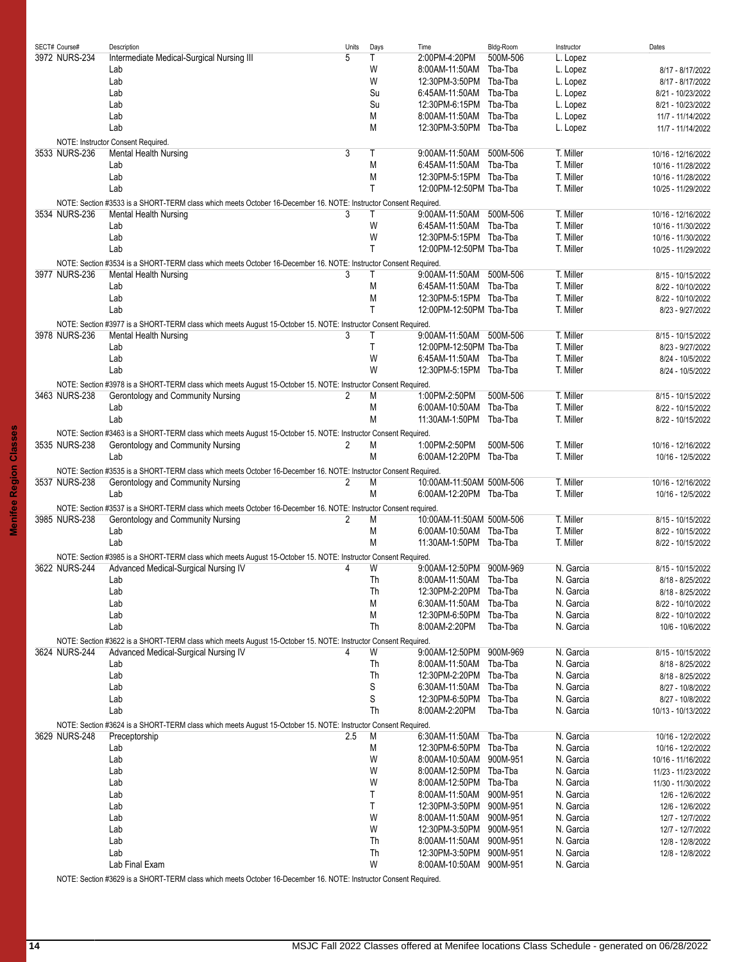|  | SECT# Course# | Description                                                                                                      | Units | Days | Time                     | Bldg-Room | Instructor | Dates              |
|--|---------------|------------------------------------------------------------------------------------------------------------------|-------|------|--------------------------|-----------|------------|--------------------|
|  | 3972 NURS-234 | Intermediate Medical-Surgical Nursing III                                                                        | 5     | Τ    | 2:00PM-4:20PM            | 500M-506  | L. Lopez   |                    |
|  |               | Lab                                                                                                              |       | W    | 8:00AM-11:50AM           | Tba-Tba   | L. Lopez   | 8/17 - 8/17/2022   |
|  |               | Lab                                                                                                              |       | W    | 12:30PM-3:50PM Tba-Tba   |           | L. Lopez   | 8/17 - 8/17/2022   |
|  |               | Lab                                                                                                              |       | Su   | 6:45AM-11:50AM           | Tba-Tba   | L. Lopez   | 8/21 - 10/23/2022  |
|  |               | Lab                                                                                                              |       | Su   | 12:30PM-6:15PM Tba-Tba   |           | L. Lopez   | 8/21 - 10/23/2022  |
|  |               | Lab                                                                                                              |       | M    | 8:00AM-11:50AM Tba-Tba   |           | L. Lopez   | 11/7 - 11/14/2022  |
|  |               | Lab                                                                                                              |       | M    | 12:30PM-3:50PM Tba-Tba   |           |            |                    |
|  |               |                                                                                                                  |       |      |                          |           | L. Lopez   | 11/7 - 11/14/2022  |
|  |               | NOTE: Instructor Consent Required.                                                                               |       |      |                          |           |            |                    |
|  | 3533 NURS-236 | Mental Health Nursing                                                                                            | 3     | Τ    | 9:00AM-11:50AM           | 500M-506  | T. Miller  | 10/16 - 12/16/2022 |
|  |               | Lab                                                                                                              |       | M    | 6:45AM-11:50AM           | Tba-Tba   | T. Miller  | 10/16 - 11/28/2022 |
|  |               | Lab                                                                                                              |       | M    | 12:30PM-5:15PM Tba-Tba   |           | T. Miller  | 10/16 - 11/28/2022 |
|  |               | Lab                                                                                                              |       | T    | 12:00PM-12:50PM Tba-Tba  |           | T. Miller  | 10/25 - 11/29/2022 |
|  |               | NOTE: Section #3533 is a SHORT-TERM class which meets October 16-December 16. NOTE: Instructor Consent Required. |       |      |                          |           |            |                    |
|  | 3534 NURS-236 | Mental Health Nursing                                                                                            | 3     | Τ    | 9:00AM-11:50AM           | 500M-506  | T. Miller  | 10/16 - 12/16/2022 |
|  |               | Lab                                                                                                              |       | W    | 6:45AM-11:50AM Tba-Tba   |           | T. Miller  | 10/16 - 11/30/2022 |
|  |               | Lab                                                                                                              |       | W    | 12:30PM-5:15PM Tba-Tba   |           | T. Miller  |                    |
|  |               |                                                                                                                  |       |      |                          |           |            | 10/16 - 11/30/2022 |
|  |               | Lab                                                                                                              |       | T    | 12:00PM-12:50PM Tba-Tba  |           | T. Miller  | 10/25 - 11/29/2022 |
|  |               | NOTE: Section #3534 is a SHORT-TERM class which meets October 16-December 16. NOTE: Instructor Consent Required  |       |      |                          |           |            |                    |
|  | 3977 NURS-236 | Mental Health Nursing                                                                                            | 3     | Τ    | 9:00AM-11:50AM           | 500M-506  | T. Miller  | 8/15 - 10/15/2022  |
|  |               | Lab                                                                                                              |       | M    | 6:45AM-11:50AM           | Tba-Tba   | T. Miller  | 8/22 - 10/10/2022  |
|  |               | Lab                                                                                                              |       | M    | 12:30PM-5:15PM Tba-Tba   |           | T. Miller  | 8/22 - 10/10/2022  |
|  |               | Lab                                                                                                              |       | Τ    | 12:00PM-12:50PM Tba-Tba  |           | T. Miller  | 8/23 - 9/27/2022   |
|  |               |                                                                                                                  |       |      |                          |           |            |                    |
|  |               | NOTE: Section #3977 is a SHORT-TERM class which meets August 15-October 15. NOTE: Instructor Consent Required.   |       |      |                          |           |            |                    |
|  | 3978 NURS-236 | Mental Health Nursing                                                                                            | 3     | Τ    | 9:00AM-11:50AM 500M-506  |           | T. Miller  | 8/15 - 10/15/2022  |
|  |               | Lab                                                                                                              |       | T    | 12:00PM-12:50PM Tba-Tba  |           | T. Miller  | 8/23 - 9/27/2022   |
|  |               | Lab                                                                                                              |       | W    | 6:45AM-11:50AM Tba-Tba   |           | T. Miller  | 8/24 - 10/5/2022   |
|  |               | Lab                                                                                                              |       | W    | 12:30PM-5:15PM Tba-Tba   |           | T. Miller  | 8/24 - 10/5/2022   |
|  |               | NOTE: Section #3978 is a SHORT-TERM class which meets August 15-October 15. NOTE: Instructor Consent Required.   |       |      |                          |           |            |                    |
|  | 3463 NURS-238 | Gerontology and Community Nursing                                                                                | 2     | M    | 1:00PM-2:50PM            | 500M-506  | T. Miller  | 8/15 - 10/15/2022  |
|  |               | Lab                                                                                                              |       | M    | 6:00AM-10:50AM Tba-Tba   |           | T. Miller  | 8/22 - 10/15/2022  |
|  |               | Lab                                                                                                              |       | M    | 11:30AM-1:50PM Tba-Tba   |           | T. Miller  | 8/22 - 10/15/2022  |
|  |               |                                                                                                                  |       |      |                          |           |            |                    |
|  |               | NOTE: Section #3463 is a SHORT-TERM class which meets August 15-October 15. NOTE: Instructor Consent Required.   |       |      |                          |           |            |                    |
|  | 3535 NURS-238 | Gerontology and Community Nursing                                                                                | 2     | M    | 1:00PM-2:50PM            | 500M-506  | T. Miller  | 10/16 - 12/16/2022 |
|  |               | Lab                                                                                                              |       | M    | 6:00AM-12:20PM Tba-Tba   |           | T. Miller  | 10/16 - 12/5/2022  |
|  |               | NOTE: Section #3535 is a SHORT-TERM class which meets October 16-December 16. NOTE: Instructor Consent Required  |       |      |                          |           |            |                    |
|  | 3537 NURS-238 | Gerontology and Community Nursing                                                                                | 2     | M    | 10:00AM-11:50AM 500M-506 |           | T. Miller  | 10/16 - 12/16/2022 |
|  |               | Lab                                                                                                              |       | M    | 6:00AM-12:20PM Tba-Tba   |           | T. Miller  | 10/16 - 12/5/2022  |
|  |               |                                                                                                                  |       |      |                          |           |            |                    |
|  |               | NOTE: Section #3537 is a SHORT-TERM class which meets October 16-December 16. NOTE: Instructor Consent required. |       |      |                          |           |            |                    |
|  | 3985 NURS-238 | Gerontology and Community Nursing                                                                                | 2     | M    | 10:00AM-11:50AM 500M-506 |           | T. Miller  | 8/15 - 10/15/2022  |
|  |               | Lab                                                                                                              |       | M    | 6:00AM-10:50AM Tba-Tba   |           | T. Miller  | 8/22 - 10/15/2022  |
|  |               | Lab                                                                                                              |       | M    | 11:30AM-1:50PM Tba-Tba   |           | T. Miller  | 8/22 - 10/15/2022  |
|  |               | NOTE: Section #3985 is a SHORT-TERM class which meets August 15-October 15. NOTE: Instructor Consent Required.   |       |      |                          |           |            |                    |
|  | 3622 NURS-244 | Advanced Medical-Surgical Nursing IV                                                                             | 4     | W    | 9:00AM-12:50PM 900M-969  |           | N. Garcia  | 8/15 - 10/15/2022  |
|  |               | Lab                                                                                                              |       | Th   | 8:00AM-11:50AM Tba-Tba   |           | N. Garcia  | 8/18 - 8/25/2022   |
|  |               | Lab                                                                                                              |       | Th   | 12:30PM-2:20PM           | Tba-Tba   | N. Garcia  | 8/18 - 8/25/2022   |
|  |               |                                                                                                                  |       |      |                          |           |            |                    |
|  |               | Lab                                                                                                              |       | M    | 6:30AM-11:50AM           | Tba-Tba   | N. Garcia  | 8/22 - 10/10/2022  |
|  |               | Lab                                                                                                              |       | M    | 12:30PM-6:50PM           | Tba-Tba   | N. Garcia  | 8/22 - 10/10/2022  |
|  |               | Lab                                                                                                              |       | Th   | 8:00AM-2:20PM            | Tba-Tba   | N. Garcia  | 10/6 - 10/6/2022   |
|  |               | NOTE: Section #3622 is a SHORT-TERM class which meets August 15-October 15. NOTE: Instructor Consent Required.   |       |      |                          |           |            |                    |
|  | 3624 NURS-244 | Advanced Medical-Surgical Nursing IV                                                                             |       | W    | 9:00AM-12:50PM           | 900M-969  | N. Garcia  | 8/15 - 10/15/2022  |
|  |               | Lab                                                                                                              |       | Th   | 8:00AM-11:50AM Tba-Tba   |           | N. Garcia  | 8/18 - 8/25/2022   |
|  |               | Lab                                                                                                              |       | Th   | 12:30PM-2:20PM Tba-Tba   |           | N. Garcia  | 8/18 - 8/25/2022   |
|  |               | Lab                                                                                                              |       | S    | 6:30AM-11:50AM           | Tba-Tba   | N. Garcia  | 8/27 - 10/8/2022   |
|  |               |                                                                                                                  |       | S    |                          |           |            |                    |
|  |               | Lab                                                                                                              |       |      | 12:30PM-6:50PM Tba-Tba   |           | N. Garcia  | 8/27 - 10/8/2022   |
|  |               | Lab                                                                                                              |       | Th   | 8:00AM-2:20PM            | Tba-Tba   | N. Garcia  | 10/13 - 10/13/2022 |
|  |               | NOTE: Section #3624 is a SHORT-TERM class which meets August 15-October 15. NOTE: Instructor Consent Required.   |       |      |                          |           |            |                    |
|  | 3629 NURS-248 | Preceptorship                                                                                                    | 2.5   | M    | 6:30AM-11:50AM           | Tba-Tba   | N. Garcia  | 10/16 - 12/2/2022  |
|  |               | Lab                                                                                                              |       | M    | 12:30PM-6:50PM Tba-Tba   |           | N. Garcia  | 10/16 - 12/2/2022  |
|  |               | Lab                                                                                                              |       | W    | 8:00AM-10:50AM 900M-951  |           | N. Garcia  | 10/16 - 11/16/2022 |
|  |               | Lab                                                                                                              |       | W    | 8:00AM-12:50PM Tba-Tba   |           | N. Garcia  | 11/23 - 11/23/2022 |
|  |               | Lab                                                                                                              |       | W    | 8:00AM-12:50PM Tba-Tba   |           | N. Garcia  | 11/30 - 11/30/2022 |
|  |               | Lab                                                                                                              |       | Τ    | 8:00AM-11:50AM 900M-951  |           | N. Garcia  |                    |
|  |               |                                                                                                                  |       |      |                          |           |            | 12/6 - 12/6/2022   |
|  |               | Lab                                                                                                              |       | Τ    | 12:30PM-3:50PM 900M-951  |           | N. Garcia  | 12/6 - 12/6/2022   |
|  |               | Lab                                                                                                              |       | W    | 8:00AM-11:50AM           | 900M-951  | N. Garcia  | 12/7 - 12/7/2022   |
|  |               | Lab                                                                                                              |       | W    | 12:30PM-3:50PM 900M-951  |           | N. Garcia  | 12/7 - 12/7/2022   |
|  |               | Lab                                                                                                              |       | Th   | 8:00AM-11:50AM           | 900M-951  | N. Garcia  | 12/8 - 12/8/2022   |
|  |               | Lab                                                                                                              |       | Th   | 12:30PM-3:50PM 900M-951  |           | N. Garcia  | 12/8 - 12/8/2022   |
|  |               | Lab Final Exam                                                                                                   |       | W    | 8:00AM-10:50AM 900M-951  |           | N. Garcia  |                    |
|  |               |                                                                                                                  |       |      |                          |           |            |                    |

NOTE: Section #3629 is a SHORT-TERM class which meets October 16-December 16. NOTE: Instructor Consent Required.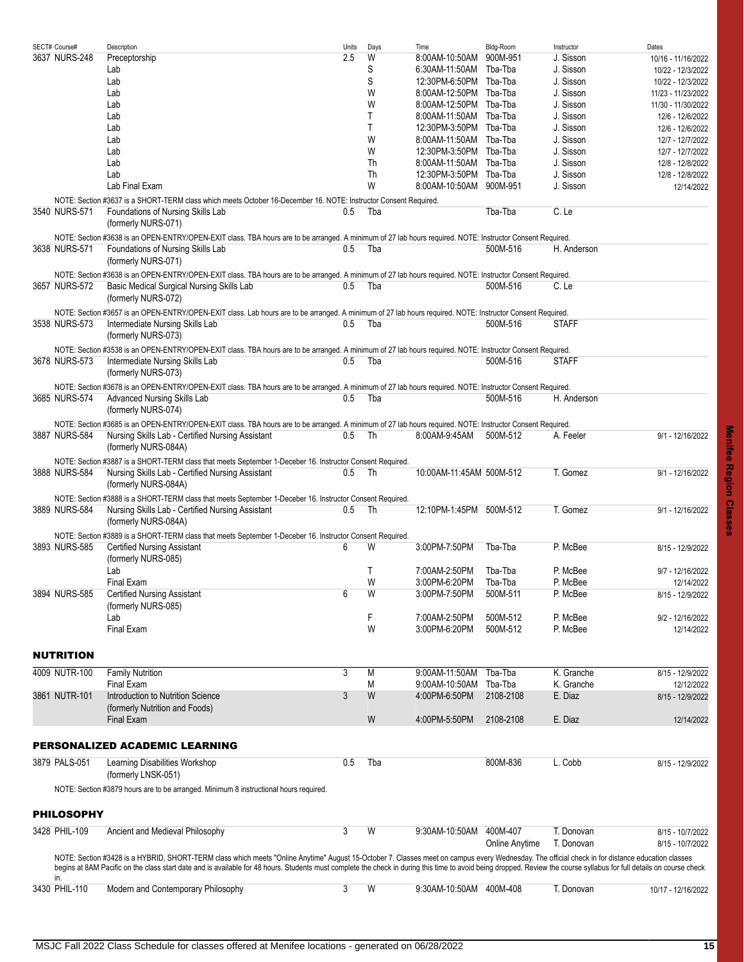<span id="page-14-2"></span><span id="page-14-1"></span><span id="page-14-0"></span>

| SECT# Course#     | Description                                                                                                                                                                                                           | Units | Days | Time                     | Bldg-Room      | Instructor   | Dates              |
|-------------------|-----------------------------------------------------------------------------------------------------------------------------------------------------------------------------------------------------------------------|-------|------|--------------------------|----------------|--------------|--------------------|
| 3637 NURS-248     | Preceptorship                                                                                                                                                                                                         | 2.5   | W    | 8:00AM-10:50AM           | 900M-951       | J. Sisson    | 10/16 - 11/16/2022 |
|                   | Lab                                                                                                                                                                                                                   |       | S    | 6:30AM-11:50AM           | Tba-Tba        | J. Sisson    | 10/22 - 12/3/2022  |
|                   | Lab                                                                                                                                                                                                                   |       | S    | 12:30PM-6:50PM Tba-Tba   |                | J. Sisson    | 10/22 - 12/3/2022  |
|                   |                                                                                                                                                                                                                       |       | W    |                          |                | J. Sisson    |                    |
|                   | Lab                                                                                                                                                                                                                   |       |      | 8:00AM-12:50PM Tba-Tba   |                |              | 11/23 - 11/23/2022 |
|                   | Lab                                                                                                                                                                                                                   |       | W    | 8:00AM-12:50PM Tba-Tba   |                | J. Sisson    | 11/30 - 11/30/2022 |
|                   | Lab                                                                                                                                                                                                                   |       | Τ    | 8:00AM-11:50AM Tba-Tba   |                | J. Sisson    | 12/6 - 12/6/2022   |
|                   | Lab                                                                                                                                                                                                                   |       | Τ    | 12:30PM-3:50PM Tba-Tba   |                | J. Sisson    | 12/6 - 12/6/2022   |
|                   | Lab                                                                                                                                                                                                                   |       | W    | 8.00AM-11:50AM Tba-Tba   |                | J. Sisson    | 12/7 - 12/7/2022   |
|                   | Lab                                                                                                                                                                                                                   |       | W    | 12:30PM-3:50PM Tba-Tba   |                | J. Sisson    |                    |
|                   |                                                                                                                                                                                                                       |       |      |                          |                |              | 12/7 - 12/7/2022   |
|                   | Lab                                                                                                                                                                                                                   |       | Th   | 8:00AM-11:50AM Tba-Tba   |                | J. Sisson    | 12/8 - 12/8/2022   |
|                   | Lab                                                                                                                                                                                                                   |       | Th   | 12:30PM-3:50PM Tba-Tba   |                | J. Sisson    | 12/8 - 12/8/2022   |
|                   | Lab Final Exam                                                                                                                                                                                                        |       | W    | 8:00AM-10:50AM 900M-951  |                | J. Sisson    | 12/14/2022         |
|                   | NOTE: Section #3637 is a SHORT-TERM class which meets October 16-December 16. NOTE: Instructor Consent Required.                                                                                                      |       |      |                          |                |              |                    |
|                   |                                                                                                                                                                                                                       |       |      |                          |                |              |                    |
| 3540 NURS-571     | Foundations of Nursing Skills Lab                                                                                                                                                                                     | 0.5   | Tba  |                          | Tba-Tba        | C. Le        |                    |
|                   | (formerly NURS-071)                                                                                                                                                                                                   |       |      |                          |                |              |                    |
|                   | NOTE: Section #3638 is an OPEN-ENTRY/OPEN-EXIT class. TBA hours are to be arranged. A minimum of 27 lab hours required. NOTE: Instructor Consent Required.                                                            |       |      |                          |                |              |                    |
| 3638 NURS-571     | Foundations of Nursing Skills Lab                                                                                                                                                                                     | 0.5   | Tba  |                          | 500M-516       | H. Anderson  |                    |
|                   |                                                                                                                                                                                                                       |       |      |                          |                |              |                    |
|                   | (formerly NURS-071)                                                                                                                                                                                                   |       |      |                          |                |              |                    |
|                   | NOTE: Section #3638 is an OPEN-ENTRY/OPEN-EXIT class. TBA hours are to be arranged. A minimum of 27 lab hours required. NOTE: Instructor Consent Required.                                                            |       |      |                          |                |              |                    |
| 3657 NURS-572     | Basic Medical Surgical Nursing Skills Lab                                                                                                                                                                             | 0.5   | Tba  |                          | 500M-516       | C. Le        |                    |
|                   |                                                                                                                                                                                                                       |       |      |                          |                |              |                    |
|                   | (formerly NURS-072)                                                                                                                                                                                                   |       |      |                          |                |              |                    |
|                   | NOTE: Section #3657 is an OPEN-ENTRY/OPEN-EXIT class. Lab hours are to be arranged. A minimum of 27 lab hours required. NOTE: Instructor Consent Required.                                                            |       |      |                          |                |              |                    |
| 3538 NURS-573     | Intermediate Nursing Skills Lab                                                                                                                                                                                       | 0.5   | Tba  |                          | 500M-516       | <b>STAFF</b> |                    |
|                   |                                                                                                                                                                                                                       |       |      |                          |                |              |                    |
|                   | (formerly NURS-073)                                                                                                                                                                                                   |       |      |                          |                |              |                    |
|                   | NOTE: Section #3538 is an OPEN-ENTRY/OPEN-EXIT class. TBA hours are to be arranged. A minimum of 27 lab hours required. NOTE: Instructor Consent Required.                                                            |       |      |                          |                |              |                    |
| 3678 NURS-573     | Intermediate Nursing Skills Lab                                                                                                                                                                                       | 0.5   | Tba  |                          | 500M-516       | <b>STAFF</b> |                    |
|                   | (formerly NURS-073)                                                                                                                                                                                                   |       |      |                          |                |              |                    |
|                   |                                                                                                                                                                                                                       |       |      |                          |                |              |                    |
|                   | NOTE: Section #3678 is an OPEN-ENTRY/OPEN-EXIT class. TBA hours are to be arranged. A minimum of 27 lab hours required. NOTE: Instructor Consent Required.                                                            |       |      |                          |                |              |                    |
| 3685 NURS-574     | <b>Advanced Nursing Skills Lab</b>                                                                                                                                                                                    | 0.5   | Tba  |                          | 500M-516       | H. Anderson  |                    |
|                   | (formerly NURS-074)                                                                                                                                                                                                   |       |      |                          |                |              |                    |
|                   |                                                                                                                                                                                                                       |       |      |                          |                |              |                    |
|                   | NOTE: Section #3685 is an OPEN-ENTRY/OPEN-EXIT class. TBA hours are to be arranged. A minimum of 27 lab hours required. NOTE: Instructor Consent Required.                                                            |       |      |                          |                |              |                    |
| 3887 NURS-584     | Nursing Skills Lab - Certified Nursing Assistant                                                                                                                                                                      | 0.5   | Th   | 8:00AM-9:45AM            | 500M-512       | A. Feeler    | 9/1 - 12/16/2022   |
|                   | (formerly NURS-084A)                                                                                                                                                                                                  |       |      |                          |                |              |                    |
|                   |                                                                                                                                                                                                                       |       |      |                          |                |              |                    |
|                   | NOTE: Section #3887 is a SHORT-TERM class that meets September 1-Deceber 16. Instructor Consent Required.                                                                                                             |       |      |                          |                |              |                    |
| 3888 NURS-584     | Nursing Skills Lab - Certified Nursing Assistant                                                                                                                                                                      | 0.5   | Th   | 10:00AM-11:45AM 500M-512 |                | T. Gomez     | 9/1 - 12/16/2022   |
|                   | (formerly NURS-084A)                                                                                                                                                                                                  |       |      |                          |                |              |                    |
|                   | NOTE: Section #3888 is a SHORT-TERM class that meets September 1-Deceber 16. Instructor Consent Required.                                                                                                             |       |      |                          |                |              |                    |
|                   |                                                                                                                                                                                                                       |       |      |                          |                |              |                    |
| 3889 NURS-584     | Nursing Skills Lab - Certified Nursing Assistant                                                                                                                                                                      | 0.5   | Th   | 12:10PM-1:45PM 500M-512  |                | T. Gomez     | 9/1 - 12/16/2022   |
|                   | (formerly NURS-084A)                                                                                                                                                                                                  |       |      |                          |                |              |                    |
|                   | NOTE: Section #3889 is a SHORT-TERM class that meets September 1-Deceber 16. Instructor Consent Required.                                                                                                             |       |      |                          |                |              |                    |
| 3893 NURS-585     | <b>Certified Nursing Assistant</b>                                                                                                                                                                                    | 6     | W    | 3:00PM-7:50PM            | Tba-Tba        | P. McBee     | 8/15 - 12/9/2022   |
|                   |                                                                                                                                                                                                                       |       |      |                          |                |              |                    |
|                   | (formerly NURS-085)                                                                                                                                                                                                   |       |      |                          |                |              |                    |
|                   | Lab                                                                                                                                                                                                                   |       | Τ    | 7:00AM-2:50PM            | Tba-Tba        | P. McBee     | 9/7 - 12/16/2022   |
|                   | <b>Final Exam</b>                                                                                                                                                                                                     |       | W    | 3:00PM-6:20PM            | Tba-Tba        | P. McBee     | 12/14/2022         |
| 3894 NURS-585     | <b>Certified Nursing Assistant</b>                                                                                                                                                                                    | 6     | W    | 3:00PM-7:50PM            | 500M-511       | P. McBee     | 8/15 - 12/9/2022   |
|                   |                                                                                                                                                                                                                       |       |      |                          |                |              |                    |
|                   | (formerly NURS-085)                                                                                                                                                                                                   |       |      |                          |                |              |                    |
|                   | Lab                                                                                                                                                                                                                   |       | F    | 7:00AM-2:50PM            | 500M-512       | P. McBee     | 9/2 - 12/16/2022   |
|                   | <b>Final Exam</b>                                                                                                                                                                                                     |       | W    | 3:00PM-6:20PM            | 500M-512       | P. McBee     | 12/14/2022         |
|                   |                                                                                                                                                                                                                       |       |      |                          |                |              |                    |
|                   |                                                                                                                                                                                                                       |       |      |                          |                |              |                    |
| <b>NUTRITION</b>  |                                                                                                                                                                                                                       |       |      |                          |                |              |                    |
| 4009 NUTR-100     | <b>Family Nutrition</b>                                                                                                                                                                                               | 3     | M    | 9:00AM-11:50AM           | Tba-Tba        | K. Granche   | 8/15 - 12/9/2022   |
|                   |                                                                                                                                                                                                                       |       |      |                          |                |              |                    |
|                   | Final Exam                                                                                                                                                                                                            |       | M    | 9:00AM-10:50AM           | Tba-Tba        | K. Granche   | 12/12/2022         |
| 3861 NUTR-101     | Introduction to Nutrition Science                                                                                                                                                                                     | 3     | W    | 4:00PM-6:50PM            | 2108-2108      | E. Diaz      | 8/15 - 12/9/2022   |
|                   | (formerly Nutrition and Foods)                                                                                                                                                                                        |       |      |                          |                |              |                    |
|                   | Final Exam                                                                                                                                                                                                            |       | W    | 4:00PM-5:50PM            | 2108-2108      | E. Diaz      | 12/14/2022         |
|                   |                                                                                                                                                                                                                       |       |      |                          |                |              |                    |
|                   |                                                                                                                                                                                                                       |       |      |                          |                |              |                    |
|                   | PERSONALIZED ACADEMIC LEARNING                                                                                                                                                                                        |       |      |                          |                |              |                    |
|                   |                                                                                                                                                                                                                       |       |      |                          |                |              |                    |
| 3879 PALS-051     | Learning Disabilities Workshop                                                                                                                                                                                        | 0.5   | Tba  |                          | 800M-836       | L. Cobb      | 8/15 - 12/9/2022   |
|                   | (formerly LNSK-051)                                                                                                                                                                                                   |       |      |                          |                |              |                    |
|                   |                                                                                                                                                                                                                       |       |      |                          |                |              |                    |
|                   | NOTE: Section #3879 hours are to be arranged. Minimum 8 instructional hours required.                                                                                                                                 |       |      |                          |                |              |                    |
|                   |                                                                                                                                                                                                                       |       |      |                          |                |              |                    |
| <b>PHILOSOPHY</b> |                                                                                                                                                                                                                       |       |      |                          |                |              |                    |
|                   |                                                                                                                                                                                                                       |       |      |                          |                |              |                    |
| 3428 PHIL-109     | Ancient and Medieval Philosophy                                                                                                                                                                                       | 3     | W    | 9:30AM-10.50AM           | 400M-407       | T. Donovan   | 8/15 - 10/7/2022   |
|                   |                                                                                                                                                                                                                       |       |      |                          | Online Anytime | T. Donovan   | 8/15 - 10/7/2022   |
|                   |                                                                                                                                                                                                                       |       |      |                          |                |              |                    |
|                   | NOTE: Section #3428 is a HYBRID, SHORT-TERM class which meets "Online Anytime" August 15-October 7. Classes meet on campus every Wednesday. The official check in for distance education classes                      |       |      |                          |                |              |                    |
|                   | begins at 8AM Pacific on the class start date and is available for 48 hours. Students must complete the check in during this time to avoid being dropped. Review the course syllabus for full details on course check |       |      |                          |                |              |                    |
| in.               |                                                                                                                                                                                                                       |       |      |                          |                |              |                    |
| 3430 PHIL-110     | Modern and Contemporary Philosophy                                                                                                                                                                                    | 3     | W    | 9:30AM-10:50AM 400M-408  |                | T. Donovan   | 10/17 - 12/16/2022 |
|                   |                                                                                                                                                                                                                       |       |      |                          |                |              |                    |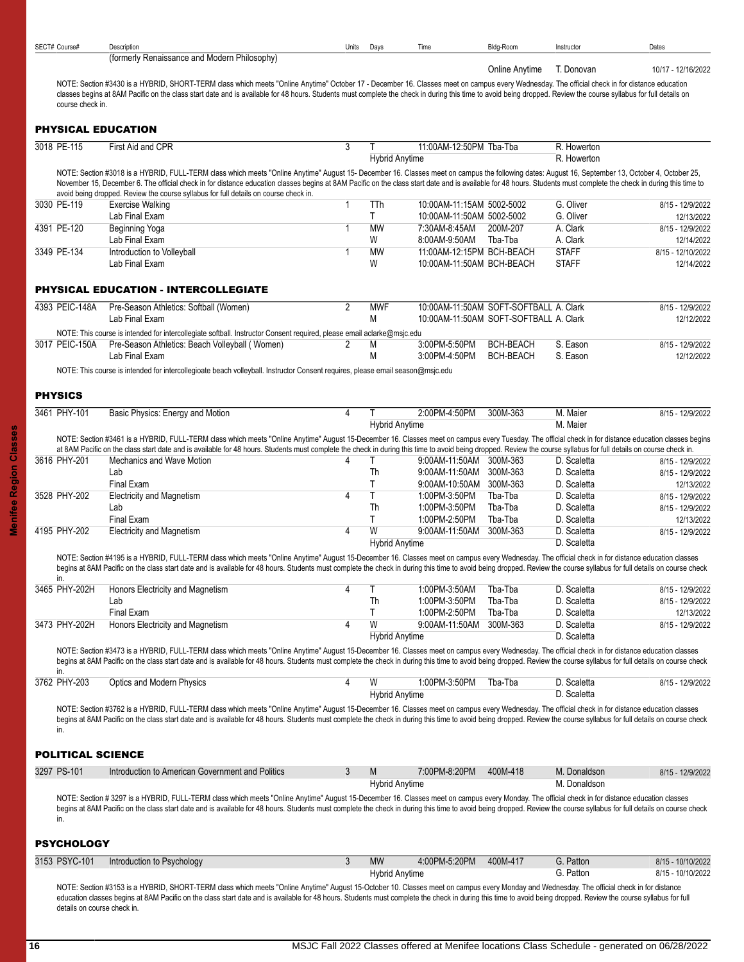<span id="page-15-2"></span><span id="page-15-1"></span><span id="page-15-0"></span>

| SECT# Course#            | Description                                                                                                                                                                                                                                                                                                                                                                                                                                                                                                     | Units | Days                       | Time                                                   | Bldg-Room                              | Instructor                   | Dates                                |
|--------------------------|-----------------------------------------------------------------------------------------------------------------------------------------------------------------------------------------------------------------------------------------------------------------------------------------------------------------------------------------------------------------------------------------------------------------------------------------------------------------------------------------------------------------|-------|----------------------------|--------------------------------------------------------|----------------------------------------|------------------------------|--------------------------------------|
|                          | (formerly Renaissance and Modern Philosophy)                                                                                                                                                                                                                                                                                                                                                                                                                                                                    |       |                            |                                                        | Online Anytime                         | T. Donovan                   | 10/17 - 12/16/2022                   |
| course check in.         | NOTE: Section #3430 is a HYBRID, SHORT-TERM class which meets "Online Anytime" October 17 - December 16. Classes meet on campus every Wednesday. The official check in for distance education<br>classes begins at 8AM Pacific on the class start date and is available for 48 hours. Students must complete the check in during this time to avoid being dropped. Review the course syllabus for full details on                                                                                               |       |                            |                                                        |                                        |                              |                                      |
|                          | <b>PHYSICAL EDUCATION</b>                                                                                                                                                                                                                                                                                                                                                                                                                                                                                       |       |                            |                                                        |                                        |                              |                                      |
| 3018 PE-115              | First Aid and CPR                                                                                                                                                                                                                                                                                                                                                                                                                                                                                               | 3     | Τ<br><b>Hybrid Anytime</b> | 11:00AM-12:50PM Tba-Tba                                |                                        | R. Howerton<br>R. Howerton   |                                      |
|                          | NOTE: Section #3018 is a HYBRID, FULL-TERM class which meets "Online Anytime" August 15- December 16. Classes meet on campus the following dates: August 16, September 13, October 4, October 25,<br>November 15, December 6. The official check in for distance education classes begins at 8AM Pacific on the class start date and is available for 48 hours. Students must complete the check in during this time to<br>avoid being dropped. Review the course syllabus for full details on course check in. |       |                            |                                                        |                                        |                              |                                      |
| 3030 PE-119              | <b>Exercise Walking</b>                                                                                                                                                                                                                                                                                                                                                                                                                                                                                         | 1     | TTh                        | 10:00AM-11:15AM 5002-5002                              |                                        | G. Oliver                    | 8/15 - 12/9/2022                     |
|                          | Lab Final Exam                                                                                                                                                                                                                                                                                                                                                                                                                                                                                                  |       | T                          | 10:00AM-11:50AM 5002-5002                              |                                        | G. Oliver                    | 12/13/2022                           |
| 4391 PE-120              | Beginning Yoga                                                                                                                                                                                                                                                                                                                                                                                                                                                                                                  |       | <b>MW</b>                  | 7:30AM-8:45AM                                          | 200M-207                               | A. Clark                     | 8/15 - 12/9/2022                     |
|                          | Lab Final Exam                                                                                                                                                                                                                                                                                                                                                                                                                                                                                                  |       | W                          | 8:00AM-9:50AM                                          | Tba-Tba                                | A. Clark                     | 12/14/2022                           |
| 3349 PE-134              | Introduction to Volleyball<br>Lab Final Exam                                                                                                                                                                                                                                                                                                                                                                                                                                                                    | 1     | <b>MW</b><br>W             | 11:00AM-12:15PM BCH-BEACH<br>10:00AM-11:50AM BCH-BEACH |                                        | <b>STAFF</b><br><b>STAFF</b> | 8/15 - 12/10/2022<br>12/14/2022      |
|                          | <b>PHYSICAL EDUCATION - INTERCOLLEGIATE</b>                                                                                                                                                                                                                                                                                                                                                                                                                                                                     |       |                            |                                                        |                                        |                              |                                      |
| 4393 PEIC-148A           | Pre-Season Athletics: Softball (Women)                                                                                                                                                                                                                                                                                                                                                                                                                                                                          | 2     | <b>MWF</b>                 |                                                        | 10:00AM-11:50AM SOFT-SOFTBALL A. Clark |                              | 8/15 - 12/9/2022                     |
|                          | Lab Final Exam                                                                                                                                                                                                                                                                                                                                                                                                                                                                                                  |       | M                          |                                                        | 10:00AM-11:50AM SOFT-SOFTBALL A. Clark |                              | 12/12/2022                           |
| 3017 PEIC-150A           | NOTE: This course is intended for intercollegiate softball. Instructor Consent required, please email aclarke@msjc.edu<br>Pre-Season Athletics: Beach Volleyball (Women)                                                                                                                                                                                                                                                                                                                                        | 2     | M                          | 3:00PM-5:50PM                                          | <b>BCH-BEACH</b>                       | S. Eason                     | 8/15 - 12/9/2022                     |
|                          | Lab Final Exam                                                                                                                                                                                                                                                                                                                                                                                                                                                                                                  |       | M                          | 3:00PM-4:50PM                                          | <b>BCH-BEACH</b>                       | S. Eason                     | 12/12/2022                           |
|                          | NOTE: This course is intended for intercollegioate beach volleyball. Instructor Consent requires, please email season@msjc.edu                                                                                                                                                                                                                                                                                                                                                                                  |       |                            |                                                        |                                        |                              |                                      |
| <b>PHYSICS</b>           |                                                                                                                                                                                                                                                                                                                                                                                                                                                                                                                 |       |                            |                                                        |                                        |                              |                                      |
| 3461 PHY-101             | Basic Physics: Energy and Motion                                                                                                                                                                                                                                                                                                                                                                                                                                                                                | 4     | Τ<br><b>Hybrid Anytime</b> | 2:00PM-4:50PM                                          | 300M-363                               | M. Maier<br>M. Maier         | 8/15 - 12/9/2022                     |
|                          | NOTE: Section #3461 is a HYBRID, FULL-TERM class which meets "Online Anytime" August 15-December 16. Classes meet on campus every Tuesday. The official check in for distance education classes begins                                                                                                                                                                                                                                                                                                          |       |                            |                                                        |                                        |                              |                                      |
|                          | at 8AM Pacific on the class start date and is available for 48 hours. Students must complete the check in during this time to avoid being dropped. Review the course syllabus for full details on course check in.                                                                                                                                                                                                                                                                                              |       |                            |                                                        |                                        |                              |                                      |
| 3616 PHY-201             | Mechanics and Wave Motion                                                                                                                                                                                                                                                                                                                                                                                                                                                                                       | 4     | Τ                          | 9:00AM-11:50AM 300M-363                                |                                        | D. Scaletta                  | 8/15 - 12/9/2022                     |
|                          | Lab                                                                                                                                                                                                                                                                                                                                                                                                                                                                                                             |       | Th                         | 9:00AM-11:50AM 300M-363                                |                                        | D. Scaletta                  | 8/15 - 12/9/2022                     |
|                          | Final Exam                                                                                                                                                                                                                                                                                                                                                                                                                                                                                                      |       | T                          | 9:00AM-10:50AM 300M-363                                |                                        | D. Scaletta                  | 12/13/2022                           |
| 3528 PHY-202             | <b>Electricity and Magnetism</b><br>Lab                                                                                                                                                                                                                                                                                                                                                                                                                                                                         | 4     | T<br>Th                    | 1:00PM-3:50PM<br>1:00PM-3:50PM                         | Tba-Tba<br>Tba-Tba                     | D. Scaletta<br>D. Scaletta   | 8/15 - 12/9/2022<br>8/15 - 12/9/2022 |
|                          | Final Exam                                                                                                                                                                                                                                                                                                                                                                                                                                                                                                      |       | T                          | 1:00PM-2:50PM                                          | Tba-Tba                                | D. Scaletta                  | 12/13/2022                           |
| 4195 PHY-202             | <b>Electricity and Magnetism</b>                                                                                                                                                                                                                                                                                                                                                                                                                                                                                | 4     | W                          | 9:00AM-11:50AM 300M-363                                |                                        | D. Scaletta                  | 8/15 - 12/9/2022                     |
|                          |                                                                                                                                                                                                                                                                                                                                                                                                                                                                                                                 |       | <b>Hybrid Anytime</b>      |                                                        |                                        | D. Scaletta                  |                                      |
| in.                      | NOTE: Section #4195 is a HYBRID, FULL-TERM class which meets "Online Anytime" August 15-December 16. Classes meet on campus every Wednesday. The official check in for distance education classes<br>begins at 8AM Pacific on the class start date and is available for 48 hours. Students must complete the check in during this time to avoid being dropped. Review the course syllabus for full details on course check                                                                                      |       |                            |                                                        |                                        |                              |                                      |
| 3465 PHY-202H            | Honors Electricity and Magnetism                                                                                                                                                                                                                                                                                                                                                                                                                                                                                |       | Τ                          | 1.00PM-3.50AM Tba-Tba                                  |                                        | D. Scaletta                  | 8/15 - 12/9/2022                     |
|                          | Lab                                                                                                                                                                                                                                                                                                                                                                                                                                                                                                             |       | Th                         | 1:00PM-3:50PM                                          | Tba-Tba                                | D. Scaletta                  | 8/15 - 12/9/2022                     |
|                          | Final Exam                                                                                                                                                                                                                                                                                                                                                                                                                                                                                                      |       | T                          | 1:00PM-2:50PM                                          | Tba-Tba                                | D. Scaletta                  | 12/13/2022                           |
| 3473 PHY-202H            | Honors Electricity and Magnetism                                                                                                                                                                                                                                                                                                                                                                                                                                                                                | 4     | W                          | 9:00AM-11:50AM 300M-363                                |                                        | D. Scaletta                  | 8/15 - 12/9/2022                     |
|                          | NOTE: Section #3473 is a HYBRID, FULL-TERM class which meets "Online Anytime" August 15-December 16. Classes meet on campus every Wednesday. The official check in for distance education classes                                                                                                                                                                                                                                                                                                               |       | <b>Hybrid Anytime</b>      |                                                        |                                        | D. Scaletta                  |                                      |
| in.                      | begins at 8AM Pacific on the class start date and is available for 48 hours. Students must complete the check in during this time to avoid being dropped. Review the course syllabus for full details on course check                                                                                                                                                                                                                                                                                           |       |                            |                                                        |                                        |                              |                                      |
| 3762 PHY-203             | <b>Optics and Modern Physics</b>                                                                                                                                                                                                                                                                                                                                                                                                                                                                                | 4     | W<br><b>Hybrid Anytime</b> | 1:00PM-3:50PM                                          | Tba-Tba                                | D. Scaletta<br>D. Scaletta   | 8/15 - 12/9/2022                     |
|                          | NOTE: Section #3762 is a HYBRID, FULL-TERM class which meets "Online Anytime" August 15-December 16. Classes meet on campus every Wednesday. The official check in for distance education classes<br>begins at 8AM Pacific on the class start date and is available for 48 hours. Students must complete the check in during this time to avoid being dropped. Review the course syllabus for full details on course check                                                                                      |       |                            |                                                        |                                        |                              |                                      |
| in.                      |                                                                                                                                                                                                                                                                                                                                                                                                                                                                                                                 |       |                            |                                                        |                                        |                              |                                      |
| <b>POLITICAL SCIENCE</b> |                                                                                                                                                                                                                                                                                                                                                                                                                                                                                                                 |       |                            |                                                        |                                        |                              |                                      |
| 3297 PS-101              | Introduction to American Government and Politics                                                                                                                                                                                                                                                                                                                                                                                                                                                                | 3     | M                          | 7:00PM-8:20PM                                          | 400M-418                               | M. Donaldson<br>M. Donaldson | 8/15 - 12/9/2022                     |
| in.                      | NOTE: Section # 3297 is a HYBRID, FULL-TERM class which meets "Online Anytime" August 15-December 16. Classes meet on campus every Monday. The official check in for distance education classes<br>begins at 8AM Pacific on the class start date and is available for 48 hours. Students must complete the check in during this time to avoid being dropped. Review the course syllabus for full details on course check                                                                                        |       | <b>Hybrid Anytime</b>      |                                                        |                                        |                              |                                      |
| <b>PSYCHOLOGY</b>        |                                                                                                                                                                                                                                                                                                                                                                                                                                                                                                                 |       |                            |                                                        |                                        |                              |                                      |
| 3153 PSYC-101            | Introduction to Psychology                                                                                                                                                                                                                                                                                                                                                                                                                                                                                      | 3     | <b>MW</b>                  | 4:00PM-5:20PM                                          | 400M-417                               | G. Patton                    | 8/15 - 10/10/2022                    |
|                          |                                                                                                                                                                                                                                                                                                                                                                                                                                                                                                                 |       | <b>Hybrid Anytime</b>      |                                                        |                                        | G. Patton                    | 8/15 - 10/10/2022                    |

<span id="page-15-4"></span><span id="page-15-3"></span>NOTE: Section #3153 is a HYBRID, SHORT-TERM class which meets "Online Anytime" August 15-October 10. Classes meet on campus every Monday and Wednesday. The official check in for distance education classes begins at 8AM Pacific on the class start date and is available for 48 hours. Students must complete the check in during this time to avoid being dropped. Review the course syllabus for full details on course check in.